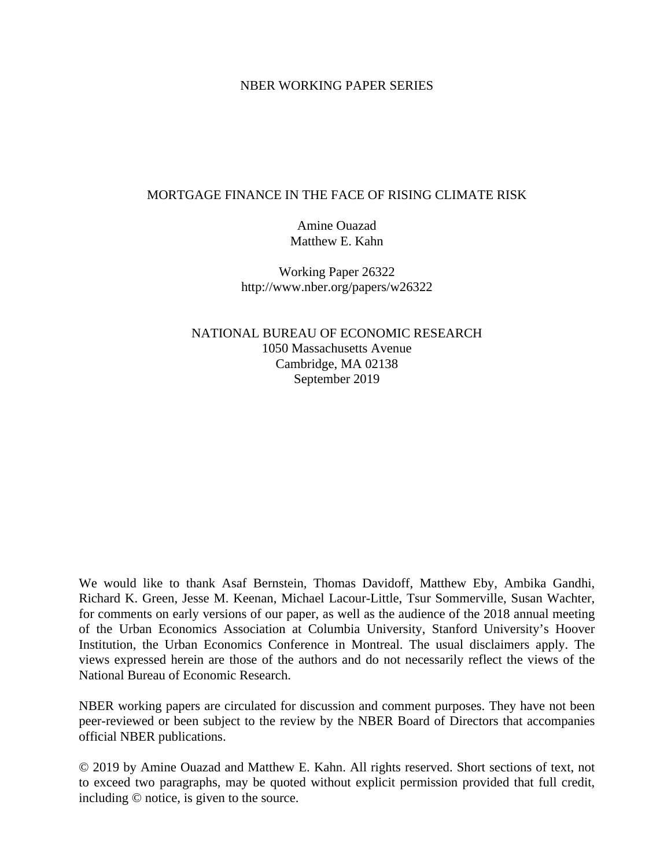# NBER WORKING PAPER SERIES

# MORTGAGE FINANCE IN THE FACE OF RISING CLIMATE RISK

Amine Ouazad Matthew E. Kahn

Working Paper 26322 http://www.nber.org/papers/w26322

NATIONAL BUREAU OF ECONOMIC RESEARCH 1050 Massachusetts Avenue Cambridge, MA 02138 September 2019

We would like to thank Asaf Bernstein, Thomas Davidoff, Matthew Eby, Ambika Gandhi, Richard K. Green, Jesse M. Keenan, Michael Lacour-Little, Tsur Sommerville, Susan Wachter, for comments on early versions of our paper, as well as the audience of the 2018 annual meeting of the Urban Economics Association at Columbia University, Stanford University's Hoover Institution, the Urban Economics Conference in Montreal. The usual disclaimers apply. The views expressed herein are those of the authors and do not necessarily reflect the views of the National Bureau of Economic Research.

NBER working papers are circulated for discussion and comment purposes. They have not been peer-reviewed or been subject to the review by the NBER Board of Directors that accompanies official NBER publications.

© 2019 by Amine Ouazad and Matthew E. Kahn. All rights reserved. Short sections of text, not to exceed two paragraphs, may be quoted without explicit permission provided that full credit, including © notice, is given to the source.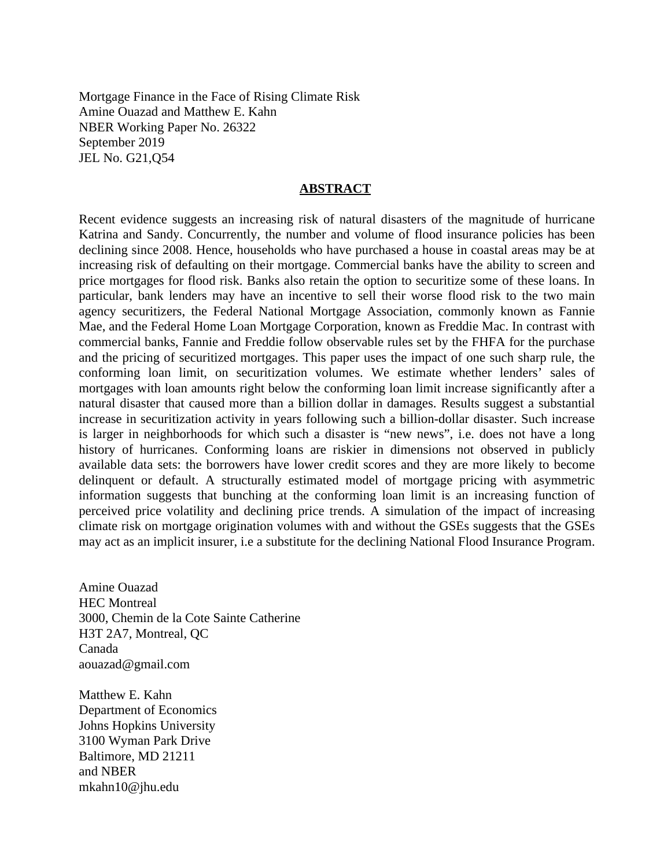Mortgage Finance in the Face of Rising Climate Risk Amine Ouazad and Matthew E. Kahn NBER Working Paper No. 26322 September 2019 JEL No. G21,Q54

# **ABSTRACT**

Recent evidence suggests an increasing risk of natural disasters of the magnitude of hurricane Katrina and Sandy. Concurrently, the number and volume of flood insurance policies has been declining since 2008. Hence, households who have purchased a house in coastal areas may be at increasing risk of defaulting on their mortgage. Commercial banks have the ability to screen and price mortgages for flood risk. Banks also retain the option to securitize some of these loans. In particular, bank lenders may have an incentive to sell their worse flood risk to the two main agency securitizers, the Federal National Mortgage Association, commonly known as Fannie Mae, and the Federal Home Loan Mortgage Corporation, known as Freddie Mac. In contrast with commercial banks, Fannie and Freddie follow observable rules set by the FHFA for the purchase and the pricing of securitized mortgages. This paper uses the impact of one such sharp rule, the conforming loan limit, on securitization volumes. We estimate whether lenders' sales of mortgages with loan amounts right below the conforming loan limit increase significantly after a natural disaster that caused more than a billion dollar in damages. Results suggest a substantial increase in securitization activity in years following such a billion-dollar disaster. Such increase is larger in neighborhoods for which such a disaster is "new news", i.e. does not have a long history of hurricanes. Conforming loans are riskier in dimensions not observed in publicly available data sets: the borrowers have lower credit scores and they are more likely to become delinquent or default. A structurally estimated model of mortgage pricing with asymmetric information suggests that bunching at the conforming loan limit is an increasing function of perceived price volatility and declining price trends. A simulation of the impact of increasing climate risk on mortgage origination volumes with and without the GSEs suggests that the GSEs may act as an implicit insurer, i.e a substitute for the declining National Flood Insurance Program.

Amine Ouazad HEC Montreal 3000, Chemin de la Cote Sainte Catherine H3T 2A7, Montreal, QC Canada aouazad@gmail.com

Matthew E. Kahn Department of Economics Johns Hopkins University 3100 Wyman Park Drive Baltimore, MD 21211 and NBER mkahn10@jhu.edu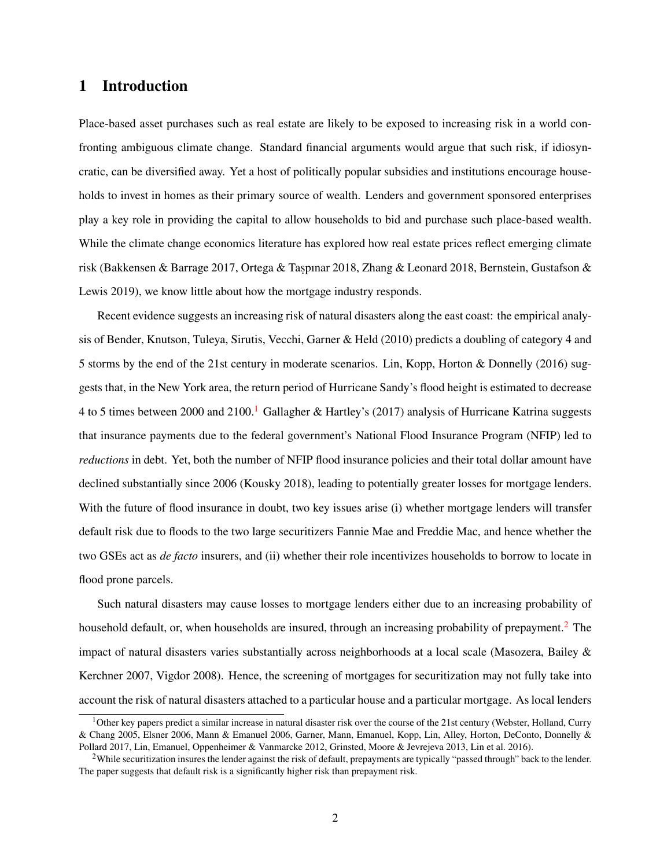# **1 Introduction**

Place-based asset purchases such as real estate are likely to be exposed to increasing risk in a world confronting ambiguous climate change. Standard financial arguments would argue that such risk, if idiosyncratic, can be diversified away. Yet a host of politically popular subsidies and institutions encourage households to invest in homes as their primary source of wealth. Lenders and government sponsored enterprises play a key role in providing the capital to allow households to bid and purchase such place-based wealth. While the climate change economics literature has explored how real estate prices reflect emerging climate risk (Bakkensen & Barrage 2017, Ortega & Taspınar 2018, Zhang & Leonard 2018, Bernstein, Gustafson & Lewis 2019), we know little about how the mortgage industry responds.

Recent evidence suggests an increasing risk of natural disasters along the east coast: the empirical analysis of Bender, Knutson, Tuleya, Sirutis, Vecchi, Garner & Held (2010) predicts a doubling of category 4 and 5 storms by the end of the 21st century in moderate scenarios. Lin, Kopp, Horton & Donnelly (2016) suggests that, in the New York area, the return period of Hurricane Sandy's flood height is estimated to decrease 4 to 5 times between 2000 and 2100.<sup>1</sup> Gallagher & Hartley's (2017) analysis of Hurricane Katrina suggests that insurance payments due to the federal government's National Flood Insurance Program (NFIP) led to *reductions* in debt. Yet, both the number of NFIP flood insurance policies and their total dollar amount have declined substantially since 2006 (Kousky 2018), leading to potentially greater losses for mortgage lenders. With the future of flood insurance in doubt, two key issues arise (i) whether mortgage lenders will transfer default risk due to floods to the two large securitizers Fannie Mae and Freddie Mac, and hence whether the two GSEs act as *de facto* insurers, and (ii) whether their role incentivizes households to borrow to locate in flood prone parcels.

Such natural disasters may cause losses to mortgage lenders either due to an increasing probability of household default, or, when households are insured, through an increasing probability of prepayment.<sup>2</sup> The impact of natural disasters varies substantially across neighborhoods at a local scale (Masozera, Bailey & Kerchner 2007, Vigdor 2008). Hence, the screening of mortgages for securitization may not fully take into account the risk of natural disasters attached to a particular house and a particular mortgage. As local lenders

 $1$ Other key papers predict a similar increase in natural disaster risk over the course of the 21st century (Webster, Holland, Curry & Chang 2005, Elsner 2006, Mann & Emanuel 2006, Garner, Mann, Emanuel, Kopp, Lin, Alley, Horton, DeConto, Donnelly & Pollard 2017, Lin, Emanuel, Oppenheimer & Vanmarcke 2012, Grinsted, Moore & Jevrejeva 2013, Lin et al. 2016).

 $2$ While securitization insures the lender against the risk of default, prepayments are typically "passed through" back to the lender. The paper suggests that default risk is a significantly higher risk than prepayment risk.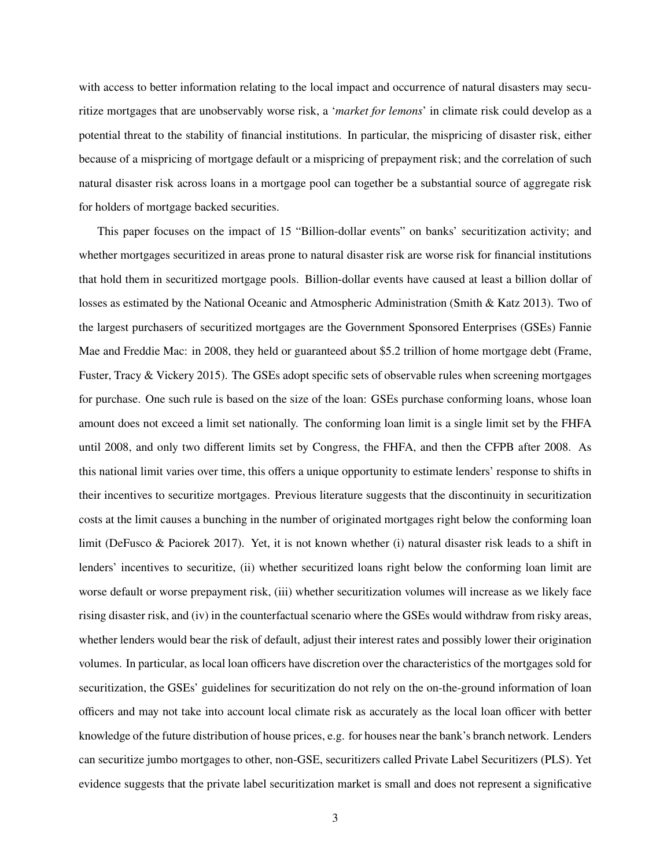with access to better information relating to the local impact and occurrence of natural disasters may securitize mortgages that are unobservably worse risk, a '*market for lemons*' in climate risk could develop as a potential threat to the stability of financial institutions. In particular, the mispricing of disaster risk, either because of a mispricing of mortgage default or a mispricing of prepayment risk; and the correlation of such natural disaster risk across loans in a mortgage pool can together be a substantial source of aggregate risk for holders of mortgage backed securities.

This paper focuses on the impact of 15 "Billion-dollar events" on banks' securitization activity; and whether mortgages securitized in areas prone to natural disaster risk are worse risk for financial institutions that hold them in securitized mortgage pools. Billion-dollar events have caused at least a billion dollar of losses as estimated by the National Oceanic and Atmospheric Administration (Smith & Katz 2013). Two of the largest purchasers of securitized mortgages are the Government Sponsored Enterprises (GSEs) Fannie Mae and Freddie Mac: in 2008, they held or guaranteed about \$5.2 trillion of home mortgage debt (Frame, Fuster, Tracy & Vickery 2015). The GSEs adopt specific sets of observable rules when screening mortgages for purchase. One such rule is based on the size of the loan: GSEs purchase conforming loans, whose loan amount does not exceed a limit set nationally. The conforming loan limit is a single limit set by the FHFA until 2008, and only two different limits set by Congress, the FHFA, and then the CFPB after 2008. As this national limit varies over time, this offers a unique opportunity to estimate lenders' response to shifts in their incentives to securitize mortgages. Previous literature suggests that the discontinuity in securitization costs at the limit causes a bunching in the number of originated mortgages right below the conforming loan limit (DeFusco & Paciorek 2017). Yet, it is not known whether (i) natural disaster risk leads to a shift in lenders' incentives to securitize, (ii) whether securitized loans right below the conforming loan limit are worse default or worse prepayment risk, (iii) whether securitization volumes will increase as we likely face rising disaster risk, and (iv) in the counterfactual scenario where the GSEs would withdraw from risky areas, whether lenders would bear the risk of default, adjust their interest rates and possibly lower their origination volumes. In particular, as local loan officers have discretion over the characteristics of the mortgages sold for securitization, the GSEs' guidelines for securitization do not rely on the on-the-ground information of loan officers and may not take into account local climate risk as accurately as the local loan officer with better knowledge of the future distribution of house prices, e.g. for houses near the bank's branch network. Lenders can securitize jumbo mortgages to other, non-GSE, securitizers called Private Label Securitizers (PLS). Yet evidence suggests that the private label securitization market is small and does not represent a significative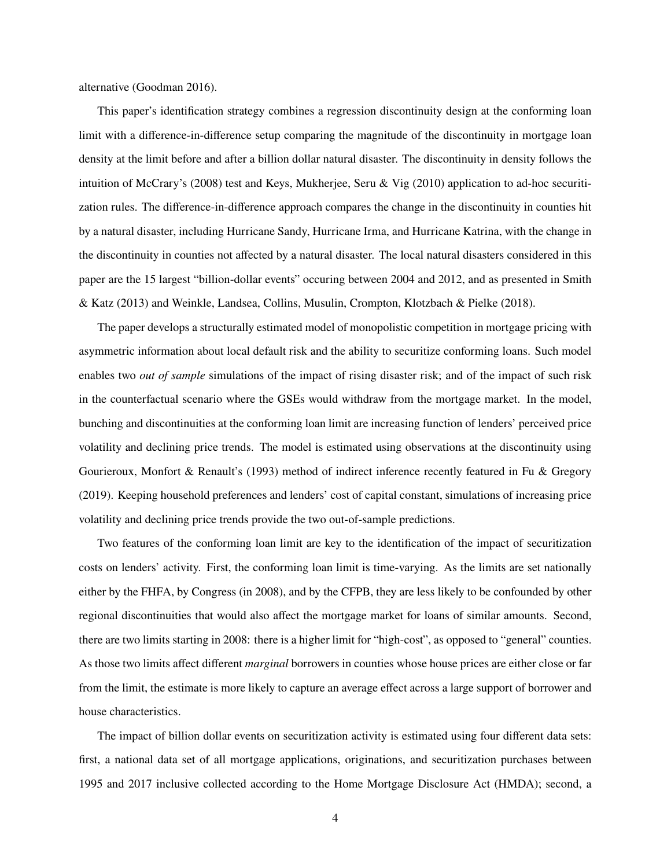alternative (Goodman 2016).

This paper's identification strategy combines a regression discontinuity design at the conforming loan limit with a difference-in-difference setup comparing the magnitude of the discontinuity in mortgage loan density at the limit before and after a billion dollar natural disaster. The discontinuity in density follows the intuition of McCrary's (2008) test and Keys, Mukherjee, Seru & Vig (2010) application to ad-hoc securitization rules. The difference-in-difference approach compares the change in the discontinuity in counties hit by a natural disaster, including Hurricane Sandy, Hurricane Irma, and Hurricane Katrina, with the change in the discontinuity in counties not affected by a natural disaster. The local natural disasters considered in this paper are the 15 largest "billion-dollar events" occuring between 2004 and 2012, and as presented in Smith & Katz (2013) and Weinkle, Landsea, Collins, Musulin, Crompton, Klotzbach & Pielke (2018).

The paper develops a structurally estimated model of monopolistic competition in mortgage pricing with asymmetric information about local default risk and the ability to securitize conforming loans. Such model enables two *out of sample* simulations of the impact of rising disaster risk; and of the impact of such risk in the counterfactual scenario where the GSEs would withdraw from the mortgage market. In the model, bunching and discontinuities at the conforming loan limit are increasing function of lenders' perceived price volatility and declining price trends. The model is estimated using observations at the discontinuity using Gourieroux, Monfort & Renault's (1993) method of indirect inference recently featured in Fu & Gregory (2019). Keeping household preferences and lenders' cost of capital constant, simulations of increasing price volatility and declining price trends provide the two out-of-sample predictions.

Two features of the conforming loan limit are key to the identification of the impact of securitization costs on lenders' activity. First, the conforming loan limit is time-varying. As the limits are set nationally either by the FHFA, by Congress (in 2008), and by the CFPB, they are less likely to be confounded by other regional discontinuities that would also affect the mortgage market for loans of similar amounts. Second, there are two limits starting in 2008: there is a higher limit for "high-cost", as opposed to "general" counties. As those two limits affect different *marginal* borrowers in counties whose house prices are either close or far from the limit, the estimate is more likely to capture an average effect across a large support of borrower and house characteristics.

The impact of billion dollar events on securitization activity is estimated using four different data sets: first, a national data set of all mortgage applications, originations, and securitization purchases between 1995 and 2017 inclusive collected according to the Home Mortgage Disclosure Act (HMDA); second, a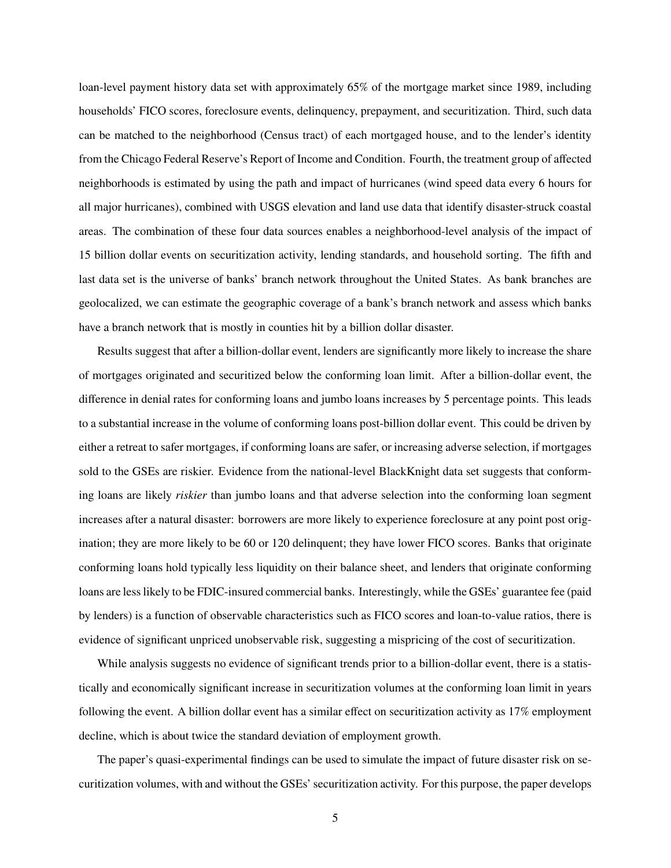loan-level payment history data set with approximately 65% of the mortgage market since 1989, including households' FICO scores, foreclosure events, delinquency, prepayment, and securitization. Third, such data can be matched to the neighborhood (Census tract) of each mortgaged house, and to the lender's identity from the Chicago Federal Reserve's Report of Income and Condition. Fourth, the treatment group of affected neighborhoods is estimated by using the path and impact of hurricanes (wind speed data every 6 hours for all major hurricanes), combined with USGS elevation and land use data that identify disaster-struck coastal areas. The combination of these four data sources enables a neighborhood-level analysis of the impact of 15 billion dollar events on securitization activity, lending standards, and household sorting. The fifth and last data set is the universe of banks' branch network throughout the United States. As bank branches are geolocalized, we can estimate the geographic coverage of a bank's branch network and assess which banks have a branch network that is mostly in counties hit by a billion dollar disaster.

Results suggest that after a billion-dollar event, lenders are significantly more likely to increase the share of mortgages originated and securitized below the conforming loan limit. After a billion-dollar event, the difference in denial rates for conforming loans and jumbo loans increases by 5 percentage points. This leads to a substantial increase in the volume of conforming loans post-billion dollar event. This could be driven by either a retreat to safer mortgages, if conforming loans are safer, or increasing adverse selection, if mortgages sold to the GSEs are riskier. Evidence from the national-level BlackKnight data set suggests that conforming loans are likely *riskier* than jumbo loans and that adverse selection into the conforming loan segment increases after a natural disaster: borrowers are more likely to experience foreclosure at any point post origination; they are more likely to be 60 or 120 delinquent; they have lower FICO scores. Banks that originate conforming loans hold typically less liquidity on their balance sheet, and lenders that originate conforming loans are less likely to be FDIC-insured commercial banks. Interestingly, while the GSEs' guarantee fee (paid by lenders) is a function of observable characteristics such as FICO scores and loan-to-value ratios, there is evidence of significant unpriced unobservable risk, suggesting a mispricing of the cost of securitization.

While analysis suggests no evidence of significant trends prior to a billion-dollar event, there is a statistically and economically significant increase in securitization volumes at the conforming loan limit in years following the event. A billion dollar event has a similar effect on securitization activity as 17% employment decline, which is about twice the standard deviation of employment growth.

The paper's quasi-experimental findings can be used to simulate the impact of future disaster risk on securitization volumes, with and without the GSEs' securitization activity. For this purpose, the paper develops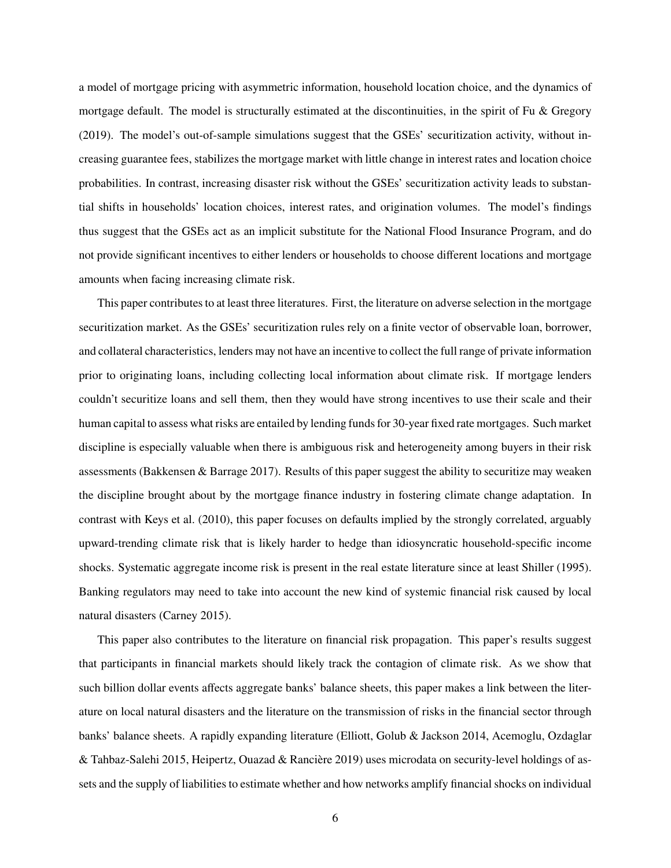a model of mortgage pricing with asymmetric information, household location choice, and the dynamics of mortgage default. The model is structurally estimated at the discontinuities, in the spirit of Fu & Gregory (2019). The model's out-of-sample simulations suggest that the GSEs' securitization activity, without increasing guarantee fees, stabilizes the mortgage market with little change in interest rates and location choice probabilities. In contrast, increasing disaster risk without the GSEs' securitization activity leads to substantial shifts in households' location choices, interest rates, and origination volumes. The model's findings thus suggest that the GSEs act as an implicit substitute for the National Flood Insurance Program, and do not provide significant incentives to either lenders or households to choose different locations and mortgage amounts when facing increasing climate risk.

This paper contributes to at least three literatures. First, the literature on adverse selection in the mortgage securitization market. As the GSEs' securitization rules rely on a finite vector of observable loan, borrower, and collateral characteristics, lenders may not have an incentive to collect the full range of private information prior to originating loans, including collecting local information about climate risk. If mortgage lenders couldn't securitize loans and sell them, then they would have strong incentives to use their scale and their human capital to assess what risks are entailed by lending funds for 30-year fixed rate mortgages. Such market discipline is especially valuable when there is ambiguous risk and heterogeneity among buyers in their risk assessments (Bakkensen & Barrage 2017). Results of this paper suggest the ability to securitize may weaken the discipline brought about by the mortgage finance industry in fostering climate change adaptation. In contrast with Keys et al. (2010), this paper focuses on defaults implied by the strongly correlated, arguably upward-trending climate risk that is likely harder to hedge than idiosyncratic household-specific income shocks. Systematic aggregate income risk is present in the real estate literature since at least Shiller (1995). Banking regulators may need to take into account the new kind of systemic financial risk caused by local natural disasters (Carney 2015).

This paper also contributes to the literature on financial risk propagation. This paper's results suggest that participants in financial markets should likely track the contagion of climate risk. As we show that such billion dollar events affects aggregate banks' balance sheets, this paper makes a link between the literature on local natural disasters and the literature on the transmission of risks in the financial sector through banks' balance sheets. A rapidly expanding literature (Elliott, Golub & Jackson 2014, Acemoglu, Ozdaglar & Tahbaz-Salehi 2015, Heipertz, Ouazad & Rancière 2019) uses microdata on security-level holdings of assets and the supply of liabilities to estimate whether and how networks amplify financial shocks on individual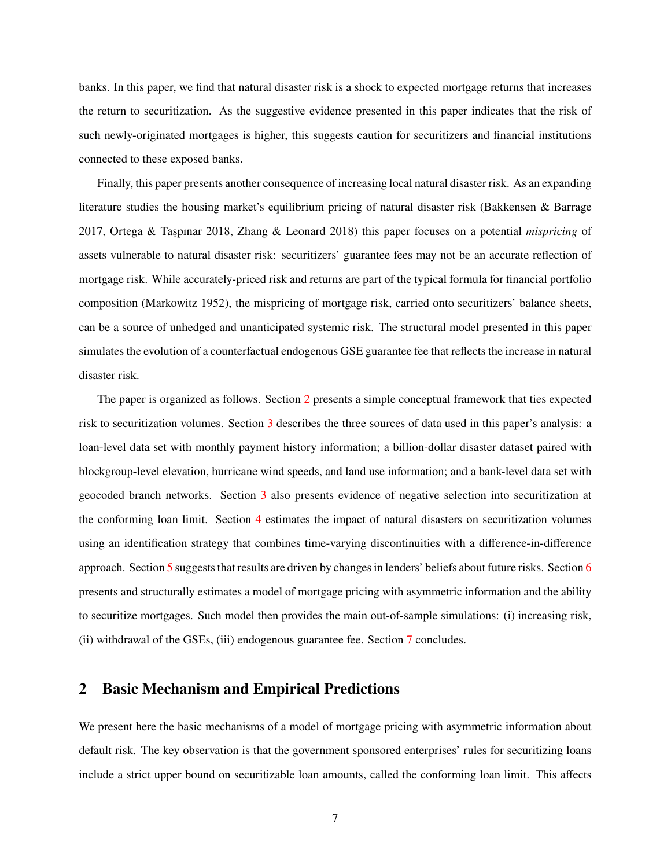banks. In this paper, we find that natural disaster risk is a shock to expected mortgage returns that increases the return to securitization. As the suggestive evidence presented in this paper indicates that the risk of such newly-originated mortgages is higher, this suggests caution for securitizers and financial institutions connected to these exposed banks.

Finally, this paper presents another consequence of increasing local natural disaster risk. As an expanding literature studies the housing market's equilibrium pricing of natural disaster risk (Bakkensen & Barrage 2017, Ortega & Taspinar 2018, Zhang & Leonard 2018) this paper focuses on a potential *mispricing* of assets vulnerable to natural disaster risk: securitizers' guarantee fees may not be an accurate reflection of mortgage risk. While accurately-priced risk and returns are part of the typical formula for financial portfolio composition (Markowitz 1952), the mispricing of mortgage risk, carried onto securitizers' balance sheets, can be a source of unhedged and unanticipated systemic risk. The structural model presented in this paper simulates the evolution of a counterfactual endogenous GSE guarantee fee that reflects the increase in natural disaster risk.

The paper is organized as follows. Section 2 presents a simple conceptual framework that ties expected risk to securitization volumes. Section 3 describes the three sources of data used in this paper's analysis: a loan-level data set with monthly payment history information; a billion-dollar disaster dataset paired with blockgroup-level elevation, hurricane wind speeds, and land use information; and a bank-level data set with geocoded branch networks. Section 3 also presents evidence of negative selection into securitization at the conforming loan limit. Section 4 estimates the impact of natural disasters on securitization volumes using an identification strategy that combines time-varying discontinuities with a difference-in-difference approach. Section 5 suggests that results are driven by changes in lenders' beliefs about future risks. Section 6 presents and structurally estimates a model of mortgage pricing with asymmetric information and the ability to securitize mortgages. Such model then provides the main out-of-sample simulations: (i) increasing risk, (ii) withdrawal of the GSEs, (iii) endogenous guarantee fee. Section 7 concludes.

# **2 Basic Mechanism and Empirical Predictions**

We present here the basic mechanisms of a model of mortgage pricing with asymmetric information about default risk. The key observation is that the government sponsored enterprises' rules for securitizing loans include a strict upper bound on securitizable loan amounts, called the conforming loan limit. This affects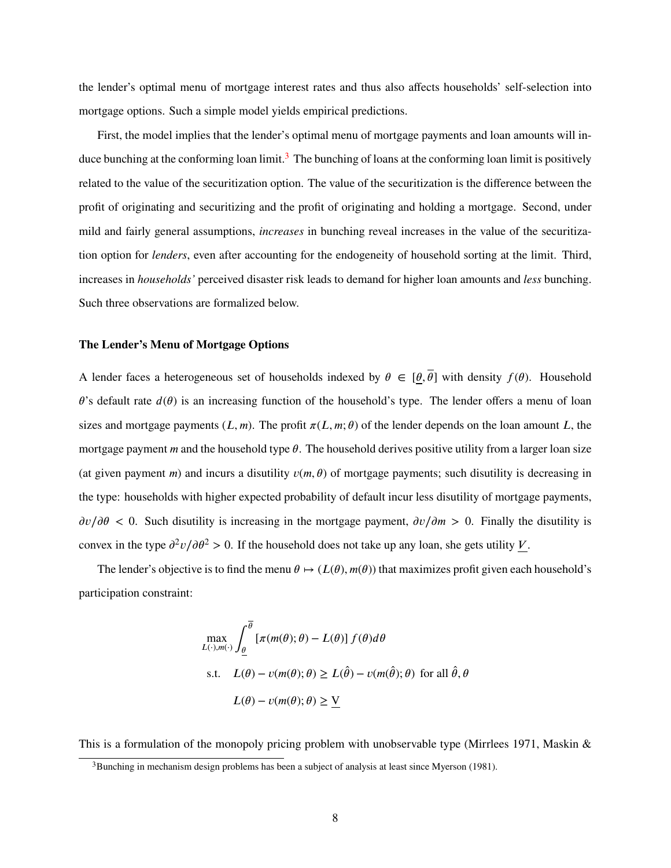the lender's optimal menu of mortgage interest rates and thus also affects households' self-selection into mortgage options. Such a simple model yields empirical predictions.

First, the model implies that the lender's optimal menu of mortgage payments and loan amounts will induce bunching at the conforming loan limit.<sup>3</sup> The bunching of loans at the conforming loan limit is positively related to the value of the securitization option. The value of the securitization is the difference between the profit of originating and securitizing and the profit of originating and holding a mortgage. Second, under mild and fairly general assumptions, *increases* in bunching reveal increases in the value of the securitization option for *lenders*, even after accounting for the endogeneity of household sorting at the limit. Third, increases in *households'* perceived disaster risk leads to demand for higher loan amounts and *less* bunching. Such three observations are formalized below.

## **The Lender's Menu of Mortgage Options**

A lender faces a heterogeneous set of households indexed by  $\theta \in [\theta, \overline{\theta}]$  with density  $f(\theta)$ . Household  $\theta$ 's default rate  $d(\theta)$  is an increasing function of the household's type. The lender offers a menu of loan sizes and mortgage payments  $(L, m)$ . The profit  $\pi(L, m; \theta)$  of the lender depends on the loan amount *L*, the mortgage payment *m* and the household type  $\theta$ . The household derives positive utility from a larger loan size (at given payment  $m$ ) and incurs a disutility  $v(m, \theta)$  of mortgage payments; such disutility is decreasing in the type: households with higher expected probability of default incur less disutility of mortgage payments,  $\partial v/\partial \theta$  < 0. Such disutility is increasing in the mortgage payment,  $\partial v/\partial m$  > 0. Finally the disutility is convex in the type  $\partial^2 v / \partial \theta^2 > 0$ . If the household does not take up any loan, she gets utility *V*.

The lender's objective is to find the menu  $\theta \mapsto (L(\theta), m(\theta))$  that maximizes profit given each household's participation constraint:

$$
\max_{L(\cdot),m(\cdot)} \int_{\underline{\theta}}^{\overline{\theta}} \left[ \pi(m(\theta); \theta) - L(\theta) \right] f(\theta) d\theta
$$
  
s.t.  $L(\theta) - \upsilon(m(\theta); \theta) \ge L(\hat{\theta}) - \upsilon(m(\hat{\theta}); \theta)$  for all  $\hat{\theta}, \theta$   
 $L(\theta) - \upsilon(m(\theta); \theta) \ge \underline{V}$ 

This is a formulation of the monopoly pricing problem with unobservable type (Mirrlees 1971, Maskin  $\&$ 

<sup>3</sup>Bunching in mechanism design problems has been a subject of analysis at least since Myerson (1981).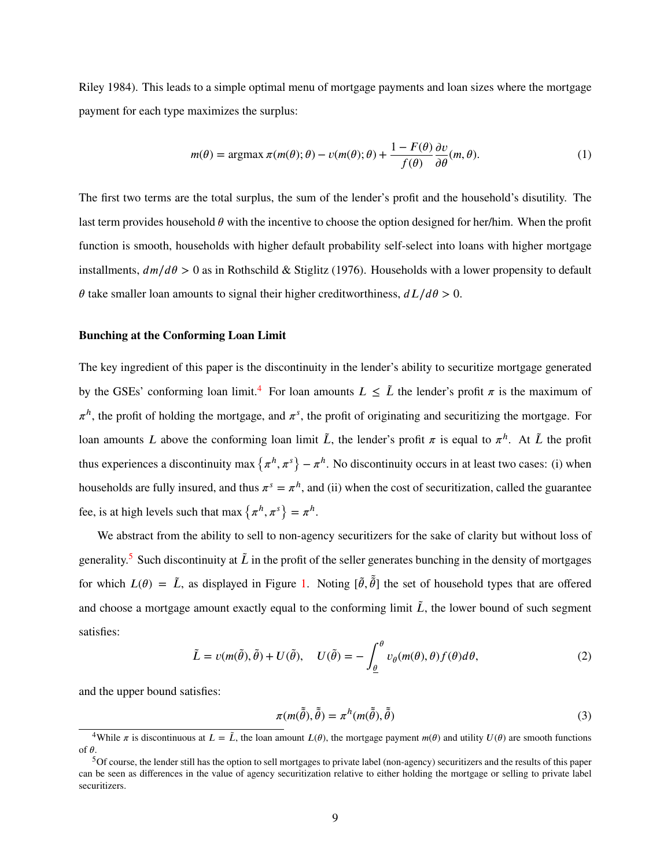Riley 1984). This leads to a simple optimal menu of mortgage payments and loan sizes where the mortgage payment for each type maximizes the surplus:

$$
m(\theta) = \operatorname{argmax} \pi(m(\theta); \theta) - \upsilon(m(\theta); \theta) + \frac{1 - F(\theta)}{f(\theta)} \frac{\partial \upsilon}{\partial \theta}(m, \theta). \tag{1}
$$

The first two terms are the total surplus, the sum of the lender's profit and the household's disutility. The last term provides household  $\theta$  with the incentive to choose the option designed for her/him. When the profit function is smooth, households with higher default probability self-select into loans with higher mortgage installments,  $dm/d\theta > 0$  as in Rothschild & Stiglitz (1976). Households with a lower propensity to default  $\theta$  take smaller loan amounts to signal their higher creditworthiness,  $dL/d\theta > 0$ .

## **Bunching at the Conforming Loan Limit**

The key ingredient of this paper is the discontinuity in the lender's ability to securitize mortgage generated by the GSEs' conforming loan limit.<sup>4</sup> For loan amounts  $L \leq \tilde{L}$  the lender's profit  $\pi$  is the maximum of  $\pi^h$ , the profit of holding the mortgage, and  $\pi^s$ , the profit of originating and securitizing the mortgage. For loan amounts *L* above the conforming loan limit  $\tilde{L}$ , the lender's profit  $\pi$  is equal to  $\pi^h$ . At  $\tilde{L}$  the profit thus experiences a discontinuity max  $\{\pi^h, \pi^s\} - \pi^h$ . No discontinuity occurs in at least two cases: (i) when households are fully insured, and thus  $\pi^s = \pi^h$ , and (ii) when the cost of securitization, called the guarantee fee, is at high levels such that max  $\{\pi^h, \pi^s\} = \pi^h$ .

We abstract from the ability to sell to non-agency securitizers for the sake of clarity but without loss of generality.<sup>5</sup> Such discontinuity at  $\tilde{L}$  in the profit of the seller generates bunching in the density of mortgages for which  $L(\theta) = \tilde{L}$ , as displayed in Figure 1. Noting  $[\tilde{\theta}, \tilde{\theta}]$  the set of household types that are offered and choose a mortgage amount exactly equal to the conforming limit  $\tilde{L}$ , the lower bound of such segment satisfies:

$$
\tilde{L} = v(m(\tilde{\theta}), \tilde{\theta}) + U(\tilde{\theta}), \quad U(\tilde{\theta}) = -\int_{\underline{\theta}}^{\theta} v_{\theta}(m(\theta), \theta) f(\theta) d\theta,
$$
\n(2)

and the upper bound satisfies:

$$
\pi(m(\tilde{\tilde{\theta}}), \tilde{\tilde{\theta}}) = \pi^h(m(\tilde{\tilde{\theta}}), \tilde{\tilde{\theta}})
$$
\n(3)

<sup>&</sup>lt;sup>4</sup>While  $\pi$  is discontinuous at  $L = \tilde{L}$ , the loan amount  $L(\theta)$ , the mortgage payment  $m(\theta)$  and utility  $U(\theta)$  are smooth functions of  $\theta$ .

<sup>5</sup>Of course, the lender still has the option to sell mortgages to private label (non-agency) securitizers and the results of this paper can be seen as differences in the value of agency securitization relative to either holding the mortgage or selling to private label securitizers.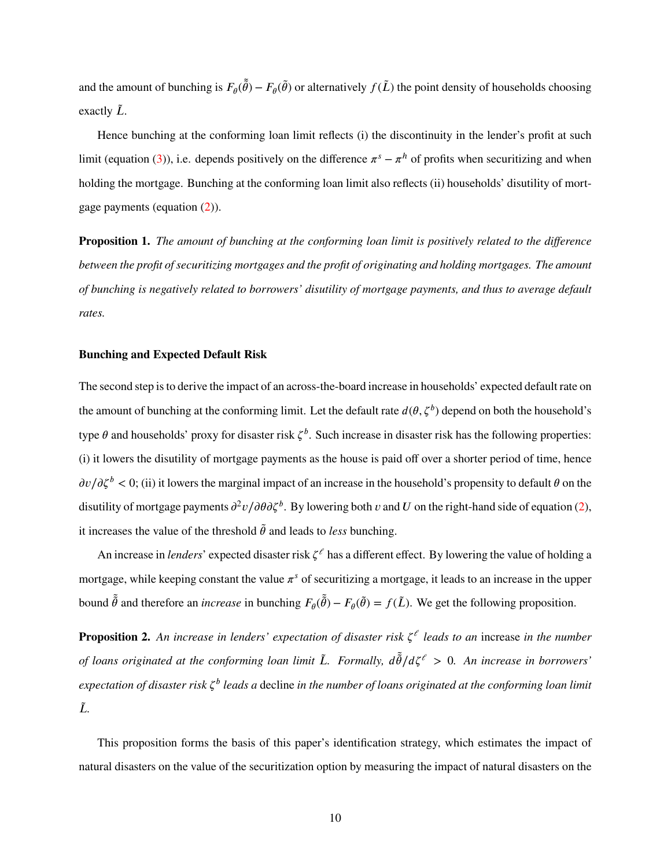and the amount of bunching is  $F_\theta(\tilde{\tilde{\theta}}) - F_\theta(\tilde{\theta})$  or alternatively  $f(\tilde{L})$  the point density of households choosing exactly  $\tilde{L}$ .

Hence bunching at the conforming loan limit reflects (i) the discontinuity in the lender's profit at such limit (equation (3)), i.e. depends positively on the difference  $\pi^s - \pi^h$  of profits when securitizing and when holding the mortgage. Bunching at the conforming loan limit also reflects (ii) households' disutility of mortgage payments (equation (2)).

**Proposition 1.** *The amount of bunching at the conforming loan limit is positively related to the difference between the profit of securitizing mortgages and the profit of originating and holding mortgages. The amount of bunching is negatively related to borrowers' disutility of mortgage payments, and thus to average default rates.*

## **Bunching and Expected Default Risk**

The second step is to derive the impact of an across-the-board increase in households' expected default rate on the amount of bunching at the conforming limit. Let the default rate  $d(\theta, \zeta^b)$  depend on both the household's type  $\theta$  and households' proxy for disaster risk  $\zeta^b$ . Such increase in disaster risk has the following properties: (i) it lowers the disutility of mortgage payments as the house is paid off over a shorter period of time, hence  $\partial v/\partial \zeta^b < 0$ ; (ii) it lowers the marginal impact of an increase in the household's propensity to default  $\theta$  on the disutility of mortgage payments  $\partial^2 v / \partial \theta \partial \zeta^b$ . By lowering both *v* and *U* on the right-hand side of equation (2), it increases the value of the threshold  $\tilde{\theta}$  and leads to *less* bunching.

An increase in *lenders*' expected disaster risk  $\zeta^e$  has a different effect. By lowering the value of holding a mortgage, while keeping constant the value  $\pi^s$  of securitizing a mortgage, it leads to an increase in the upper bound  $\tilde{\theta}$  and therefore an *increase* in bunching  $F_{\theta}(\tilde{\theta}) - F_{\theta}(\tilde{\theta}) = f(\tilde{L})$ . We get the following proposition.

**Proposition 2.** An increase in lenders' expectation of disaster risk  $\zeta^{\ell}$  leads to an increase in the number *of loans originated at the conforming loan limit 𝐿̃. Formally, 𝑑𝜃 ̃̃*∕*𝑑𝜁*<sup>𝓁</sup> *<sup>&</sup>gt;* <sup>0</sup>*. An increase in borrowers' expectation of disaster risk 𝜁 𝑏 leads a* decline *in the number of loans originated at the conforming loan limit 𝐿̃.*

This proposition forms the basis of this paper's identification strategy, which estimates the impact of natural disasters on the value of the securitization option by measuring the impact of natural disasters on the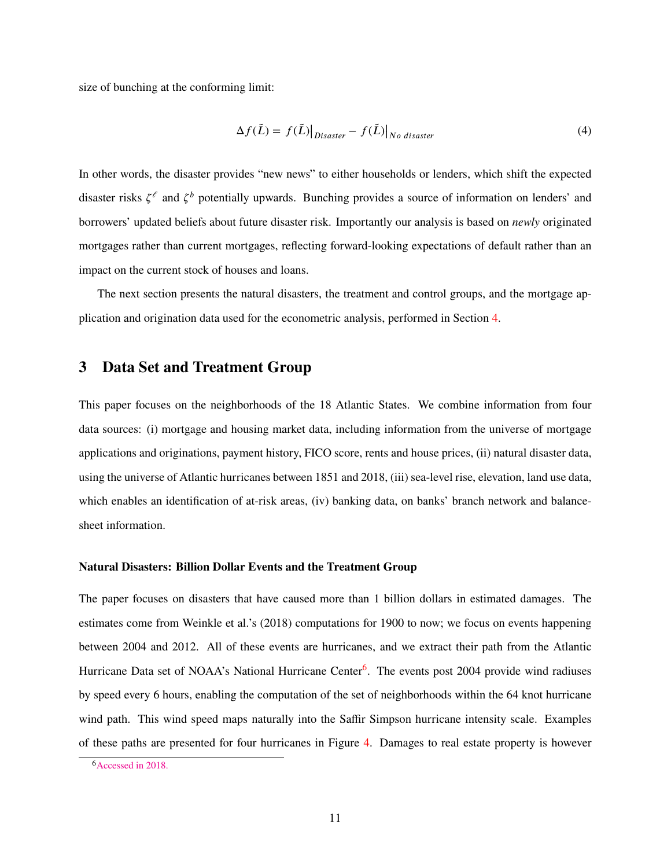size of bunching at the conforming limit:

$$
\Delta f(\tilde{L}) = f(\tilde{L})\big|_{Disaster} - f(\tilde{L})\big|_{No\; disaster} \tag{4}
$$

In other words, the disaster provides "new news" to either households or lenders, which shift the expected disaster risks  $\zeta^e$  and  $\zeta^b$  potentially upwards. Bunching provides a source of information on lenders' and borrowers' updated beliefs about future disaster risk. Importantly our analysis is based on *newly* originated mortgages rather than current mortgages, reflecting forward-looking expectations of default rather than an impact on the current stock of houses and loans.

The next section presents the natural disasters, the treatment and control groups, and the mortgage application and origination data used for the econometric analysis, performed in Section 4.

# **3 Data Set and Treatment Group**

This paper focuses on the neighborhoods of the 18 Atlantic States. We combine information from four data sources: (i) mortgage and housing market data, including information from the universe of mortgage applications and originations, payment history, FICO score, rents and house prices, (ii) natural disaster data, using the universe of Atlantic hurricanes between 1851 and 2018, (iii) sea-level rise, elevation, land use data, which enables an identification of at-risk areas, (iv) banking data, on banks' branch network and balancesheet information.

# **Natural Disasters: Billion Dollar Events and the Treatment Group**

The paper focuses on disasters that have caused more than 1 billion dollars in estimated damages. The estimates come from Weinkle et al.'s (2018) computations for 1900 to now; we focus on events happening between 2004 and 2012. All of these events are hurricanes, and we extract their path from the Atlantic Hurricane Data set of NOAA's National Hurricane Center<sup>6</sup>. The events post 2004 provide wind radiuses by speed every 6 hours, enabling the computation of the set of neighborhoods within the 64 knot hurricane wind path. This wind speed maps naturally into the Saffir Simpson hurricane intensity scale. Examples of these paths are presented for four hurricanes in Figure 4. Damages to real estate property is however

<sup>6</sup>Accessed in 2018.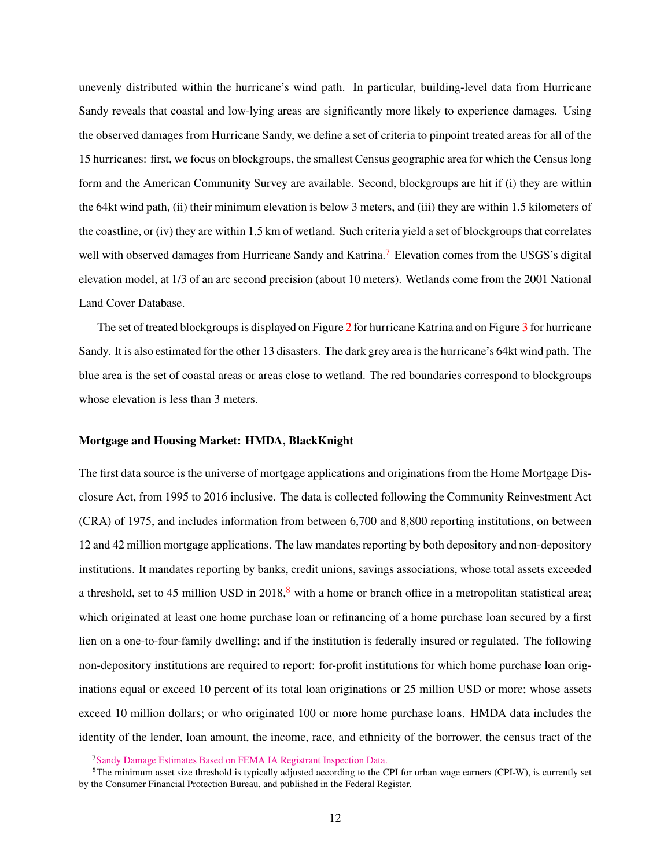unevenly distributed within the hurricane's wind path. In particular, building-level data from Hurricane Sandy reveals that coastal and low-lying areas are significantly more likely to experience damages. Using the observed damages from Hurricane Sandy, we define a set of criteria to pinpoint treated areas for all of the 15 hurricanes: first, we focus on blockgroups, the smallest Census geographic area for which the Census long form and the American Community Survey are available. Second, blockgroups are hit if (i) they are within the 64kt wind path, (ii) their minimum elevation is below 3 meters, and (iii) they are within 1.5 kilometers of the coastline, or (iv) they are within 1.5 km of wetland. Such criteria yield a set of blockgroups that correlates well with observed damages from Hurricane Sandy and Katrina.<sup>7</sup> Elevation comes from the USGS's digital elevation model, at 1/3 of an arc second precision (about 10 meters). Wetlands come from the 2001 National Land Cover Database.

The set of treated blockgroups is displayed on Figure 2 for hurricane Katrina and on Figure 3 for hurricane Sandy. It is also estimated for the other 13 disasters. The dark grey area is the hurricane's 64kt wind path. The blue area is the set of coastal areas or areas close to wetland. The red boundaries correspond to blockgroups whose elevation is less than 3 meters.

## **Mortgage and Housing Market: HMDA, BlackKnight**

The first data source is the universe of mortgage applications and originations from the Home Mortgage Disclosure Act, from 1995 to 2016 inclusive. The data is collected following the Community Reinvestment Act (CRA) of 1975, and includes information from between 6,700 and 8,800 reporting institutions, on between 12 and 42 million mortgage applications. The law mandates reporting by both depository and non-depository institutions. It mandates reporting by banks, credit unions, savings associations, whose total assets exceeded a threshold, set to 45 million USD in 2018, $\frac{8}{3}$  with a home or branch office in a metropolitan statistical area; which originated at least one home purchase loan or refinancing of a home purchase loan secured by a first lien on a one-to-four-family dwelling; and if the institution is federally insured or regulated. The following non-depository institutions are required to report: for-profit institutions for which home purchase loan originations equal or exceed 10 percent of its total loan originations or 25 million USD or more; whose assets exceed 10 million dollars; or who originated 100 or more home purchase loans. HMDA data includes the identity of the lender, loan amount, the income, race, and ethnicity of the borrower, the census tract of the

<sup>&</sup>lt;sup>7</sup>Sandy Damage Estimates Based on FEMA IA Registrant Inspection Data.

<sup>&</sup>lt;sup>8</sup>The minimum asset size threshold is typically adjusted according to the CPI for urban wage earners (CPI-W), is currently set by the Consumer Financial Protection Bureau, and published in the Federal Register.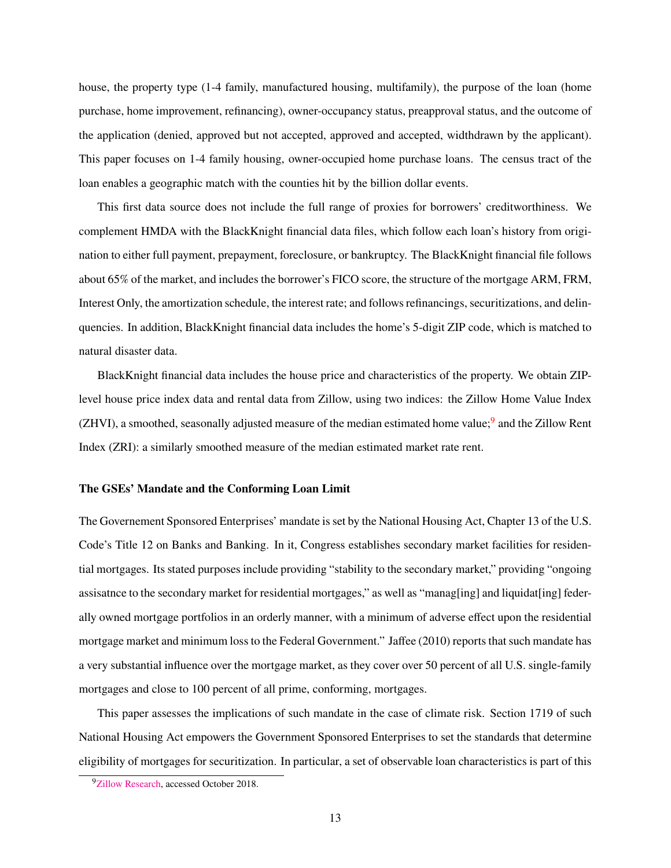house, the property type (1-4 family, manufactured housing, multifamily), the purpose of the loan (home purchase, home improvement, refinancing), owner-occupancy status, preapproval status, and the outcome of the application (denied, approved but not accepted, approved and accepted, widthdrawn by the applicant). This paper focuses on 1-4 family housing, owner-occupied home purchase loans. The census tract of the loan enables a geographic match with the counties hit by the billion dollar events.

This first data source does not include the full range of proxies for borrowers' creditworthiness. We complement HMDA with the BlackKnight financial data files, which follow each loan's history from origination to either full payment, prepayment, foreclosure, or bankruptcy. The BlackKnight financial file follows about 65% of the market, and includes the borrower's FICO score, the structure of the mortgage ARM, FRM, Interest Only, the amortization schedule, the interest rate; and follows refinancings, securitizations, and delinquencies. In addition, BlackKnight financial data includes the home's 5-digit ZIP code, which is matched to natural disaster data.

BlackKnight financial data includes the house price and characteristics of the property. We obtain ZIPlevel house price index data and rental data from Zillow, using two indices: the Zillow Home Value Index (ZHVI), a smoothed, seasonally adjusted measure of the median estimated home value;<sup>9</sup> and the Zillow Rent Index (ZRI): a similarly smoothed measure of the median estimated market rate rent.

## **The GSEs' Mandate and the Conforming Loan Limit**

The Governement Sponsored Enterprises' mandate is set by the National Housing Act, Chapter 13 of the U.S. Code's Title 12 on Banks and Banking. In it, Congress establishes secondary market facilities for residential mortgages. Its stated purposes include providing "stability to the secondary market," providing "ongoing assisatnce to the secondary market for residential mortgages," as well as "manag[ing] and liquidat[ing] federally owned mortgage portfolios in an orderly manner, with a minimum of adverse effect upon the residential mortgage market and minimum loss to the Federal Government." Jaffee (2010) reports that such mandate has a very substantial influence over the mortgage market, as they cover over 50 percent of all U.S. single-family mortgages and close to 100 percent of all prime, conforming, mortgages.

This paper assesses the implications of such mandate in the case of climate risk. Section 1719 of such National Housing Act empowers the Government Sponsored Enterprises to set the standards that determine eligibility of mortgages for securitization. In particular, a set of observable loan characteristics is part of this

<sup>&</sup>lt;sup>9</sup>Zillow Research, accessed October 2018.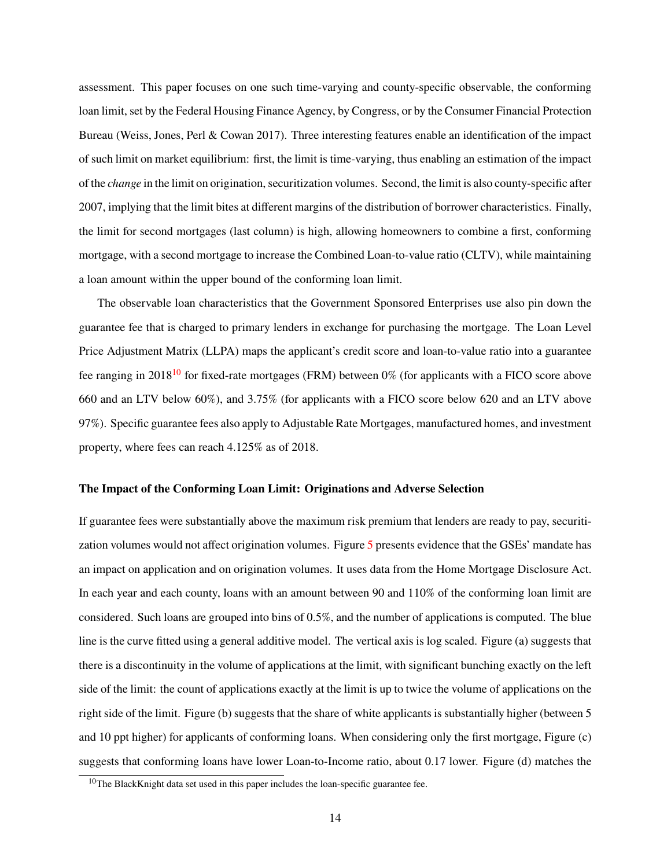assessment. This paper focuses on one such time-varying and county-specific observable, the conforming loan limit, set by the Federal Housing Finance Agency, by Congress, or by the Consumer Financial Protection Bureau (Weiss, Jones, Perl & Cowan 2017). Three interesting features enable an identification of the impact of such limit on market equilibrium: first, the limit is time-varying, thus enabling an estimation of the impact of the *change* in the limit on origination, securitization volumes. Second, the limit is also county-specific after 2007, implying that the limit bites at different margins of the distribution of borrower characteristics. Finally, the limit for second mortgages (last column) is high, allowing homeowners to combine a first, conforming mortgage, with a second mortgage to increase the Combined Loan-to-value ratio (CLTV), while maintaining a loan amount within the upper bound of the conforming loan limit.

The observable loan characteristics that the Government Sponsored Enterprises use also pin down the guarantee fee that is charged to primary lenders in exchange for purchasing the mortgage. The Loan Level Price Adjustment Matrix (LLPA) maps the applicant's credit score and loan-to-value ratio into a guarantee fee ranging in 2018<sup>10</sup> for fixed-rate mortgages (FRM) between 0% (for applicants with a FICO score above 660 and an LTV below 60%), and 3.75% (for applicants with a FICO score below 620 and an LTV above 97%). Specific guarantee fees also apply to Adjustable Rate Mortgages, manufactured homes, and investment property, where fees can reach 4.125% as of 2018.

## **The Impact of the Conforming Loan Limit: Originations and Adverse Selection**

If guarantee fees were substantially above the maximum risk premium that lenders are ready to pay, securitization volumes would not affect origination volumes. Figure 5 presents evidence that the GSEs' mandate has an impact on application and on origination volumes. It uses data from the Home Mortgage Disclosure Act. In each year and each county, loans with an amount between 90 and 110% of the conforming loan limit are considered. Such loans are grouped into bins of 0.5%, and the number of applications is computed. The blue line is the curve fitted using a general additive model. The vertical axis is log scaled. Figure (a) suggests that there is a discontinuity in the volume of applications at the limit, with significant bunching exactly on the left side of the limit: the count of applications exactly at the limit is up to twice the volume of applications on the right side of the limit. Figure (b) suggests that the share of white applicants is substantially higher (between 5 and 10 ppt higher) for applicants of conforming loans. When considering only the first mortgage, Figure (c) suggests that conforming loans have lower Loan-to-Income ratio, about 0.17 lower. Figure (d) matches the

 $10$ The BlackKnight data set used in this paper includes the loan-specific guarantee fee.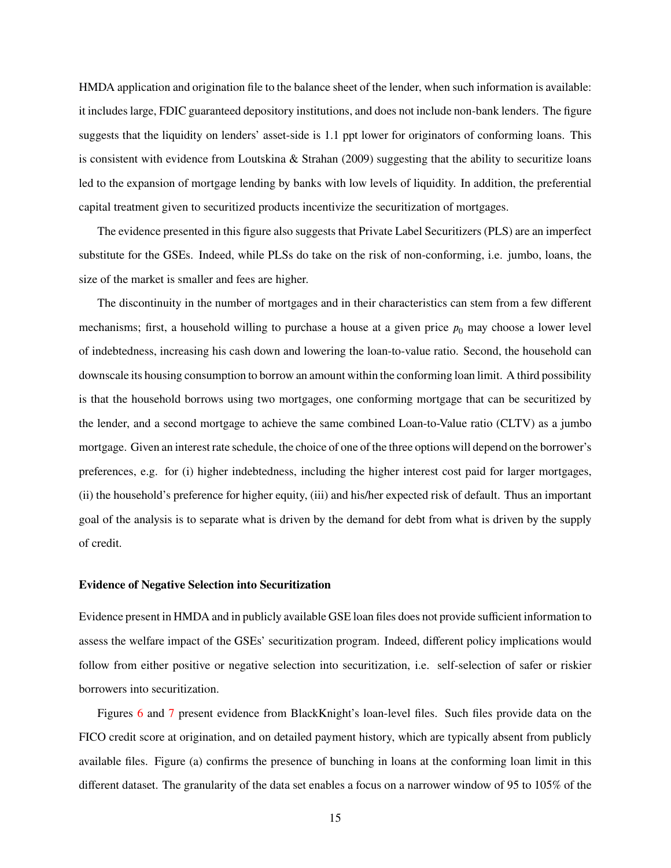HMDA application and origination file to the balance sheet of the lender, when such information is available: it includes large, FDIC guaranteed depository institutions, and does not include non-bank lenders. The figure suggests that the liquidity on lenders' asset-side is 1.1 ppt lower for originators of conforming loans. This is consistent with evidence from Loutskina & Strahan (2009) suggesting that the ability to securitize loans led to the expansion of mortgage lending by banks with low levels of liquidity. In addition, the preferential capital treatment given to securitized products incentivize the securitization of mortgages.

The evidence presented in this figure also suggests that Private Label Securitizers (PLS) are an imperfect substitute for the GSEs. Indeed, while PLSs do take on the risk of non-conforming, i.e. jumbo, loans, the size of the market is smaller and fees are higher.

The discontinuity in the number of mortgages and in their characteristics can stem from a few different mechanisms; first, a household willing to purchase a house at a given price  $p_0$  may choose a lower level of indebtedness, increasing his cash down and lowering the loan-to-value ratio. Second, the household can downscale its housing consumption to borrow an amount within the conforming loan limit. A third possibility is that the household borrows using two mortgages, one conforming mortgage that can be securitized by the lender, and a second mortgage to achieve the same combined Loan-to-Value ratio (CLTV) as a jumbo mortgage. Given an interest rate schedule, the choice of one of the three options will depend on the borrower's preferences, e.g. for (i) higher indebtedness, including the higher interest cost paid for larger mortgages, (ii) the household's preference for higher equity, (iii) and his/her expected risk of default. Thus an important goal of the analysis is to separate what is driven by the demand for debt from what is driven by the supply of credit.

## **Evidence of Negative Selection into Securitization**

Evidence present in HMDA and in publicly available GSE loan files does not provide sufficient information to assess the welfare impact of the GSEs' securitization program. Indeed, different policy implications would follow from either positive or negative selection into securitization, i.e. self-selection of safer or riskier borrowers into securitization.

Figures 6 and 7 present evidence from BlackKnight's loan-level files. Such files provide data on the FICO credit score at origination, and on detailed payment history, which are typically absent from publicly available files. Figure (a) confirms the presence of bunching in loans at the conforming loan limit in this different dataset. The granularity of the data set enables a focus on a narrower window of 95 to 105% of the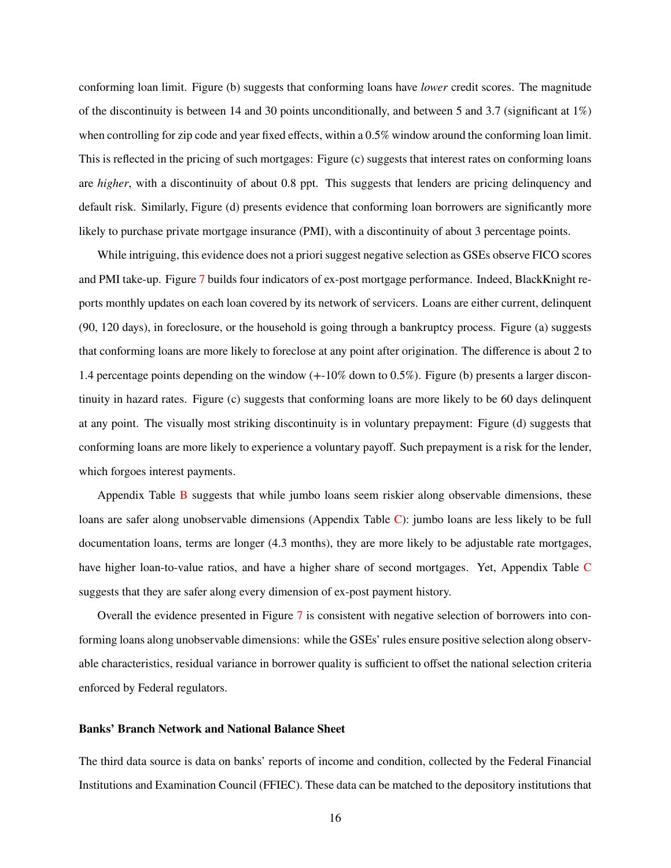conforming loan limit. Figure (b) suggests that conforming loans have *lower* credit scores. The magnitude of the discontinuity is between 14 and 30 points unconditionally, and between 5 and 3.7 (significant at 1%) when controlling for zip code and year fixed effects, within a 0.5% window around the conforming loan limit. This is reflected in the pricing of such mortgages: Figure (c) suggests that interest rates on conforming loans are *higher*, with a discontinuity of about 0.8 ppt. This suggests that lenders are pricing delinquency and default risk. Similarly, Figure (d) presents evidence that conforming loan borrowers are significantly more likely to purchase private mortgage insurance (PMI), with a discontinuity of about 3 percentage points.

While intriguing, this evidence does not a priori suggest negative selection as GSEs observe FICO scores and PMI take-up. Figure 7 builds four indicators of ex-post mortgage performance. Indeed, BlackKnight reports monthly updates on each loan covered by its network of servicers. Loans are either current, delinquent (90, 120 days), in foreclosure, or the household is going through a bankruptcy process. Figure (a) suggests that conforming loans are more likely to foreclose at any point after origination. The difference is about 2 to 1.4 percentage points depending on the window (+-10% down to 0.5%). Figure (b) presents a larger discontinuity in hazard rates. Figure (c) suggests that conforming loans are more likely to be 60 days delinquent at any point. The visually most striking discontinuity is in voluntary prepayment: Figure (d) suggests that conforming loans are more likely to experience a voluntary payoff. Such prepayment is a risk for the lender, which forgoes interest payments.

Appendix Table B suggests that while jumbo loans seem riskier along observable dimensions, these loans are safer along unobservable dimensions (Appendix Table C): jumbo loans are less likely to be full documentation loans, terms are longer (4.3 months), they are more likely to be adjustable rate mortgages, have higher loan-to-value ratios, and have a higher share of second mortgages. Yet, Appendix Table C suggests that they are safer along every dimension of ex-post payment history.

Overall the evidence presented in Figure 7 is consistent with negative selection of borrowers into conforming loans along unobservable dimensions: while the GSEs' rules ensure positive selection along observable characteristics, residual variance in borrower quality is sufficient to offset the national selection criteria enforced by Federal regulators.

#### **Banks' Branch Network and National Balance Sheet**

The third data source is data on banks' reports of income and condition, collected by the Federal Financial Institutions and Examination Council (FFIEC). These data can be matched to the depository institutions that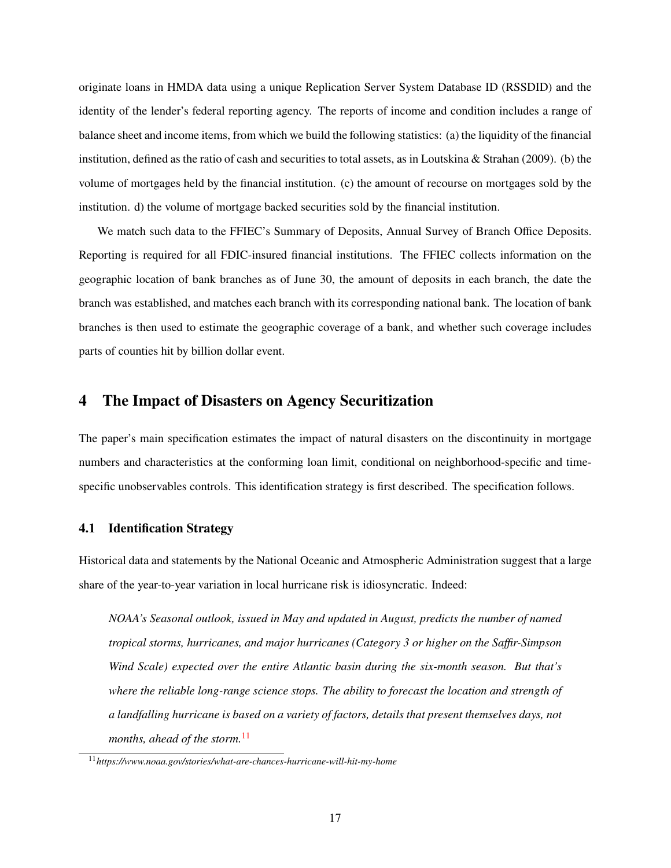originate loans in HMDA data using a unique Replication Server System Database ID (RSSDID) and the identity of the lender's federal reporting agency. The reports of income and condition includes a range of balance sheet and income items, from which we build the following statistics: (a) the liquidity of the financial institution, defined as the ratio of cash and securities to total assets, as in Loutskina & Strahan (2009). (b) the volume of mortgages held by the financial institution. (c) the amount of recourse on mortgages sold by the institution. d) the volume of mortgage backed securities sold by the financial institution.

We match such data to the FFIEC's Summary of Deposits, Annual Survey of Branch Office Deposits. Reporting is required for all FDIC-insured financial institutions. The FFIEC collects information on the geographic location of bank branches as of June 30, the amount of deposits in each branch, the date the branch was established, and matches each branch with its corresponding national bank. The location of bank branches is then used to estimate the geographic coverage of a bank, and whether such coverage includes parts of counties hit by billion dollar event.

# **4 The Impact of Disasters on Agency Securitization**

The paper's main specification estimates the impact of natural disasters on the discontinuity in mortgage numbers and characteristics at the conforming loan limit, conditional on neighborhood-specific and timespecific unobservables controls. This identification strategy is first described. The specification follows.

# **4.1 Identification Strategy**

Historical data and statements by the National Oceanic and Atmospheric Administration suggest that a large share of the year-to-year variation in local hurricane risk is idiosyncratic. Indeed:

*NOAA's Seasonal outlook, issued in May and updated in August, predicts the number of named tropical storms, hurricanes, and major hurricanes (Category 3 or higher on the Saffir-Simpson Wind Scale) expected over the entire Atlantic basin during the six-month season. But that's where the reliable long-range science stops. The ability to forecast the location and strength of a landfalling hurricane is based on a variety of factors, details that present themselves days, not months, ahead of the storm.*<sup>11</sup>

<sup>11</sup>*https://www.noaa.gov/stories/what-are-chances-hurricane-will-hit-my-home*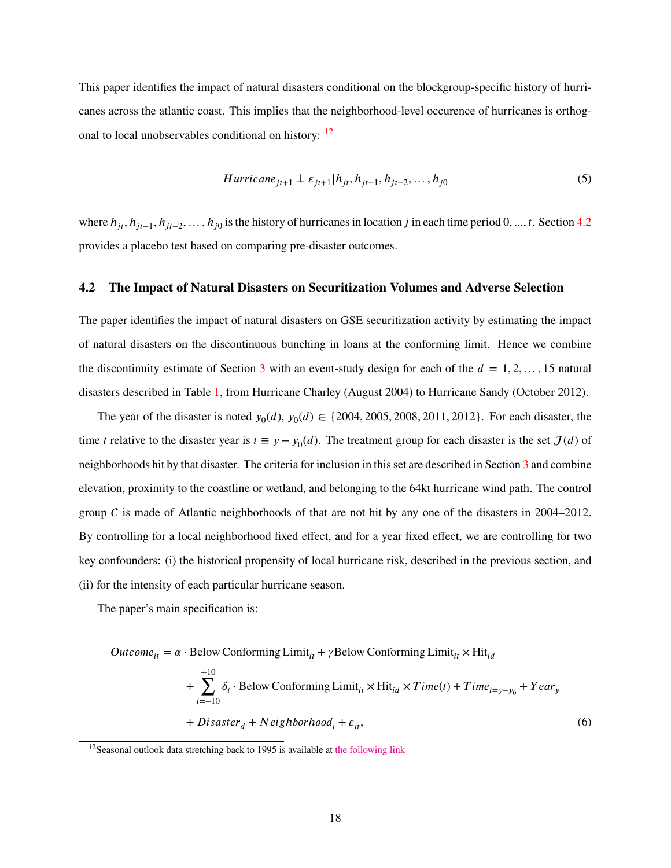This paper identifies the impact of natural disasters conditional on the blockgroup-specific history of hurricanes across the atlantic coast. This implies that the neighborhood-level occurence of hurricanes is orthogonal to local unobservables conditional on history: <sup>12</sup>

$$
Hurricane_{jt+1} \perp \varepsilon_{jt+1} |h_{jt}, h_{jt-1}, h_{jt-2}, \dots, h_{j0}
$$
\n
$$
\tag{5}
$$

where  $h_{jt}, h_{jt-1}, h_{jt-2}, \ldots, h_{j0}$  is the history of hurricanes in location *j* in each time period 0, ..., *t*. Section 4.2 provides a placebo test based on comparing pre-disaster outcomes.

## **4.2 The Impact of Natural Disasters on Securitization Volumes and Adverse Selection**

The paper identifies the impact of natural disasters on GSE securitization activity by estimating the impact of natural disasters on the discontinuous bunching in loans at the conforming limit. Hence we combine the discontinuity estimate of Section 3 with an event-study design for each of the  $d = 1, 2, \ldots, 15$  natural disasters described in Table 1, from Hurricane Charley (August 2004) to Hurricane Sandy (October 2012).

The year of the disaster is noted  $y_0(d)$ ,  $y_0(d) \in \{2004, 2005, 2008, 2011, 2012\}$ . For each disaster, the time *t* relative to the disaster year is  $t \equiv y - y_0(d)$ . The treatment group for each disaster is the set  $\mathcal{J}(d)$  of neighborhoods hit by that disaster. The criteria for inclusion in this set are described in Section 3 and combine elevation, proximity to the coastline or wetland, and belonging to the 64kt hurricane wind path. The control group C is made of Atlantic neighborhoods of that are not hit by any one of the disasters in 2004–2012. By controlling for a local neighborhood fixed effect, and for a year fixed effect, we are controlling for two key confounders: (i) the historical propensity of local hurricane risk, described in the previous section, and (ii) for the intensity of each particular hurricane season.

The paper's main specification is:

$$
Outcome_{it} = \alpha \cdot Below \text{ Conforming Limit}_{it} + \gamma \text{Below Conforming Limit}_{it} \times \text{Hit}_{it} \times \text{Hit}_{id}
$$
  
+ 
$$
\sum_{t=-10}^{+10} \delta_t \cdot \text{Below Conforming Limit}_{it} \times \text{Hit}_{id} \times Time(t) + Time_{t=y-y_0} + Year_y
$$
  
+ 
$$
Dissaster_d + Neighbourhood_i + \varepsilon_{it},
$$
 (6)

 $12$ Seasonal outlook data stretching back to 1995 is available at the following link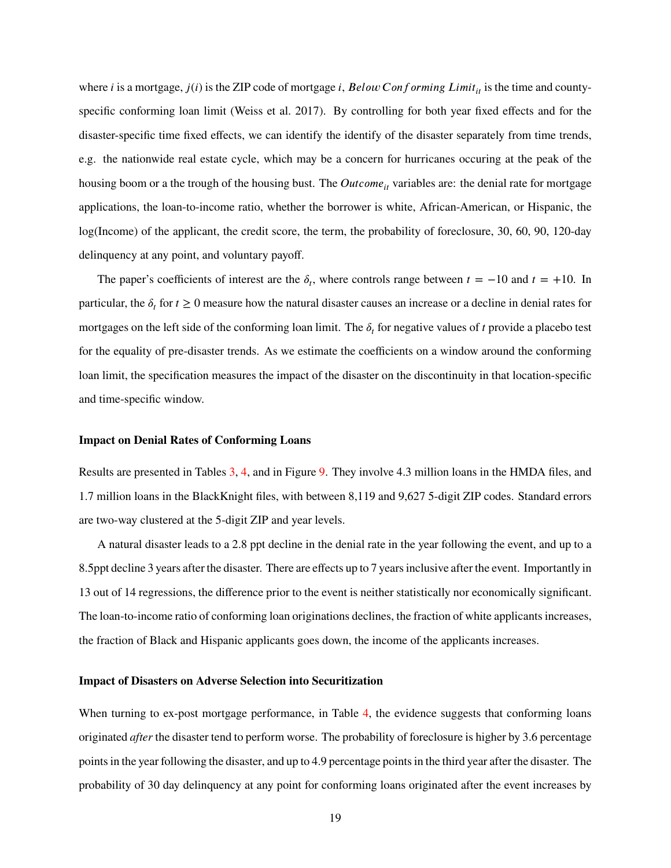where *i* is a mortgage, *j*(*i*) is the ZIP code of mortgage *i*, *Below Conf orming Limit<sub>it</sub>* is the time and countyspecific conforming loan limit (Weiss et al. 2017). By controlling for both year fixed effects and for the disaster-specific time fixed effects, we can identify the identify of the disaster separately from time trends, e.g. the nationwide real estate cycle, which may be a concern for hurricanes occuring at the peak of the housing boom or a the trough of the housing bust. The *Outcome*<sub>it</sub> variables are: the denial rate for mortgage applications, the loan-to-income ratio, whether the borrower is white, African-American, or Hispanic, the log(Income) of the applicant, the credit score, the term, the probability of foreclosure, 30, 60, 90, 120-day delinquency at any point, and voluntary payoff.

The paper's coefficients of interest are the  $\delta_t$ , where controls range between  $t = -10$  and  $t = +10$ . In particular, the  $\delta_t$  for  $t \geq 0$  measure how the natural disaster causes an increase or a decline in denial rates for mortgages on the left side of the conforming loan limit. The  $\delta_t$  for negative values of *t* provide a placebo test for the equality of pre-disaster trends. As we estimate the coefficients on a window around the conforming loan limit, the specification measures the impact of the disaster on the discontinuity in that location-specific and time-specific window.

## **Impact on Denial Rates of Conforming Loans**

Results are presented in Tables 3, 4, and in Figure 9. They involve 4.3 million loans in the HMDA files, and 1.7 million loans in the BlackKnight files, with between 8,119 and 9,627 5-digit ZIP codes. Standard errors are two-way clustered at the 5-digit ZIP and year levels.

A natural disaster leads to a 2.8 ppt decline in the denial rate in the year following the event, and up to a 8.5ppt decline 3 years after the disaster. There are effects up to 7 years inclusive after the event. Importantly in 13 out of 14 regressions, the difference prior to the event is neither statistically nor economically significant. The loan-to-income ratio of conforming loan originations declines, the fraction of white applicants increases, the fraction of Black and Hispanic applicants goes down, the income of the applicants increases.

## **Impact of Disasters on Adverse Selection into Securitization**

When turning to ex-post mortgage performance, in Table 4, the evidence suggests that conforming loans originated *after* the disaster tend to perform worse. The probability of foreclosure is higher by 3.6 percentage points in the year following the disaster, and up to 4.9 percentage points in the third year after the disaster. The probability of 30 day delinquency at any point for conforming loans originated after the event increases by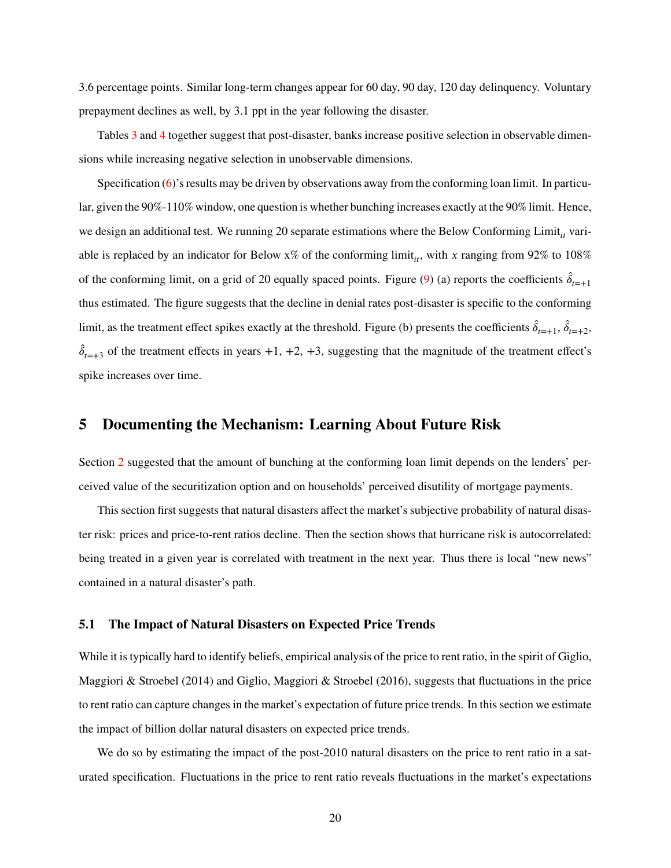3.6 percentage points. Similar long-term changes appear for 60 day, 90 day, 120 day delinquency. Voluntary prepayment declines as well, by 3.1 ppt in the year following the disaster.

Tables 3 and 4 together suggest that post-disaster, banks increase positive selection in observable dimensions while increasing negative selection in unobservable dimensions.

Specification (6)'s results may be driven by observations away from the conforming loan limit. In particular, given the 90%-110% window, one question is whether bunching increases exactly at the 90% limit. Hence, we design an additional test. We running 20 separate estimations where the Below Conforming Limit<sub>it</sub> variable is replaced by an indicator for Below  $x\%$  of the conforming limit<sub>it</sub>, with x ranging from 92% to 108% of the conforming limit, on a grid of 20 equally spaced points. Figure (9) (a) reports the coefficients  $\hat{\delta}_{t=+1}$ thus estimated. The figure suggests that the decline in denial rates post-disaster is specific to the conforming limit, as the treatment effect spikes exactly at the threshold. Figure (b) presents the coefficients  $\hat{\delta}_{t=+1}, \hat{\delta}_{t=+2}$ ,  $\hat{\delta}_{t=+3}$  of the treatment effects in years +1, +2, +3, suggesting that the magnitude of the treatment effect's spike increases over time.

# **5 Documenting the Mechanism: Learning About Future Risk**

Section 2 suggested that the amount of bunching at the conforming loan limit depends on the lenders' perceived value of the securitization option and on households' perceived disutility of mortgage payments.

This section first suggests that natural disasters affect the market's subjective probability of natural disaster risk: prices and price-to-rent ratios decline. Then the section shows that hurricane risk is autocorrelated: being treated in a given year is correlated with treatment in the next year. Thus there is local "new news" contained in a natural disaster's path.

## **5.1 The Impact of Natural Disasters on Expected Price Trends**

While it is typically hard to identify beliefs, empirical analysis of the price to rent ratio, in the spirit of Giglio, Maggiori & Stroebel (2014) and Giglio, Maggiori & Stroebel (2016), suggests that fluctuations in the price to rent ratio can capture changes in the market's expectation of future price trends. In this section we estimate the impact of billion dollar natural disasters on expected price trends.

We do so by estimating the impact of the post-2010 natural disasters on the price to rent ratio in a saturated specification. Fluctuations in the price to rent ratio reveals fluctuations in the market's expectations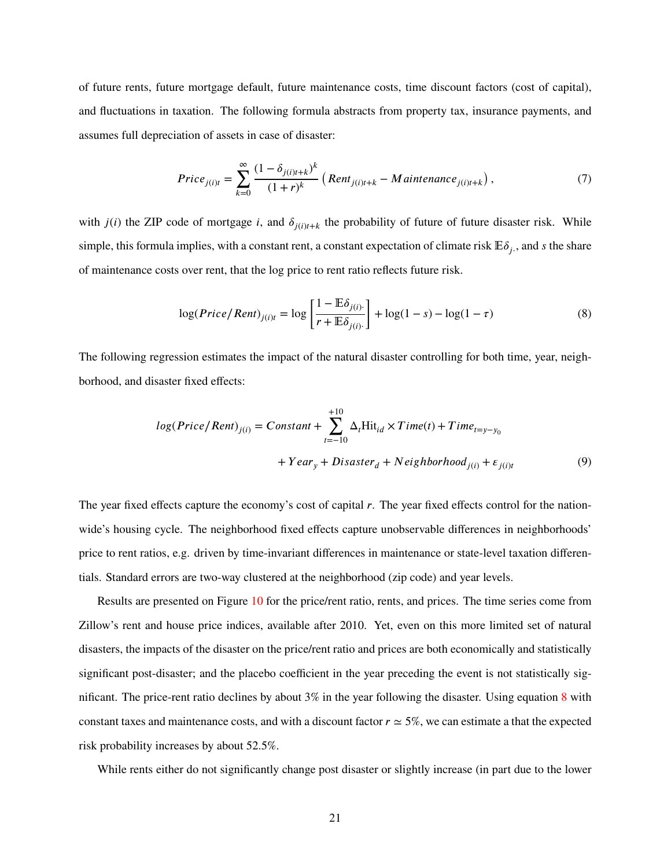of future rents, future mortgage default, future maintenance costs, time discount factors (cost of capital), and fluctuations in taxation. The following formula abstracts from property tax, insurance payments, and assumes full depreciation of assets in case of disaster:

$$
Price_{j(i)t} = \sum_{k=0}^{\infty} \frac{(1 - \delta_{j(i)t+k})^k}{(1+r)^k} \left( Rent_{j(i)t+k} - Maintenance_{j(i)t+k} \right), \tag{7}
$$

with  $j(i)$  the ZIP code of mortgage *i*, and  $\delta_{j(i)t+k}$  the probability of future of future disaster risk. While simple, this formula implies, with a constant rent, a constant expectation of climate risk  $\mathbb{E}\delta_j$ , and *s* the share of maintenance costs over rent, that the log price to rent ratio reflects future risk.

$$
\log(Price/Rent)_{j(i)t} = \log\left[\frac{1 - \mathbb{E}\delta_{j(i)}}{r + \mathbb{E}\delta_{j(i)}}\right] + \log(1 - s) - \log(1 - \tau)
$$
\n(8)

The following regression estimates the impact of the natural disaster controlling for both time, year, neighborhood, and disaster fixed effects:

$$
log(Price/Rent)_{j(i)} = Constant + \sum_{t=-10}^{+10} \Delta_t Hit_{id} \times Time(t) + Time_{t=y-y_0}
$$

$$
+ Year_y + Disaster_d + Neighbourhood_{j(i)} + \varepsilon_{j(i)t}
$$
(9)

The year fixed effects capture the economy's cost of capital *r*. The year fixed effects control for the nationwide's housing cycle. The neighborhood fixed effects capture unobservable differences in neighborhoods' price to rent ratios, e.g. driven by time-invariant differences in maintenance or state-level taxation differentials. Standard errors are two-way clustered at the neighborhood (zip code) and year levels.

Results are presented on Figure 10 for the price/rent ratio, rents, and prices. The time series come from Zillow's rent and house price indices, available after 2010. Yet, even on this more limited set of natural disasters, the impacts of the disaster on the price/rent ratio and prices are both economically and statistically significant post-disaster; and the placebo coefficient in the year preceding the event is not statistically significant. The price-rent ratio declines by about 3% in the year following the disaster. Using equation 8 with constant taxes and maintenance costs, and with a discount factor  $r \approx 5\%$ , we can estimate a that the expected risk probability increases by about 52.5%.

While rents either do not significantly change post disaster or slightly increase (in part due to the lower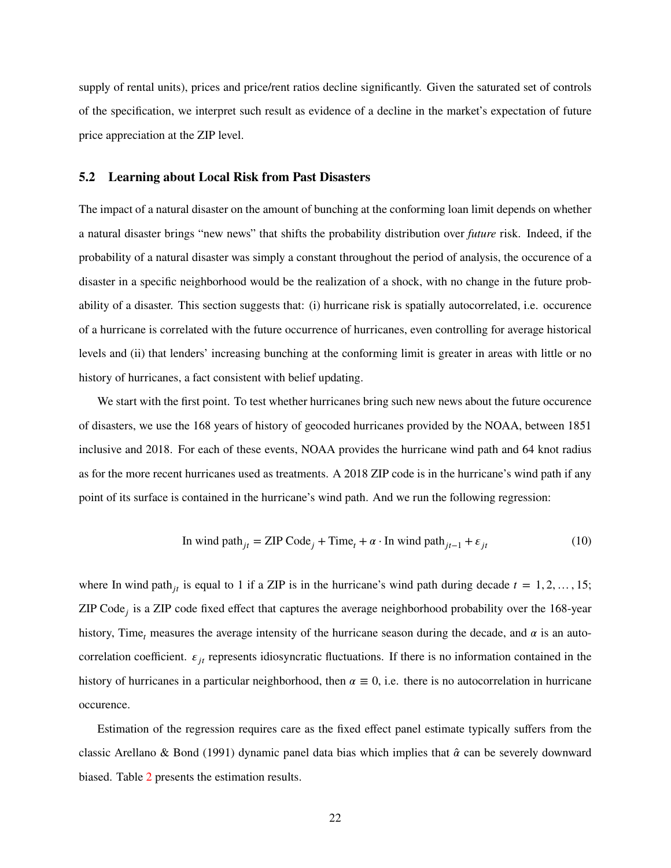supply of rental units), prices and price/rent ratios decline significantly. Given the saturated set of controls of the specification, we interpret such result as evidence of a decline in the market's expectation of future price appreciation at the ZIP level.

## **5.2 Learning about Local Risk from Past Disasters**

The impact of a natural disaster on the amount of bunching at the conforming loan limit depends on whether a natural disaster brings "new news" that shifts the probability distribution over *future* risk. Indeed, if the probability of a natural disaster was simply a constant throughout the period of analysis, the occurence of a disaster in a specific neighborhood would be the realization of a shock, with no change in the future probability of a disaster. This section suggests that: (i) hurricane risk is spatially autocorrelated, i.e. occurence of a hurricane is correlated with the future occurrence of hurricanes, even controlling for average historical levels and (ii) that lenders' increasing bunching at the conforming limit is greater in areas with little or no history of hurricanes, a fact consistent with belief updating.

We start with the first point. To test whether hurricanes bring such new news about the future occurence of disasters, we use the 168 years of history of geocoded hurricanes provided by the NOAA, between 1851 inclusive and 2018. For each of these events, NOAA provides the hurricane wind path and 64 knot radius as for the more recent hurricanes used as treatments. A 2018 ZIP code is in the hurricane's wind path if any point of its surface is contained in the hurricane's wind path. And we run the following regression:

In wind path<sub>jt</sub> = ZIP Code<sub>j</sub> + Time<sub>t</sub> + 
$$
\alpha \cdot
$$
 In wind path<sub>jt-1</sub> +  $\varepsilon$ <sub>jt</sub> (10)

where In wind path<sub>*it*</sub> is equal to 1 if a ZIP is in the hurricane's wind path during decade  $t = 1, 2, \ldots, 15$ ; ZIP Code<sub>j</sub> is a ZIP code fixed effect that captures the average neighborhood probability over the 168-year history, Time<sub>t</sub> measures the average intensity of the hurricane season during the decade, and  $\alpha$  is an autocorrelation coefficient.  $\varepsilon_{it}$  represents idiosyncratic fluctuations. If there is no information contained in the history of hurricanes in a particular neighborhood, then  $\alpha \equiv 0$ , i.e. there is no autocorrelation in hurricane occurence.

Estimation of the regression requires care as the fixed effect panel estimate typically suffers from the classic Arellano & Bond (1991) dynamic panel data bias which implies that  $\hat{\alpha}$  can be severely downward biased. Table 2 presents the estimation results.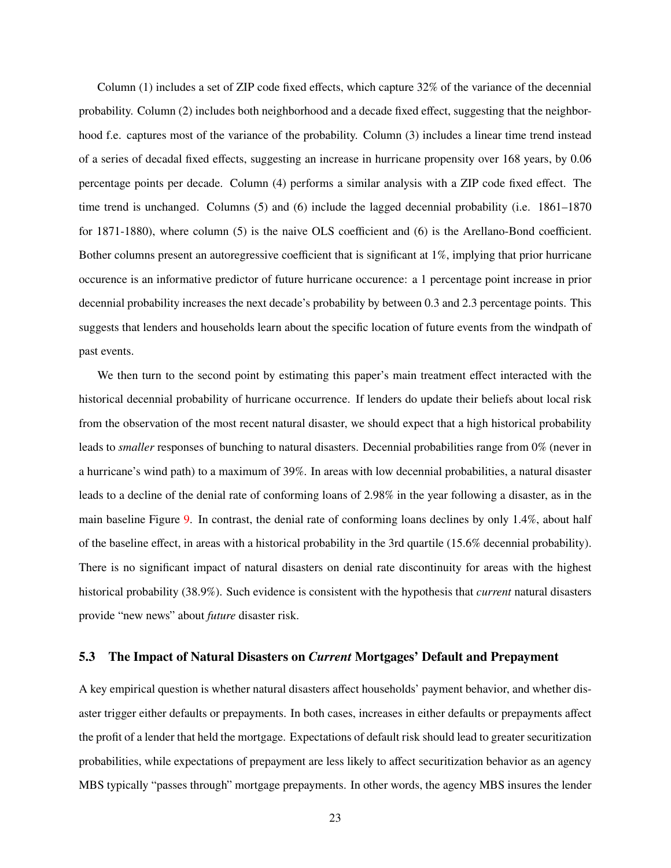Column (1) includes a set of ZIP code fixed effects, which capture 32% of the variance of the decennial probability. Column (2) includes both neighborhood and a decade fixed effect, suggesting that the neighborhood f.e. captures most of the variance of the probability. Column (3) includes a linear time trend instead of a series of decadal fixed effects, suggesting an increase in hurricane propensity over 168 years, by 0.06 percentage points per decade. Column (4) performs a similar analysis with a ZIP code fixed effect. The time trend is unchanged. Columns (5) and (6) include the lagged decennial probability (i.e. 1861–1870 for 1871-1880), where column (5) is the naive OLS coefficient and (6) is the Arellano-Bond coefficient. Bother columns present an autoregressive coefficient that is significant at 1%, implying that prior hurricane occurence is an informative predictor of future hurricane occurence: a 1 percentage point increase in prior decennial probability increases the next decade's probability by between 0.3 and 2.3 percentage points. This suggests that lenders and households learn about the specific location of future events from the windpath of past events.

We then turn to the second point by estimating this paper's main treatment effect interacted with the historical decennial probability of hurricane occurrence. If lenders do update their beliefs about local risk from the observation of the most recent natural disaster, we should expect that a high historical probability leads to *smaller* responses of bunching to natural disasters. Decennial probabilities range from 0% (never in a hurricane's wind path) to a maximum of 39%. In areas with low decennial probabilities, a natural disaster leads to a decline of the denial rate of conforming loans of 2.98% in the year following a disaster, as in the main baseline Figure 9. In contrast, the denial rate of conforming loans declines by only 1.4%, about half of the baseline effect, in areas with a historical probability in the 3rd quartile (15.6% decennial probability). There is no significant impact of natural disasters on denial rate discontinuity for areas with the highest historical probability (38.9%). Such evidence is consistent with the hypothesis that *current* natural disasters provide "new news" about *future* disaster risk.

# **5.3 The Impact of Natural Disasters on** *Current* **Mortgages' Default and Prepayment**

A key empirical question is whether natural disasters affect households' payment behavior, and whether disaster trigger either defaults or prepayments. In both cases, increases in either defaults or prepayments affect the profit of a lender that held the mortgage. Expectations of default risk should lead to greater securitization probabilities, while expectations of prepayment are less likely to affect securitization behavior as an agency MBS typically "passes through" mortgage prepayments. In other words, the agency MBS insures the lender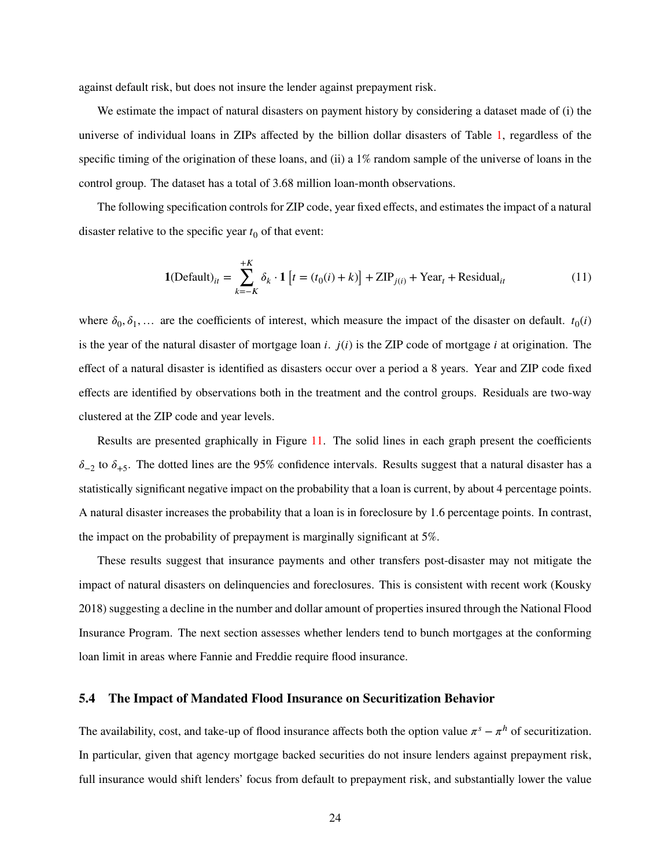against default risk, but does not insure the lender against prepayment risk.

We estimate the impact of natural disasters on payment history by considering a dataset made of (i) the universe of individual loans in ZIPs affected by the billion dollar disasters of Table 1, regardless of the specific timing of the origination of these loans, and (ii) a 1% random sample of the universe of loans in the control group. The dataset has a total of 3.68 million loan-month observations.

The following specification controls for ZIP code, year fixed effects, and estimates the impact of a natural disaster relative to the specific year  $t_0$  of that event:

$$
\mathbf{1}(\text{Default})_{it} = \sum_{k=-K}^{+K} \delta_k \cdot \mathbf{1} \left[ t = (t_0(i) + k) \right] + \text{ZIP}_{j(i)} + \text{Year}_t + \text{Residual}_{it}
$$
(11)

where  $\delta_0, \delta_1, \ldots$  are the coefficients of interest, which measure the impact of the disaster on default.  $t_0(i)$ is the year of the natural disaster of mortgage loan  $i$ .  $j(i)$  is the ZIP code of mortgage  $i$  at origination. The effect of a natural disaster is identified as disasters occur over a period a 8 years. Year and ZIP code fixed effects are identified by observations both in the treatment and the control groups. Residuals are two-way clustered at the ZIP code and year levels.

Results are presented graphically in Figure 11. The solid lines in each graph present the coefficients  $\delta_{-2}$  to  $\delta_{+5}$ . The dotted lines are the 95% confidence intervals. Results suggest that a natural disaster has a statistically significant negative impact on the probability that a loan is current, by about 4 percentage points. A natural disaster increases the probability that a loan is in foreclosure by 1.6 percentage points. In contrast, the impact on the probability of prepayment is marginally significant at 5%.

These results suggest that insurance payments and other transfers post-disaster may not mitigate the impact of natural disasters on delinquencies and foreclosures. This is consistent with recent work (Kousky 2018) suggesting a decline in the number and dollar amount of properties insured through the National Flood Insurance Program. The next section assesses whether lenders tend to bunch mortgages at the conforming loan limit in areas where Fannie and Freddie require flood insurance.

# **5.4 The Impact of Mandated Flood Insurance on Securitization Behavior**

The availability, cost, and take-up of flood insurance affects both the option value  $\pi^s - \pi^h$  of securitization. In particular, given that agency mortgage backed securities do not insure lenders against prepayment risk, full insurance would shift lenders' focus from default to prepayment risk, and substantially lower the value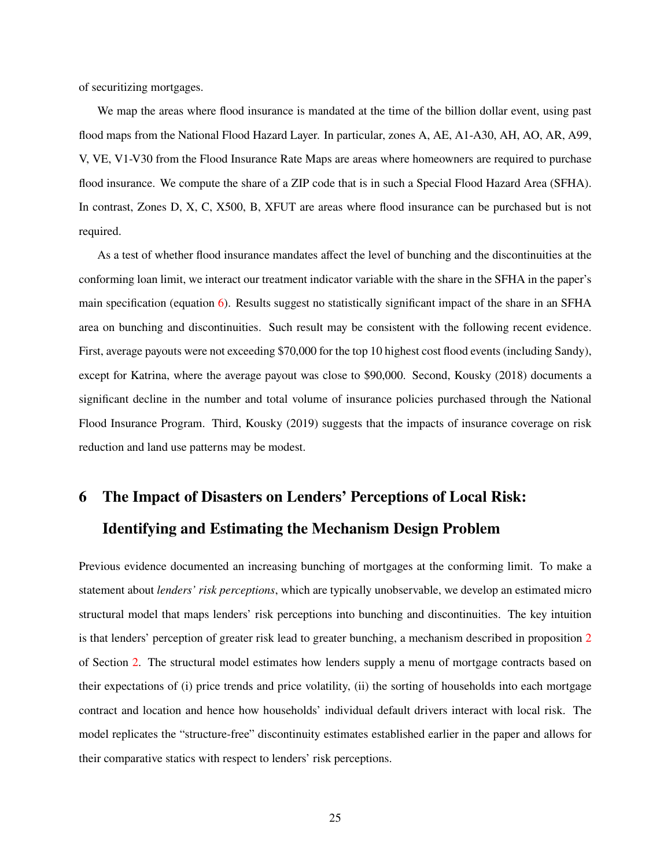of securitizing mortgages.

We map the areas where flood insurance is mandated at the time of the billion dollar event, using past flood maps from the National Flood Hazard Layer. In particular, zones A, AE, A1-A30, AH, AO, AR, A99, V, VE, V1-V30 from the Flood Insurance Rate Maps are areas where homeowners are required to purchase flood insurance. We compute the share of a ZIP code that is in such a Special Flood Hazard Area (SFHA). In contrast, Zones D, X, C, X500, B, XFUT are areas where flood insurance can be purchased but is not required.

As a test of whether flood insurance mandates affect the level of bunching and the discontinuities at the conforming loan limit, we interact our treatment indicator variable with the share in the SFHA in the paper's main specification (equation 6). Results suggest no statistically significant impact of the share in an SFHA area on bunching and discontinuities. Such result may be consistent with the following recent evidence. First, average payouts were not exceeding \$70,000 for the top 10 highest cost flood events (including Sandy), except for Katrina, where the average payout was close to \$90,000. Second, Kousky (2018) documents a significant decline in the number and total volume of insurance policies purchased through the National Flood Insurance Program. Third, Kousky (2019) suggests that the impacts of insurance coverage on risk reduction and land use patterns may be modest.

# **6 The Impact of Disasters on Lenders' Perceptions of Local Risk: Identifying and Estimating the Mechanism Design Problem**

Previous evidence documented an increasing bunching of mortgages at the conforming limit. To make a statement about *lenders' risk perceptions*, which are typically unobservable, we develop an estimated micro structural model that maps lenders' risk perceptions into bunching and discontinuities. The key intuition is that lenders' perception of greater risk lead to greater bunching, a mechanism described in proposition 2 of Section 2. The structural model estimates how lenders supply a menu of mortgage contracts based on their expectations of (i) price trends and price volatility, (ii) the sorting of households into each mortgage contract and location and hence how households' individual default drivers interact with local risk. The model replicates the "structure-free" discontinuity estimates established earlier in the paper and allows for their comparative statics with respect to lenders' risk perceptions.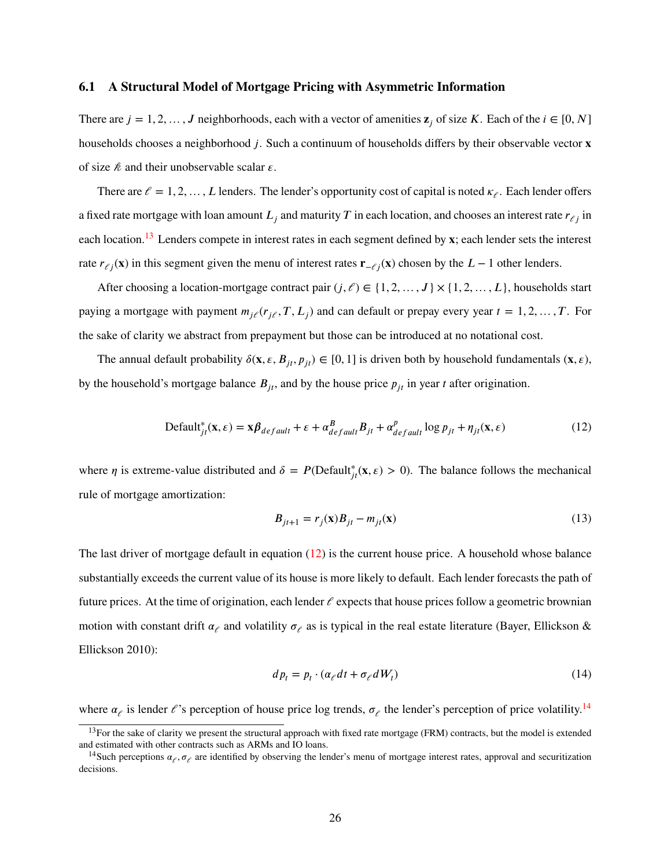### **6.1 A Structural Model of Mortgage Pricing with Asymmetric Information**

There are  $j = 1, 2, ..., J$  neighborhoods, each with a vector of amenities  $\mathbf{z}_i$  of size K. Each of the  $i \in [0, N]$ households chooses a neighborhood *j*. Such a continuum of households differs by their observable vector **x** of size  $\&$  and their unobservable scalar  $\varepsilon$ .

There are  $\ell = 1, 2, ..., L$  lenders. The lender's opportunity cost of capital is noted  $\kappa_{\ell}$ . Each lender offers a fixed rate mortgage with loan amount  $L_j$  and maturity  $T$  in each location, and chooses an interest rate  $r_{\ell j}$  in each location.<sup>13</sup> Lenders compete in interest rates in each segment defined by **x**; each lender sets the interest rate  $r_{\ell j}(\mathbf{x})$  in this segment given the menu of interest rates  $\mathbf{r}_{-\ell j}(\mathbf{x})$  chosen by the  $L-1$  other lenders.

After choosing a location-mortgage contract pair  $(j, \ell) \in \{1, 2, ..., J\} \times \{1, 2, ..., L\}$ , households start paying a mortgage with payment  $m_{j\ell}(r_{j\ell}, T, L_j)$  and can default or prepay every year  $t = 1, 2, ..., T$ . For the sake of clarity we abstract from prepayment but those can be introduced at no notational cost.

The annual default probability  $\delta(\mathbf{x}, \varepsilon, \mathbf{B}_{it}, p_{it}) \in [0, 1]$  is driven both by household fundamentals  $(\mathbf{x}, \varepsilon)$ , by the household's mortgage balance  $B_{jt}$ , and by the house price  $p_{jt}$  in year *t* after origination.

$$
\text{Default}_{jt}^{*}(\mathbf{x}, \varepsilon) = \mathbf{x} \boldsymbol{\beta}_{default} + \varepsilon + \alpha_{default}^{B} \boldsymbol{B}_{jt} + \alpha_{default}^{P} \log p_{jt} + \eta_{jt}(\mathbf{x}, \varepsilon) \tag{12}
$$

where  $\eta$  is extreme-value distributed and  $\delta = P(\text{Default}_{i}^*(\mathbf{x}, \varepsilon) > 0)$ . The balance follows the mechanical rule of mortgage amortization:

$$
B_{j t+1} = r_j(\mathbf{x}) B_{j t} - m_{j t}(\mathbf{x})
$$
\n(13)

The last driver of mortgage default in equation  $(12)$  is the current house price. A household whose balance substantially exceeds the current value of its house is more likely to default. Each lender forecasts the path of future prices. At the time of origination, each lender  $\ell$  expects that house prices follow a geometric brownian motion with constant drift  $\alpha_\ell$  and volatility  $\sigma_\ell$  as is typical in the real estate literature (Bayer, Ellickson & Ellickson 2010):

$$
dp_t = p_t \cdot (\alpha_\ell dt + \sigma_\ell dW_t) \tag{14}
$$

where  $\alpha_{\ell}$  is lender  $\ell$ 's perception of house price log trends,  $\sigma_{\ell}$  the lender's perception of price volatility.<sup>14</sup>

<sup>&</sup>lt;sup>13</sup>For the sake of clarity we present the structural approach with fixed rate mortgage (FRM) contracts, but the model is extended and estimated with other contracts such as ARMs and IO loans.

<sup>&</sup>lt;sup>14</sup> Such perceptions  $\alpha_{\ell}, \sigma_{\ell}$  are identified by observing the lender's menu of mortgage interest rates, approval and securitization decisions.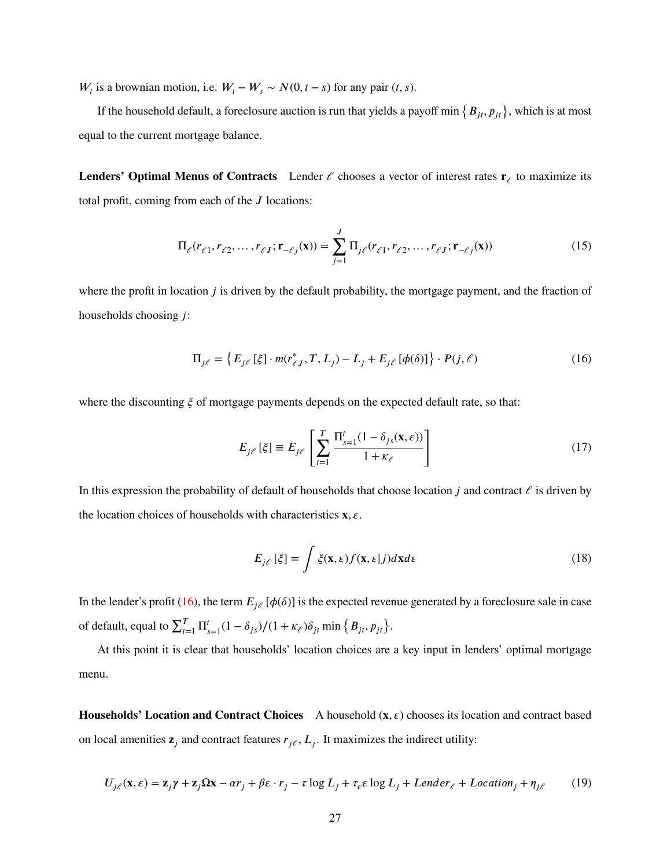$W_t$  is a brownian motion, i.e.  $W_t - W_s \sim N(0, t - s)$  for any pair  $(t, s)$ .

If the household default, a foreclosure auction is run that yields a payoff min  $\{B_{jt}, p_{jt}\}$ , which is at most equal to the current mortgage balance.

**Lenders' Optimal Menus of Contracts** Lender  $\ell$  chooses a vector of interest rates  $\mathbf{r}_{\ell}$  to maximize its total profit, coming from each of the *J* locations:

$$
\Pi_{\ell}(r_{\ell 1}, r_{\ell 2}, \dots, r_{\ell J}; \mathbf{r}_{-\ell j}(\mathbf{x})) = \sum_{j=1}^{J} \Pi_{j\ell}(r_{\ell 1}, r_{\ell 2}, \dots, r_{\ell J}; \mathbf{r}_{-\ell j}(\mathbf{x}))
$$
(15)

where the profit in location *i* is driven by the default probability, the mortgage payment, and the fraction of households choosing *j*:

$$
\Pi_{j\ell} = \left\{ E_{j\ell} \left[ \xi \right] \cdot m(r_{\ell J}^*, T, L_j) - L_j + E_{j\ell} \left[ \phi(\delta) \right] \right\} \cdot P(j, \ell) \tag{16}
$$

where the discounting  $\xi$  of mortgage payments depends on the expected default rate, so that:

$$
E_{j\ell} \left[ \xi \right] \equiv E_{j\ell} \left[ \sum_{t=1}^{T} \frac{\Pi_{s=1}^t (1 - \delta_{js}(\mathbf{x}, \varepsilon))}{1 + \kappa_{\ell}} \right]
$$
(17)

In this expression the probability of default of households that choose location  $j$  and contract  $\ell$  is driven by the location choices of households with characteristics  $\mathbf{x}, \varepsilon$ .

$$
E_{j\ell} \left[ \xi \right] = \int \xi(\mathbf{x}, \varepsilon) f(\mathbf{x}, \varepsilon | j) d\mathbf{x} d\varepsilon \tag{18}
$$

In the lender's profit (16), the term  $E_{j\ell}[\phi(\delta)]$  is the expected revenue generated by a foreclosure sale in case of default, equal to  $\sum_{t=1}^{T} \prod_{s=1}^{t} (1 - \delta_{js}) / (1 + \kappa_{\ell}) \delta_{jt} \min \{ B_{jt}, p_{jt} \}.$ 

At this point it is clear that households' location choices are a key input in lenders' optimal mortgage menu.

**Households' Location and Contract Choices** A household  $(\mathbf{x}, \varepsilon)$  chooses its location and contract based on local amenities  $\mathbf{z}_j$  and contract features  $r_{j\ell}$ ,  $L_j$ . It maximizes the indirect utility:

$$
U_{j\ell}(\mathbf{x}, \varepsilon) = \mathbf{z}_j \mathbf{\gamma} + \mathbf{z}_j \Omega \mathbf{x} - \alpha r_j + \beta \varepsilon \cdot r_j - \tau \log L_j + \tau_{\varepsilon} \varepsilon \log L_j + \text{Lender}_{\ell} + \text{Location}_j + \eta_{j\ell} \tag{19}
$$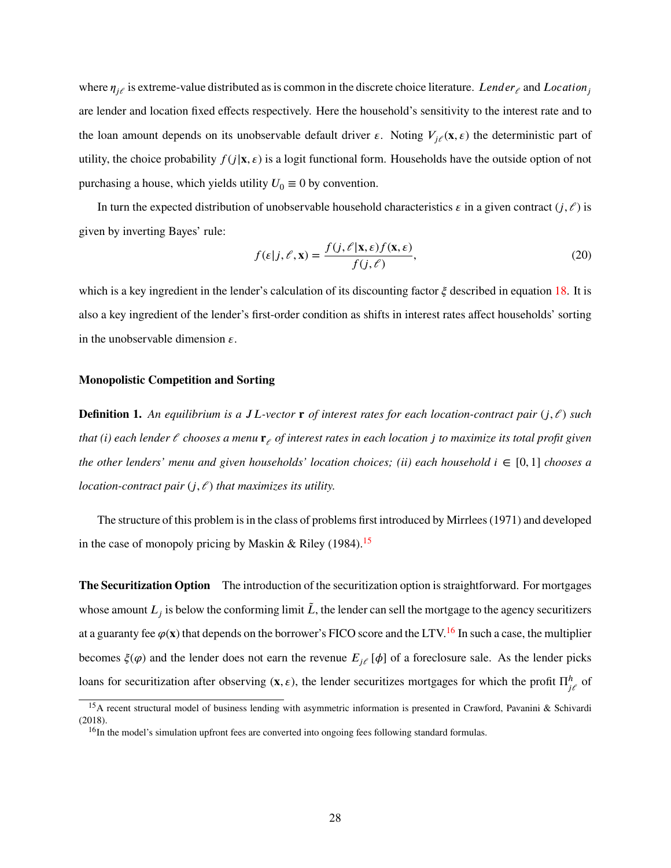where  $\eta_{j\ell}$  is extreme-value distributed as is common in the discrete choice literature. *Lender*<sub> $\ell$ </sub> and *Location*<sub>j</sub> are lender and location fixed effects respectively. Here the household's sensitivity to the interest rate and to the loan amount depends on its unobservable default driver  $\varepsilon$ . Noting  $V_{j\ell}(\mathbf{x}, \varepsilon)$  the deterministic part of utility, the choice probability  $f(j|\mathbf{x}, \varepsilon)$  is a logit functional form. Households have the outside option of not purchasing a house, which yields utility  $U_0 \equiv 0$  by convention.

In turn the expected distribution of unobservable household characteristics  $\varepsilon$  in a given contract  $(j, \ell)$  is given by inverting Bayes' rule:

$$
f(\varepsilon|j,\ell,\mathbf{x}) = \frac{f(j,\ell|\mathbf{x},\varepsilon)f(\mathbf{x},\varepsilon)}{f(j,\ell)},
$$
\n(20)

which is a key ingredient in the lender's calculation of its discounting factor  $\xi$  described in equation 18. It is also a key ingredient of the lender's first-order condition as shifts in interest rates affect households' sorting in the unobservable dimension  $\varepsilon$ .

## **Monopolistic Competition and Sorting**

**Definition 1.** An equilibrium is a JL-vector **r** of interest rates for each location-contract pair  $(j, \ell)$  such *that (i) each lender* 𝓁 *chooses a menu* **𝐫**<sup>𝓁</sup> *of interest rates in each location 𝑗 to maximize its total profit given the other lenders' menu and given households' location choices; (ii) each household*  $i \in [0,1]$  *chooses a location-contract pair*  $(j, \ell)$  *that maximizes its utility.* 

The structure of this problem is in the class of problems first introduced by Mirrlees (1971) and developed in the case of monopoly pricing by Maskin & Riley (1984).<sup>15</sup>

**The Securitization Option** The introduction of the securitization option is straightforward. For mortgages whose amount  $L_j$  is below the conforming limit  $\tilde{L}$ , the lender can sell the mortgage to the agency securitizers at a guaranty fee  $\varphi(\mathbf{x})$  that depends on the borrower's FICO score and the LTV.<sup>16</sup> In such a case, the multiplier becomes  $\xi(\varphi)$  and the lender does not earn the revenue  $E_{j\ell}[\varphi]$  of a foreclosure sale. As the lender picks loans for securitization after observing  $(x, \varepsilon)$ , the lender securitizes mortgages for which the profit  $\Pi_{j\ell}^h$  of

<sup>&</sup>lt;sup>15</sup>A recent structural model of business lending with asymmetric information is presented in Crawford, Pavanini & Schivardi (2018).

<sup>&</sup>lt;sup>16</sup>In the model's simulation upfront fees are converted into ongoing fees following standard formulas.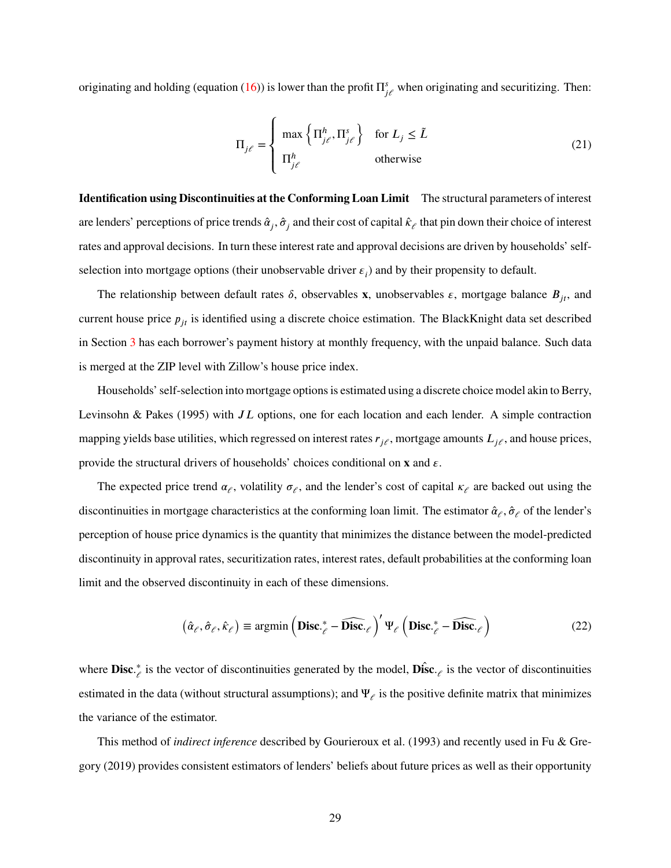originating and holding (equation  $(16)$ ) is lower than the profit  $\Pi_{j\ell}^s$  when originating and securitizing. Then:

$$
\Pi_{j\ell} = \begin{cases} \max \left\{ \Pi_{j\ell}^h, \Pi_{j\ell}^s \right\} & \text{for } L_j \leq \tilde{L} \\ \Pi_{j\ell}^h & \text{otherwise} \end{cases}
$$
 (21)

**Identification using Discontinuities at the Conforming Loan Limit** The structural parameters of interest are lenders' perceptions of price trends  $\hat{\alpha}_j$ ,  $\hat{\sigma}_j$  and their cost of capital  $\hat{\kappa}_\ell$  that pin down their choice of interest rates and approval decisions. In turn these interest rate and approval decisions are driven by households' selfselection into mortgage options (their unobservable driver  $\varepsilon_i$ ) and by their propensity to default.

The relationship between default rates  $\delta$ , observables **x**, unobservables  $\varepsilon$ , mortgage balance  $B_{jt}$ , and current house price  $p_{jt}$  is identified using a discrete choice estimation. The BlackKnight data set described in Section 3 has each borrower's payment history at monthly frequency, with the unpaid balance. Such data is merged at the ZIP level with Zillow's house price index.

Households' self-selection into mortgage options is estimated using a discrete choice model akin to Berry, Levinsohn & Pakes (1995) with *JL* options, one for each location and each lender. A simple contraction mapping yields base utilities, which regressed on interest rates  $r_{j\ell}$ , mortgage amounts  $L_{j\ell}$ , and house prices, provide the structural drivers of households' choices conditional on **x** and  $\varepsilon$ .

The expected price trend  $\alpha_{\ell}$ , volatility  $\sigma_{\ell}$ , and the lender's cost of capital  $\kappa_{\ell}$  are backed out using the discontinuities in mortgage characteristics at the conforming loan limit. The estimator  $\hat{a}_\ell$ ,  $\hat{\sigma}_\ell$  of the lender's perception of house price dynamics is the quantity that minimizes the distance between the model-predicted discontinuity in approval rates, securitization rates, interest rates, default probabilities at the conforming loan limit and the observed discontinuity in each of these dimensions.

$$
(\hat{\alpha}_{\ell}, \hat{\sigma}_{\ell}, \hat{\kappa}_{\ell}) \equiv \operatorname{argmin}\left(\mathbf{Disc}_{\ell}^* - \widehat{\mathbf{Disc}}_{\ell}\right)' \Psi_{\ell} \left(\mathbf{Disc}_{\ell}^* - \widehat{\mathbf{Disc}}_{\ell}\right)
$$
(22)

where **Disc**.<sup>\*</sup><sub>*e*</sub> is the vector of discontinuities generated by the model,  $\hat{Disc}_{\ell}$  is the vector of discontinuities estimated in the data (without structural assumptions); and  $\Psi_e$  is the positive definite matrix that minimizes the variance of the estimator.

This method of *indirect inference* described by Gourieroux et al. (1993) and recently used in Fu & Gregory (2019) provides consistent estimators of lenders' beliefs about future prices as well as their opportunity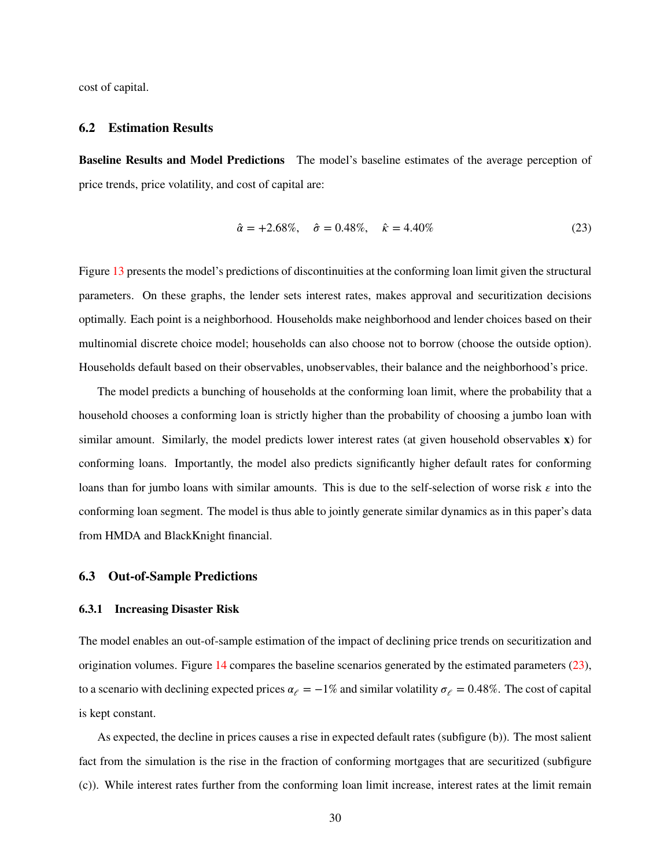cost of capital.

# **6.2 Estimation Results**

**Baseline Results and Model Predictions** The model's baseline estimates of the average perception of price trends, price volatility, and cost of capital are:

$$
\hat{\alpha} = +2.68\%, \quad \hat{\sigma} = 0.48\%, \quad \hat{\kappa} = 4.40\%
$$
\n(23)

Figure 13 presents the model's predictions of discontinuities at the conforming loan limit given the structural parameters. On these graphs, the lender sets interest rates, makes approval and securitization decisions optimally. Each point is a neighborhood. Households make neighborhood and lender choices based on their multinomial discrete choice model; households can also choose not to borrow (choose the outside option). Households default based on their observables, unobservables, their balance and the neighborhood's price.

The model predicts a bunching of households at the conforming loan limit, where the probability that a household chooses a conforming loan is strictly higher than the probability of choosing a jumbo loan with similar amount. Similarly, the model predicts lower interest rates (at given household observables **x**) for conforming loans. Importantly, the model also predicts significantly higher default rates for conforming loans than for jumbo loans with similar amounts. This is due to the self-selection of worse risk  $\varepsilon$  into the conforming loan segment. The model is thus able to jointly generate similar dynamics as in this paper's data from HMDA and BlackKnight financial.

#### **6.3 Out-of-Sample Predictions**

#### **6.3.1 Increasing Disaster Risk**

The model enables an out-of-sample estimation of the impact of declining price trends on securitization and origination volumes. Figure 14 compares the baseline scenarios generated by the estimated parameters (23), to a scenario with declining expected prices  $\alpha_{\ell} = -1\%$  and similar volatility  $\sigma_{\ell} = 0.48\%$ . The cost of capital is kept constant.

As expected, the decline in prices causes a rise in expected default rates (subfigure (b)). The most salient fact from the simulation is the rise in the fraction of conforming mortgages that are securitized (subfigure (c)). While interest rates further from the conforming loan limit increase, interest rates at the limit remain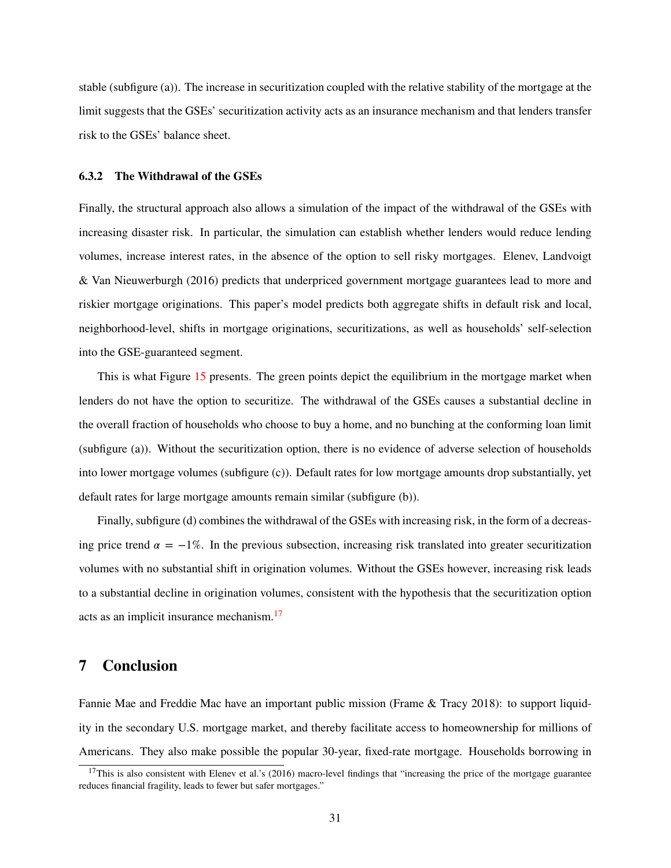stable (subfigure (a)). The increase in securitization coupled with the relative stability of the mortgage at the limit suggests that the GSEs' securitization activity acts as an insurance mechanism and that lenders transfer risk to the GSEs' balance sheet.

## **6.3.2 The Withdrawal of the GSEs**

Finally, the structural approach also allows a simulation of the impact of the withdrawal of the GSEs with increasing disaster risk. In particular, the simulation can establish whether lenders would reduce lending volumes, increase interest rates, in the absence of the option to sell risky mortgages. Elenev, Landvoigt & Van Nieuwerburgh (2016) predicts that underpriced government mortgage guarantees lead to more and riskier mortgage originations. This paper's model predicts both aggregate shifts in default risk and local, neighborhood-level, shifts in mortgage originations, securitizations, as well as households' self-selection into the GSE-guaranteed segment.

This is what Figure 15 presents. The green points depict the equilibrium in the mortgage market when lenders do not have the option to securitize. The withdrawal of the GSEs causes a substantial decline in the overall fraction of households who choose to buy a home, and no bunching at the conforming loan limit (subfigure (a)). Without the securitization option, there is no evidence of adverse selection of households into lower mortgage volumes (subfigure (c)). Default rates for low mortgage amounts drop substantially, yet default rates for large mortgage amounts remain similar (subfigure (b)).

Finally, subfigure (d) combines the withdrawal of the GSEs with increasing risk, in the form of a decreasing price trend  $\alpha = -1\%$ . In the previous subsection, increasing risk translated into greater securitization volumes with no substantial shift in origination volumes. Without the GSEs however, increasing risk leads to a substantial decline in origination volumes, consistent with the hypothesis that the securitization option acts as an implicit insurance mechanism.<sup>17</sup>

# **7 Conclusion**

Fannie Mae and Freddie Mac have an important public mission (Frame & Tracy 2018): to support liquidity in the secondary U.S. mortgage market, and thereby facilitate access to homeownership for millions of Americans. They also make possible the popular 30-year, fixed-rate mortgage. Households borrowing in

<sup>&</sup>lt;sup>17</sup>This is also consistent with Elenev et al.'s (2016) macro-level findings that "increasing the price of the mortgage guarantee reduces financial fragility, leads to fewer but safer mortgages."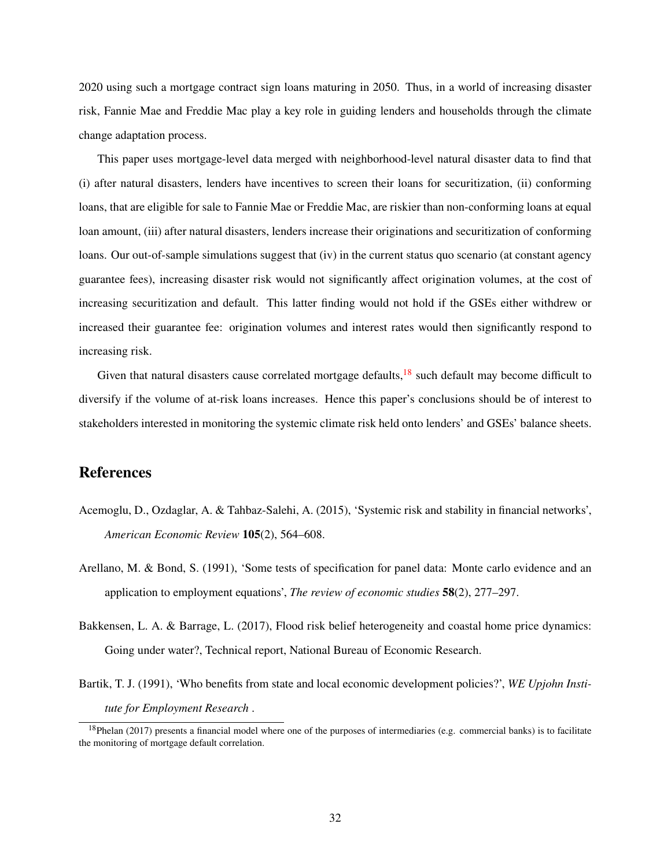2020 using such a mortgage contract sign loans maturing in 2050. Thus, in a world of increasing disaster risk, Fannie Mae and Freddie Mac play a key role in guiding lenders and households through the climate change adaptation process.

This paper uses mortgage-level data merged with neighborhood-level natural disaster data to find that (i) after natural disasters, lenders have incentives to screen their loans for securitization, (ii) conforming loans, that are eligible for sale to Fannie Mae or Freddie Mac, are riskier than non-conforming loans at equal loan amount, (iii) after natural disasters, lenders increase their originations and securitization of conforming loans. Our out-of-sample simulations suggest that (iv) in the current status quo scenario (at constant agency guarantee fees), increasing disaster risk would not significantly affect origination volumes, at the cost of increasing securitization and default. This latter finding would not hold if the GSEs either withdrew or increased their guarantee fee: origination volumes and interest rates would then significantly respond to increasing risk.

Given that natural disasters cause correlated mortgage defaults, $18$  such default may become difficult to diversify if the volume of at-risk loans increases. Hence this paper's conclusions should be of interest to stakeholders interested in monitoring the systemic climate risk held onto lenders' and GSEs' balance sheets.

# **References**

- Acemoglu, D., Ozdaglar, A. & Tahbaz-Salehi, A. (2015), 'Systemic risk and stability in financial networks', *American Economic Review* **105**(2), 564–608.
- Arellano, M. & Bond, S. (1991), 'Some tests of specification for panel data: Monte carlo evidence and an application to employment equations', *The review of economic studies* **58**(2), 277–297.
- Bakkensen, L. A. & Barrage, L. (2017), Flood risk belief heterogeneity and coastal home price dynamics: Going under water?, Technical report, National Bureau of Economic Research.
- Bartik, T. J. (1991), 'Who benefits from state and local economic development policies?', *WE Upjohn Institute for Employment Research* .

<sup>&</sup>lt;sup>18</sup>Phelan (2017) presents a financial model where one of the purposes of intermediaries (e.g. commercial banks) is to facilitate the monitoring of mortgage default correlation.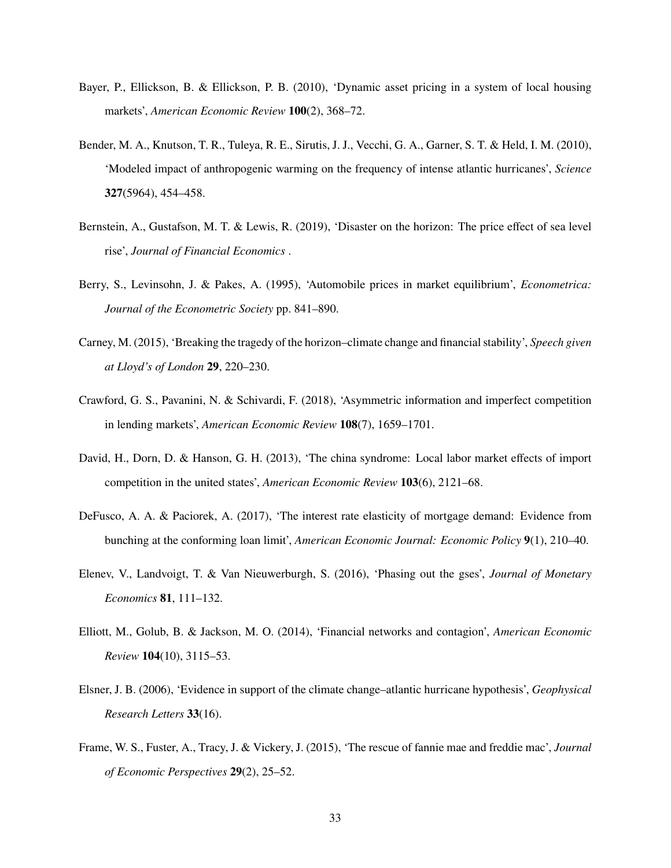- Bayer, P., Ellickson, B. & Ellickson, P. B. (2010), 'Dynamic asset pricing in a system of local housing markets', *American Economic Review* **100**(2), 368–72.
- Bender, M. A., Knutson, T. R., Tuleya, R. E., Sirutis, J. J., Vecchi, G. A., Garner, S. T. & Held, I. M. (2010), 'Modeled impact of anthropogenic warming on the frequency of intense atlantic hurricanes', *Science* **327**(5964), 454–458.
- Bernstein, A., Gustafson, M. T. & Lewis, R. (2019), 'Disaster on the horizon: The price effect of sea level rise', *Journal of Financial Economics* .
- Berry, S., Levinsohn, J. & Pakes, A. (1995), 'Automobile prices in market equilibrium', *Econometrica: Journal of the Econometric Society* pp. 841–890.
- Carney, M. (2015), 'Breaking the tragedy of the horizon–climate change and financial stability', *Speech given at Lloyd's of London* **29**, 220–230.
- Crawford, G. S., Pavanini, N. & Schivardi, F. (2018), 'Asymmetric information and imperfect competition in lending markets', *American Economic Review* **108**(7), 1659–1701.
- David, H., Dorn, D. & Hanson, G. H. (2013), 'The china syndrome: Local labor market effects of import competition in the united states', *American Economic Review* **103**(6), 2121–68.
- DeFusco, A. A. & Paciorek, A. (2017), 'The interest rate elasticity of mortgage demand: Evidence from bunching at the conforming loan limit', *American Economic Journal: Economic Policy* **9**(1), 210–40.
- Elenev, V., Landvoigt, T. & Van Nieuwerburgh, S. (2016), 'Phasing out the gses', *Journal of Monetary Economics* **81**, 111–132.
- Elliott, M., Golub, B. & Jackson, M. O. (2014), 'Financial networks and contagion', *American Economic Review* **104**(10), 3115–53.
- Elsner, J. B. (2006), 'Evidence in support of the climate change–atlantic hurricane hypothesis', *Geophysical Research Letters* **33**(16).
- Frame, W. S., Fuster, A., Tracy, J. & Vickery, J. (2015), 'The rescue of fannie mae and freddie mac', *Journal of Economic Perspectives* **29**(2), 25–52.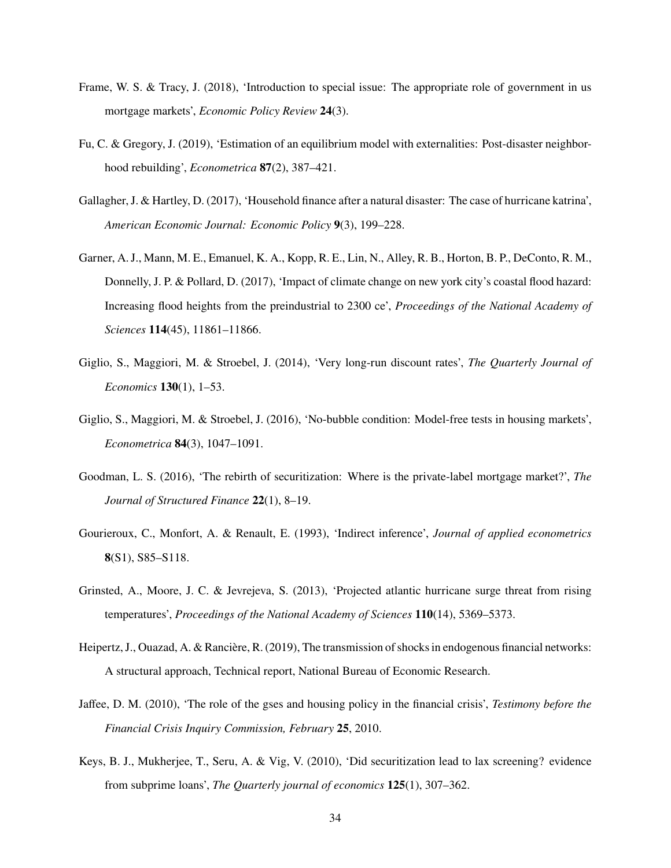- Frame, W. S. & Tracy, J. (2018), 'Introduction to special issue: The appropriate role of government in us mortgage markets', *Economic Policy Review* **24**(3).
- Fu, C. & Gregory, J. (2019), 'Estimation of an equilibrium model with externalities: Post-disaster neighborhood rebuilding', *Econometrica* **87**(2), 387–421.
- Gallagher, J. & Hartley, D. (2017), 'Household finance after a natural disaster: The case of hurricane katrina', *American Economic Journal: Economic Policy* **9**(3), 199–228.
- Garner, A. J., Mann, M. E., Emanuel, K. A., Kopp, R. E., Lin, N., Alley, R. B., Horton, B. P., DeConto, R. M., Donnelly, J. P. & Pollard, D. (2017), 'Impact of climate change on new york city's coastal flood hazard: Increasing flood heights from the preindustrial to 2300 ce', *Proceedings of the National Academy of Sciences* **114**(45), 11861–11866.
- Giglio, S., Maggiori, M. & Stroebel, J. (2014), 'Very long-run discount rates', *The Quarterly Journal of Economics* **130**(1), 1–53.
- Giglio, S., Maggiori, M. & Stroebel, J. (2016), 'No-bubble condition: Model-free tests in housing markets', *Econometrica* **84**(3), 1047–1091.
- Goodman, L. S. (2016), 'The rebirth of securitization: Where is the private-label mortgage market?', *The Journal of Structured Finance* **22**(1), 8–19.
- Gourieroux, C., Monfort, A. & Renault, E. (1993), 'Indirect inference', *Journal of applied econometrics* **8**(S1), S85–S118.
- Grinsted, A., Moore, J. C. & Jevrejeva, S. (2013), 'Projected atlantic hurricane surge threat from rising temperatures', *Proceedings of the National Academy of Sciences* **110**(14), 5369–5373.
- Heipertz, J., Ouazad, A. & Rancière, R. (2019), The transmission of shocks in endogenous financial networks: A structural approach, Technical report, National Bureau of Economic Research.
- Jaffee, D. M. (2010), 'The role of the gses and housing policy in the financial crisis', *Testimony before the Financial Crisis Inquiry Commission, February* **25**, 2010.
- Keys, B. J., Mukherjee, T., Seru, A. & Vig, V. (2010), 'Did securitization lead to lax screening? evidence from subprime loans', *The Quarterly journal of economics* **125**(1), 307–362.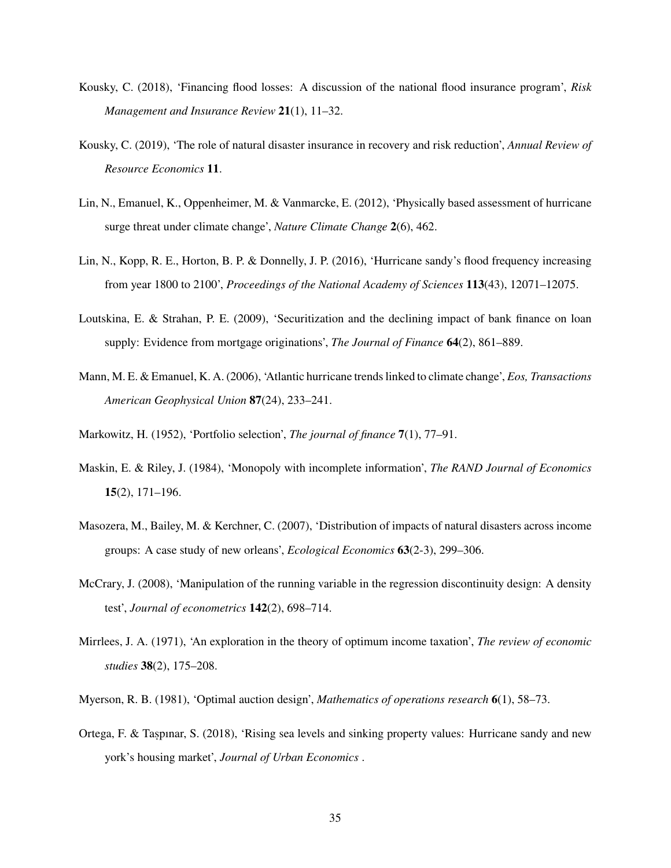- Kousky, C. (2018), 'Financing flood losses: A discussion of the national flood insurance program', *Risk Management and Insurance Review* **21**(1), 11–32.
- Kousky, C. (2019), 'The role of natural disaster insurance in recovery and risk reduction', *Annual Review of Resource Economics* **11**.
- Lin, N., Emanuel, K., Oppenheimer, M. & Vanmarcke, E. (2012), 'Physically based assessment of hurricane surge threat under climate change', *Nature Climate Change* **2**(6), 462.
- Lin, N., Kopp, R. E., Horton, B. P. & Donnelly, J. P. (2016), 'Hurricane sandy's flood frequency increasing from year 1800 to 2100', *Proceedings of the National Academy of Sciences* **113**(43), 12071–12075.
- Loutskina, E. & Strahan, P. E. (2009), 'Securitization and the declining impact of bank finance on loan supply: Evidence from mortgage originations', *The Journal of Finance* **64**(2), 861–889.
- Mann, M. E. & Emanuel, K. A. (2006), 'Atlantic hurricane trends linked to climate change', *Eos, Transactions American Geophysical Union* **87**(24), 233–241.
- Markowitz, H. (1952), 'Portfolio selection', *The journal of finance* **7**(1), 77–91.
- Maskin, E. & Riley, J. (1984), 'Monopoly with incomplete information', *The RAND Journal of Economics* **15**(2), 171–196.
- Masozera, M., Bailey, M. & Kerchner, C. (2007), 'Distribution of impacts of natural disasters across income groups: A case study of new orleans', *Ecological Economics* **63**(2-3), 299–306.
- McCrary, J. (2008), 'Manipulation of the running variable in the regression discontinuity design: A density test', *Journal of econometrics* **142**(2), 698–714.
- Mirrlees, J. A. (1971), 'An exploration in the theory of optimum income taxation', *The review of economic studies* **38**(2), 175–208.
- Myerson, R. B. (1981), 'Optimal auction design', *Mathematics of operations research* **6**(1), 58–73.
- Ortega, F. & Taspinar, S. (2018), 'Rising sea levels and sinking property values: Hurricane sandy and new york's housing market', *Journal of Urban Economics* .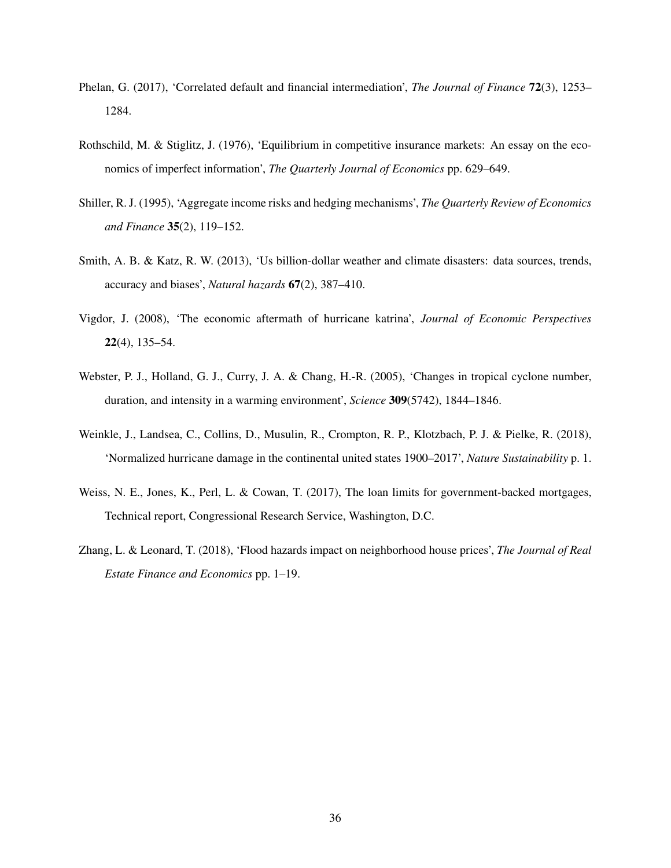- Phelan, G. (2017), 'Correlated default and financial intermediation', *The Journal of Finance* **72**(3), 1253– 1284.
- Rothschild, M. & Stiglitz, J. (1976), 'Equilibrium in competitive insurance markets: An essay on the economics of imperfect information', *The Quarterly Journal of Economics* pp. 629–649.
- Shiller, R. J. (1995), 'Aggregate income risks and hedging mechanisms', *The Quarterly Review of Economics and Finance* **35**(2), 119–152.
- Smith, A. B. & Katz, R. W. (2013), 'Us billion-dollar weather and climate disasters: data sources, trends, accuracy and biases', *Natural hazards* **67**(2), 387–410.
- Vigdor, J. (2008), 'The economic aftermath of hurricane katrina', *Journal of Economic Perspectives* **22**(4), 135–54.
- Webster, P. J., Holland, G. J., Curry, J. A. & Chang, H.-R. (2005), 'Changes in tropical cyclone number, duration, and intensity in a warming environment', *Science* **309**(5742), 1844–1846.
- Weinkle, J., Landsea, C., Collins, D., Musulin, R., Crompton, R. P., Klotzbach, P. J. & Pielke, R. (2018), 'Normalized hurricane damage in the continental united states 1900–2017', *Nature Sustainability* p. 1.
- Weiss, N. E., Jones, K., Perl, L. & Cowan, T. (2017), The loan limits for government-backed mortgages, Technical report, Congressional Research Service, Washington, D.C.
- Zhang, L. & Leonard, T. (2018), 'Flood hazards impact on neighborhood house prices', *The Journal of Real Estate Finance and Economics* pp. 1–19.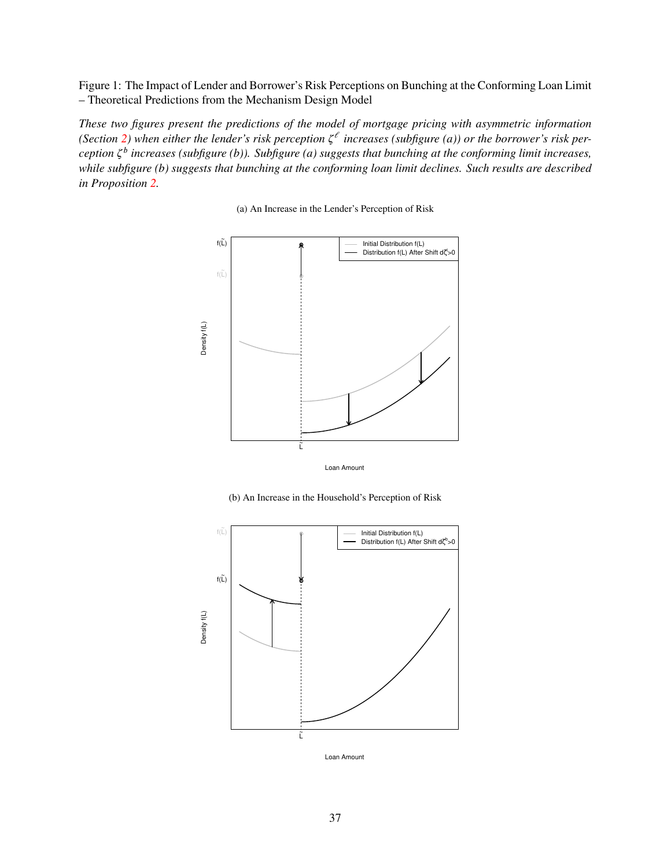Figure 1: The Impact of Lender and Borrower's Risk Perceptions on Bunching at the Conforming Loan Limit – Theoretical Predictions from the Mechanism Design Model

*These two figures present the predictions of the model of mortgage pricing with asymmetric information* (Section 2) when either the lender's risk perception  $\zeta^{\ell}$  increases (subfigure (a)) or the borrower's risk per*ception 𝜁 𝑏 increases (subfigure (b)). Subfigure (a) suggests that bunching at the conforming limit increases, while subfigure (b) suggests that bunching at the conforming loan limit declines. Such results are described in Proposition 2.*



(a) An Increase in the Lender's Perception of Risk







Loan Amount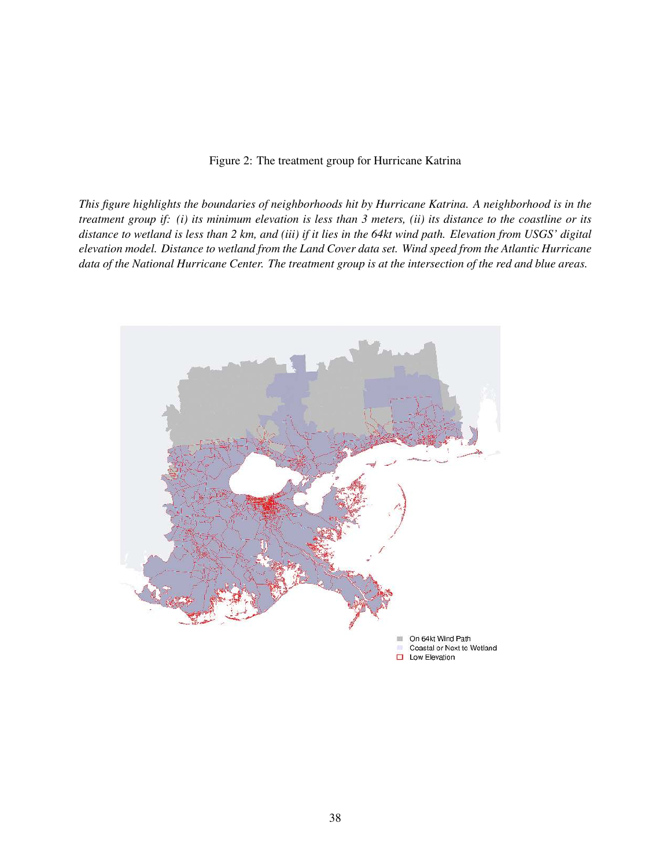# Figure 2: The treatment group for Hurricane Katrina

*This figure highlights the boundaries of neighborhoods hit by Hurricane Katrina. A neighborhood is in the treatment group if: (i) its minimum elevation is less than 3 meters, (ii) its distance to the coastline or its distance to wetland is less than 2 km, and (iii) if it lies in the 64kt wind path. Elevation from USGS' digital elevation model. Distance to wetland from the Land Cover data set. Wind speed from the Atlantic Hurricane data of the National Hurricane Center. The treatment group is at the intersection of the red and blue areas.*

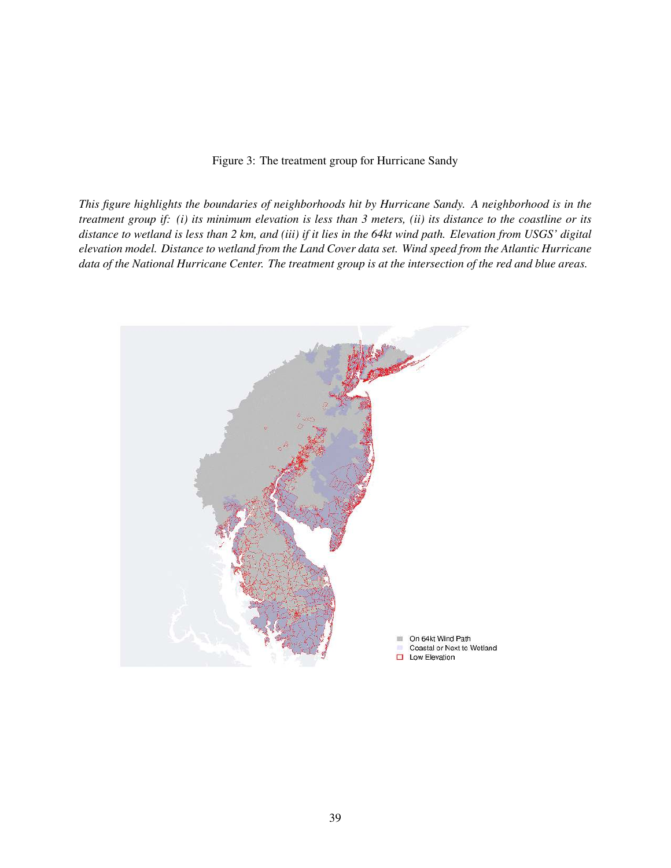Figure 3: The treatment group for Hurricane Sandy

*This figure highlights the boundaries of neighborhoods hit by Hurricane Sandy. A neighborhood is in the treatment group if: (i) its minimum elevation is less than 3 meters, (ii) its distance to the coastline or its distance to wetland is less than 2 km, and (iii) if it lies in the 64kt wind path. Elevation from USGS' digital elevation model. Distance to wetland from the Land Cover data set. Wind speed from the Atlantic Hurricane data of the National Hurricane Center. The treatment group is at the intersection of the red and blue areas.*

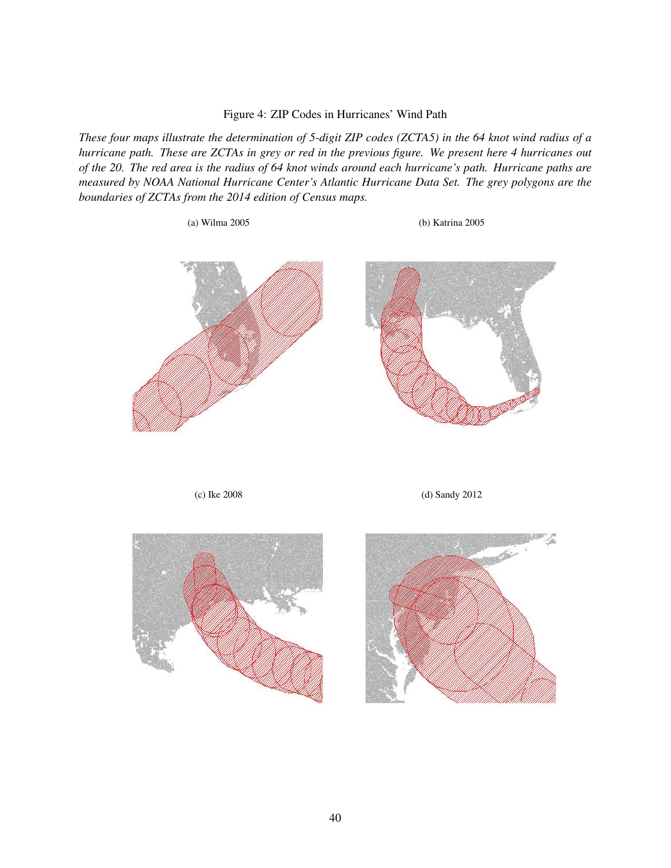Figure 4: ZIP Codes in Hurricanes' Wind Path

*These four maps illustrate the determination of 5-digit ZIP codes (ZCTA5) in the 64 knot wind radius of a hurricane path. These are ZCTAs in grey or red in the previous figure. We present here 4 hurricanes out of the 20. The red area is the radius of 64 knot winds around each hurricane's path. Hurricane paths are measured by NOAA National Hurricane Center's Atlantic Hurricane Data Set. The grey polygons are the boundaries of ZCTAs from the 2014 edition of Census maps.*





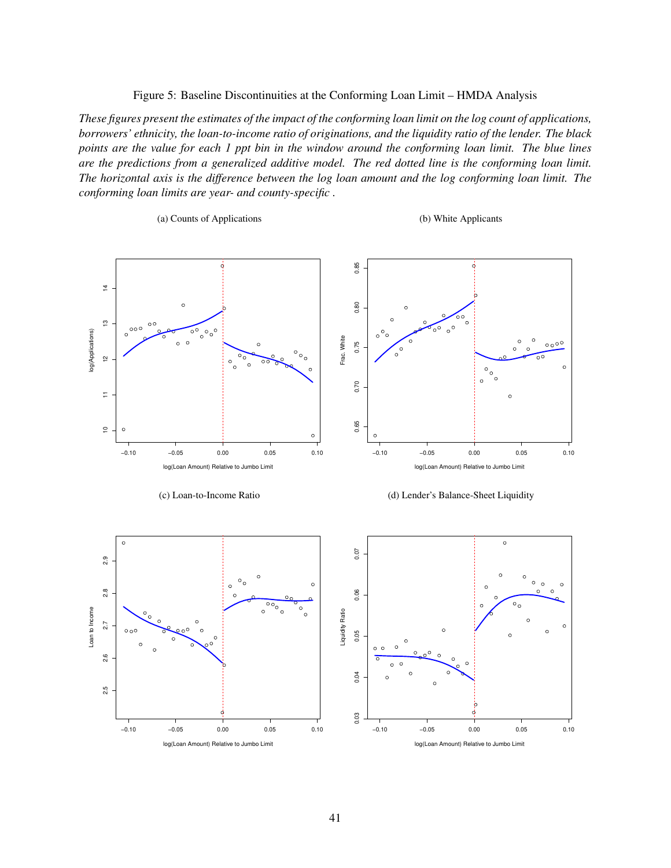Figure 5: Baseline Discontinuities at the Conforming Loan Limit – HMDA Analysis

*These figures present the estimates of the impact of the conforming loan limit on the log count of applications, borrowers' ethnicity, the loan-to-income ratio of originations, and the liquidity ratio of the lender. The black points are the value for each 1 ppt bin in the window around the conforming loan limit. The blue lines are the predictions from a generalized additive model. The red dotted line is the conforming loan limit. The horizontal axis is the difference between the log loan amount and the log conforming loan limit. The conforming loan limits are year- and county-specific .*

(a) Counts of Applications

```
(b) White Applicants
```
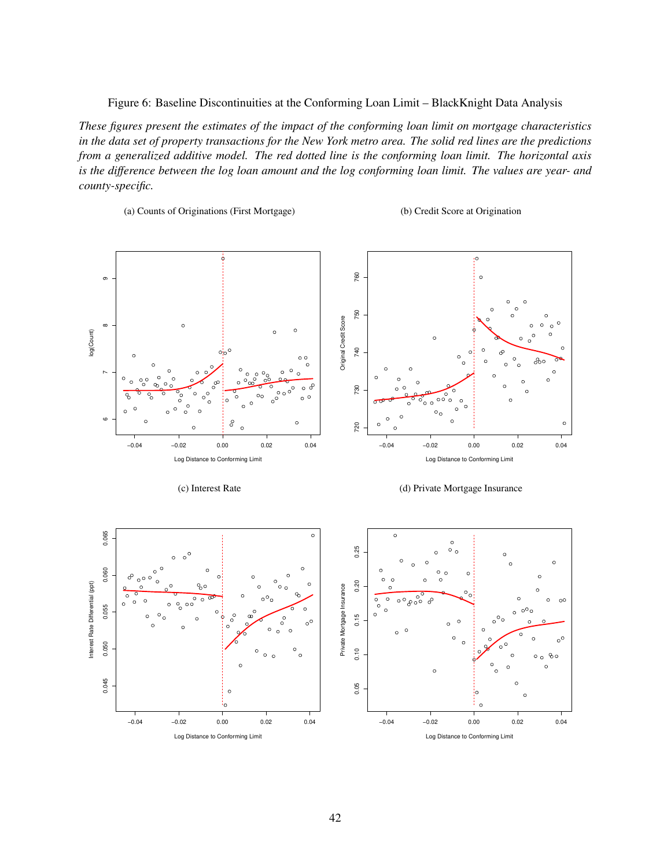Figure 6: Baseline Discontinuities at the Conforming Loan Limit – BlackKnight Data Analysis

*These figures present the estimates of the impact of the conforming loan limit on mortgage characteristics in the data set of property transactions for the New York metro area. The solid red lines are the predictions from a generalized additive model. The red dotted line is the conforming loan limit. The horizontal axis is the difference between the log loan amount and the log conforming loan limit. The values are year- and county-specific.*

(a) Counts of Originations (First Mortgage)

(b) Credit Score at Origination

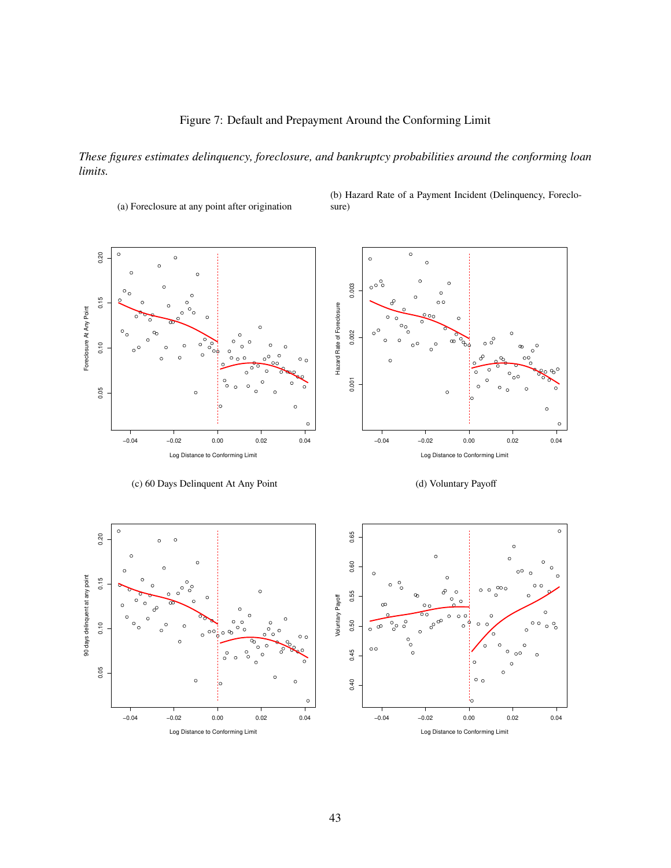# Figure 7: Default and Prepayment Around the Conforming Limit

*These figures estimates delinquency, foreclosure, and bankruptcy probabilities around the conforming loan limits.*

(a) Foreclosure at any point after origination

−0.04 −0.02 0.00 0.02 0.04

Log Distance to Conforming Limit

(b) Hazard Rate of a Payment Incident (Delinquency, Foreclosure)



<sup>−0.04 −0.02 0.00 0.02 0.04</sup> Log Distance to Conforming Limit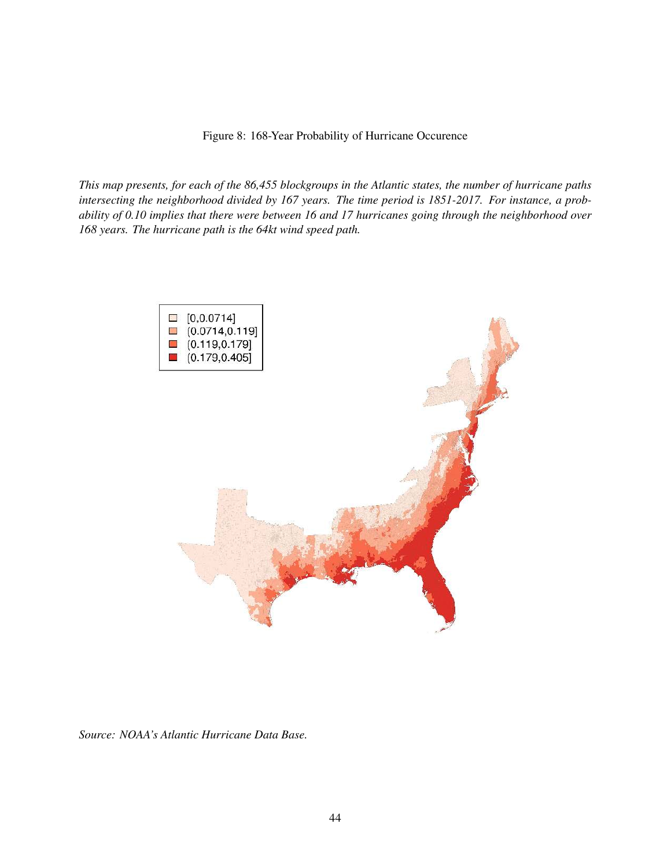Figure 8: 168-Year Probability of Hurricane Occurence

*This map presents, for each of the 86,455 blockgroups in the Atlantic states, the number of hurricane paths intersecting the neighborhood divided by 167 years. The time period is 1851-2017. For instance, a probability of 0.10 implies that there were between 16 and 17 hurricanes going through the neighborhood over 168 years. The hurricane path is the 64kt wind speed path.*



*Source: NOAA's Atlantic Hurricane Data Base.*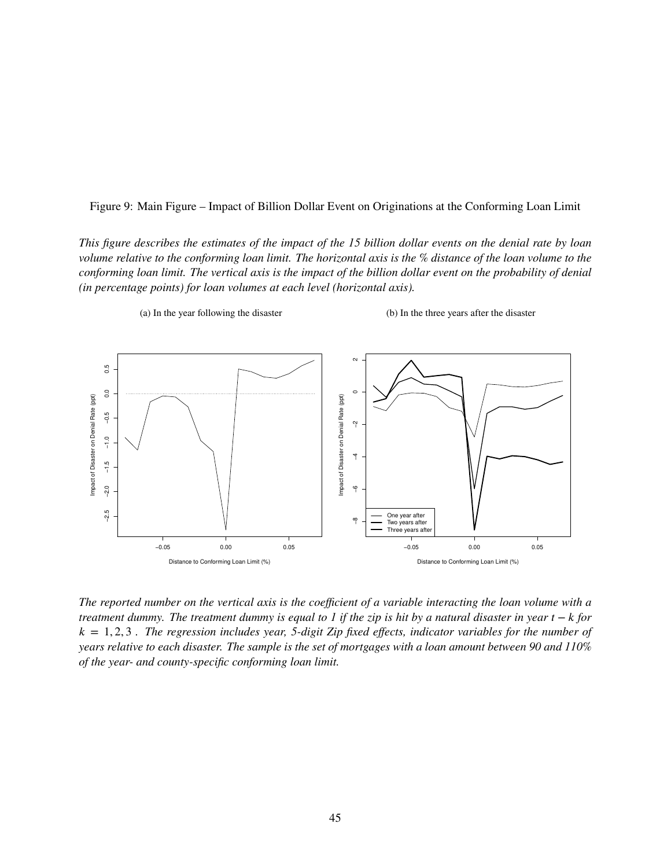# Figure 9: Main Figure – Impact of Billion Dollar Event on Originations at the Conforming Loan Limit

*This figure describes the estimates of the impact of the 15 billion dollar events on the denial rate by loan volume relative to the conforming loan limit. The horizontal axis is the % distance of the loan volume to the conforming loan limit. The vertical axis is the impact of the billion dollar event on the probability of denial (in percentage points) for loan volumes at each level (horizontal axis).*



*The reported number on the vertical axis is the coefficient of a variable interacting the loan volume with a treatment dummy. The treatment dummy is equal to 1 if the zip is hit by a natural disaster in year*  $t - k$  *for*  $k = 1, 2, 3$ . The regression includes year, 5-digit Zip fixed effects, indicator variables for the number of *years relative to each disaster. The sample is the set of mortgages with a loan amount between 90 and 110% of the year- and county-specific conforming loan limit.*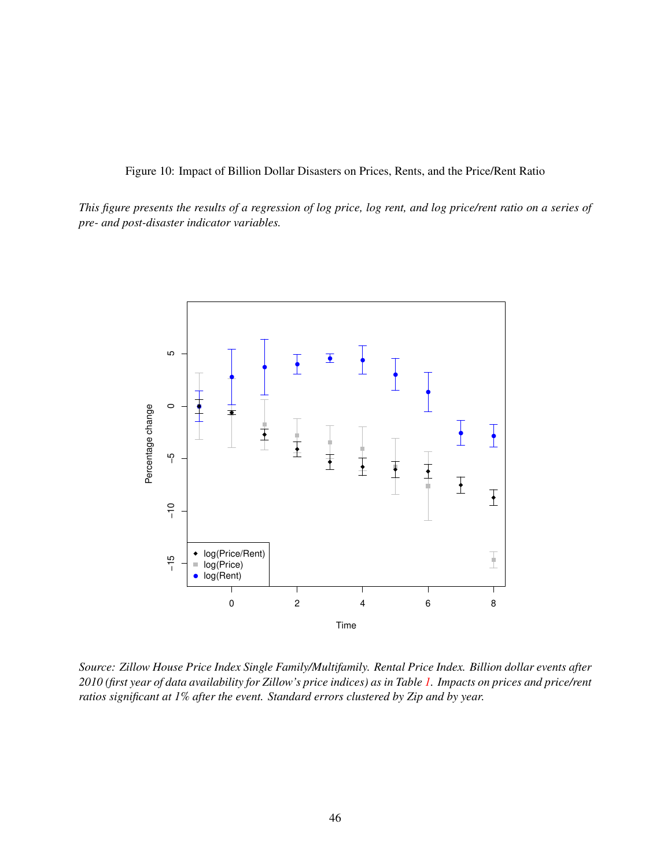Figure 10: Impact of Billion Dollar Disasters on Prices, Rents, and the Price/Rent Ratio

*This figure presents the results of a regression of log price, log rent, and log price/rent ratio on a series of pre- and post-disaster indicator variables.*



*Source: Zillow House Price Index Single Family/Multifamily. Rental Price Index. Billion dollar events after 2010 (first year of data availability for Zillow's price indices) as in Table 1. Impacts on prices and price/rent ratios significant at 1% after the event. Standard errors clustered by Zip and by year.*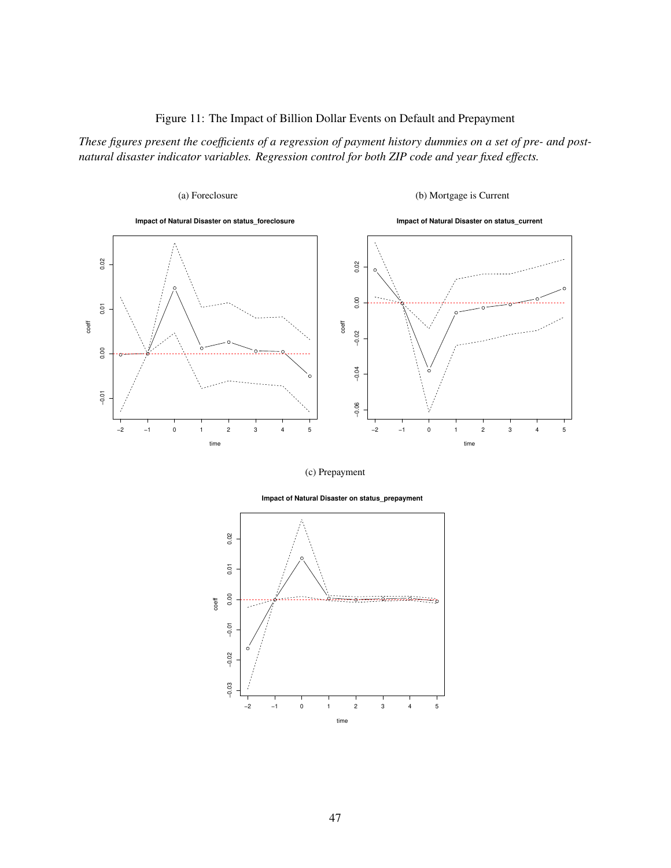Figure 11: The Impact of Billion Dollar Events on Default and Prepayment

*These figures present the coefficients of a regression of payment history dummies on a set of pre- and postnatural disaster indicator variables. Regression control for both ZIP code and year fixed effects.*



(c) Prepayment



**Impact of Natural Disaster on status\_prepayment**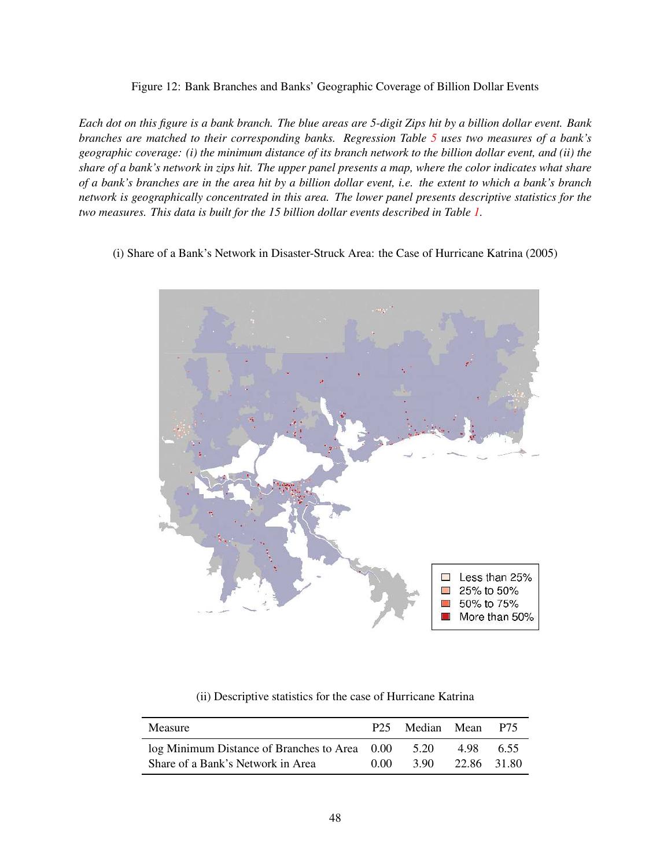Figure 12: Bank Branches and Banks' Geographic Coverage of Billion Dollar Events

*Each dot on this figure is a bank branch. The blue areas are 5-digit Zips hit by a billion dollar event. Bank branches are matched to their corresponding banks. Regression Table 5 uses two measures of a bank's geographic coverage: (i) the minimum distance of its branch network to the billion dollar event, and (ii) the share of a bank's network in zips hit. The upper panel presents a map, where the color indicates what share of a bank's branches are in the area hit by a billion dollar event, i.e. the extent to which a bank's branch network is geographically concentrated in this area. The lower panel presents descriptive statistics for the two measures. This data is built for the 15 billion dollar events described in Table 1.*

(i) Share of a Bank's Network in Disaster-Struck Area: the Case of Hurricane Katrina (2005)



(ii) Descriptive statistics for the case of Hurricane Katrina

| <b>Measure</b>                                | P <sub>25</sub> | Median Mean |             | P75  |
|-----------------------------------------------|-----------------|-------------|-------------|------|
| log Minimum Distance of Branches to Area 0.00 |                 | 5.20        | 4.98        | 6.55 |
| Share of a Bank's Network in Area             | 0.00            | 3.90        | 22.86 31.80 |      |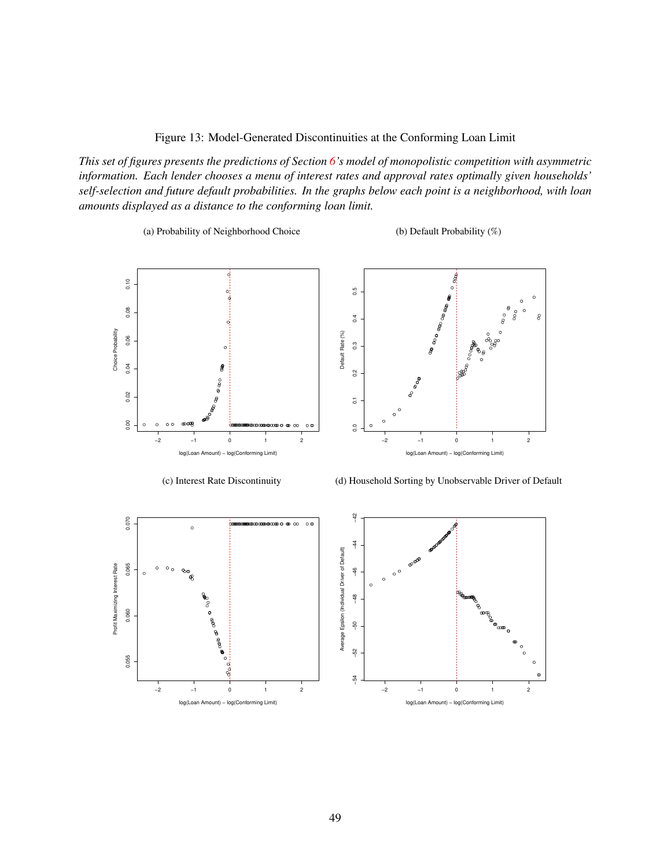Figure 13: Model-Generated Discontinuities at the Conforming Loan Limit

*This set of figures presents the predictions of Section 6's model of monopolistic competition with asymmetric information. Each lender chooses a menu of interest rates and approval rates optimally given households' self-selection and future default probabilities. In the graphs below each point is a neighborhood, with loan amounts displayed as a distance to the conforming loan limit.*



49

 $-50$ 

 $-52$ 

 $\frac{1}{2}$ 

●

●

●●

●

● ● ●

●

−2 −1 0 1 2

log(Loan Amount) − log(Conforming Limit)

●

●

●

● ●

●

●

●

−2 −1 0 1 2

log(Loan Amount) − log(Conforming Limit)

●

●

●

0.055

●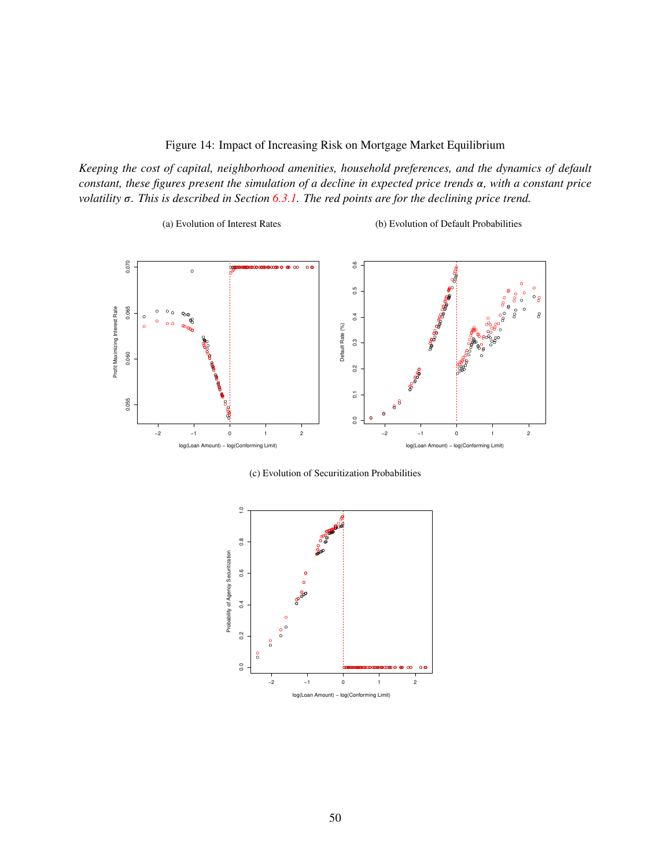Figure 14: Impact of Increasing Risk on Mortgage Market Equilibrium

*Keeping the cost of capital, neighborhood amenities, household preferences, and the dynamics of default constant, these figures present the simulation of a decline in expected price trends α, with a constant price volatility σ*. This is described in Section 6.3.1. The red points are for the declining price trend.



(c) Evolution of Securitization Probabilities

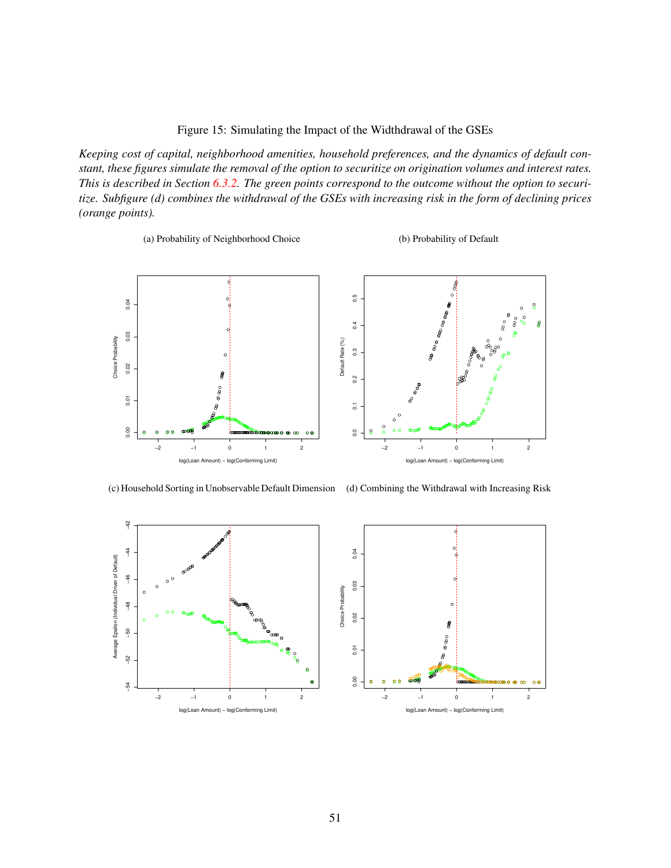Figure 15: Simulating the Impact of the Widthdrawal of the GSEs

*Keeping cost of capital, neighborhood amenities, household preferences, and the dynamics of default constant, these figures simulate the removal of the option to securitize on origination volumes and interest rates. This is described in Section 6.3.2. The green points correspond to the outcome without the option to securitize. Subfigure (d) combines the withdrawal of the GSEs with increasing risk in the form of declining prices (orange points).*

(b) Probability of Default

(a) Probability of Neighborhood Choice



(c) Household Sorting in Unobservable Default Dimension (d) Combining the Withdrawal with Increasing Risk

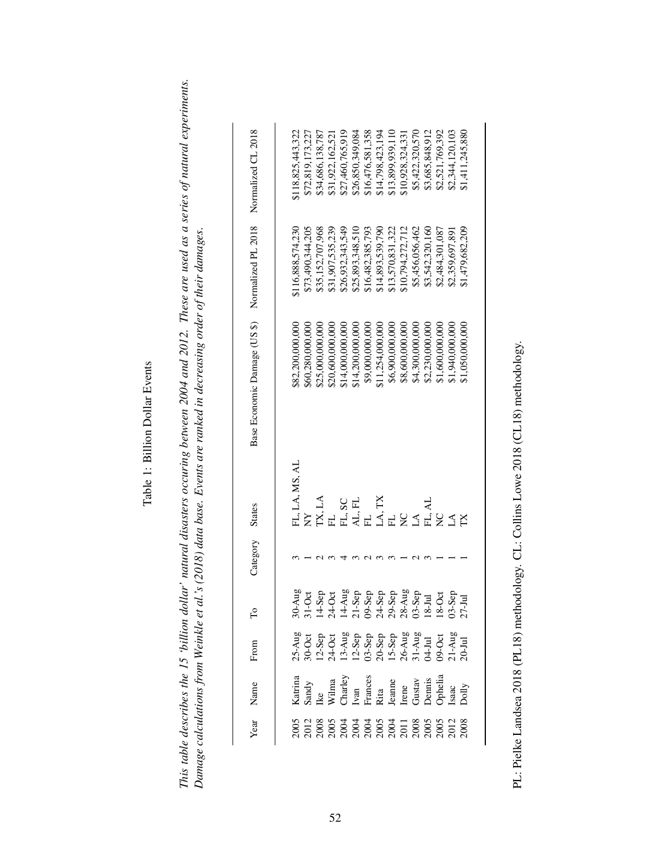Table 1: Billion Dollar Events Table 1: Billion Dollar Events This table describes the 15 'billion dollar' natural disasters occuring between 2004 and 2012. These are used as a series of natural experiments. This table describes the 15 'billion dollar' natural disasters occuring between 2004 and 2012. These are used as a series of natural experiments. Damage calculations from Weinkle et al.'s (2018) data base. Events are ranked in decreasing order of their damages. Damage calculations from Weinkle et al.'s (2018) data base. Events are ranked in decreasing order of their damages

|                                                                    | 118,825,443,322   | \$72,819,173,227 | \$34,686,138,787 | \$31,922,162,521                                                                                                                                                                                                               | \$27,460,765,919 | \$26,850,349,084      | \$16,476,581,358 | \$14,798,423,194 | 13,899,939,110                                                     | 10,928,324,331  | \$5,422,320,570 | \$3,685,848,912 | \$2,521,769,392 | \$2,344,120,103 | \$1,411,245,880 |  |
|--------------------------------------------------------------------|-------------------|------------------|------------------|--------------------------------------------------------------------------------------------------------------------------------------------------------------------------------------------------------------------------------|------------------|-----------------------|------------------|------------------|--------------------------------------------------------------------|-----------------|-----------------|-----------------|-----------------|-----------------|-----------------|--|
|                                                                    | \$116,888,574,230 | \$73,490,344,205 | \$35,152,707,968 | \$31,907,535,239                                                                                                                                                                                                               | \$26,932,343,549 | \$25,893,348,510      | \$16,482,385,793 | \$14,893,539,790 | \$13,570,831,322                                                   | 10,794,272,712  | \$5,456,056,462 | \$3,542,320,160 | \$2,484,301,087 | \$2,359,697,891 | \$1,479,682,209 |  |
| Base Economic Damage (US \$) Normalized PL 2018 Normalized CL 2018 | \$82,200,000,000  | \$60,280,000,000 | \$25,000,000,000 | \$20,600,000,000                                                                                                                                                                                                               | \$14,000,000,000 | \$14,200,000,000      | \$9,000,000,000  | \$11,254,000,000 | \$6,900,000,000                                                    | \$8,600,000,000 | \$4,300,000,000 | \$2,230,000,000 | \$1,600,000,000 | 1,940,000,000   | 1,050,000,000   |  |
| <b>States</b>                                                      | FL, LA, MS, AL    | Š                | TX, LA           |                                                                                                                                                                                                                                |                  | E. SC<br>AL, FL<br>EL |                  |                  | LA, TX<br>FL<br>NC                                                 |                 | $\Delta$        | FL, AL<br>NC    |                 | L               | ΥX              |  |
| Category                                                           |                   |                  |                  |                                                                                                                                                                                                                                |                  |                       |                  |                  |                                                                    |                 |                 |                 |                 |                 |                 |  |
| Fo                                                                 | $30-Au$ g         | $1-0ct$          |                  | $14-5ep$<br>24-Oct                                                                                                                                                                                                             |                  |                       |                  |                  | 14-Aug<br>21-Sep<br>29-Sep<br>29-Sep<br>29-Aug<br>28-Aug<br>28-Aug |                 |                 |                 | $18-0ct$        | 03-Sep          | $7 -$ Jul       |  |
| From                                                               |                   |                  |                  | 25.4 age - 26.4 age - 26.4 age - 26.4 age - 26.4 age - 26.4 age - 26.4 age - 26.4 age - 26.4 age - 26.4 age - 26.4 age - 26.4 age - 26.4 age - 26.4 age - 26.4 age - 26.4 age - 26.4 age - 26.4 age - 26.4 age - 26.4 age - 26 |                  |                       |                  |                  |                                                                    |                 |                 |                 |                 |                 |                 |  |
| Year Name                                                          |                   |                  |                  | Katrina<br>Sandy<br>Wilma<br>Charley<br>Charles<br>Frances<br>Leanne<br>Leanne<br>Coustav<br>Ophelia<br>Dolly<br>Dominis                                                                                                       |                  |                       |                  |                  |                                                                    |                 |                 |                 |                 |                 |                 |  |
|                                                                    |                   |                  |                  |                                                                                                                                                                                                                                |                  |                       |                  |                  |                                                                    |                 |                 |                 |                 |                 |                 |  |
|                                                                    |                   |                  |                  |                                                                                                                                                                                                                                |                  |                       |                  |                  |                                                                    |                 |                 |                 |                 |                 |                 |  |

PL: Pielke Landsea 2018 (PL18) methodology. CL: Collins Lowe 2018 (CL18) methodology. PL: Pielke Landsea 2018 (PL18) methodology. CL: Collins Lowe 2018 (CL18) methodology.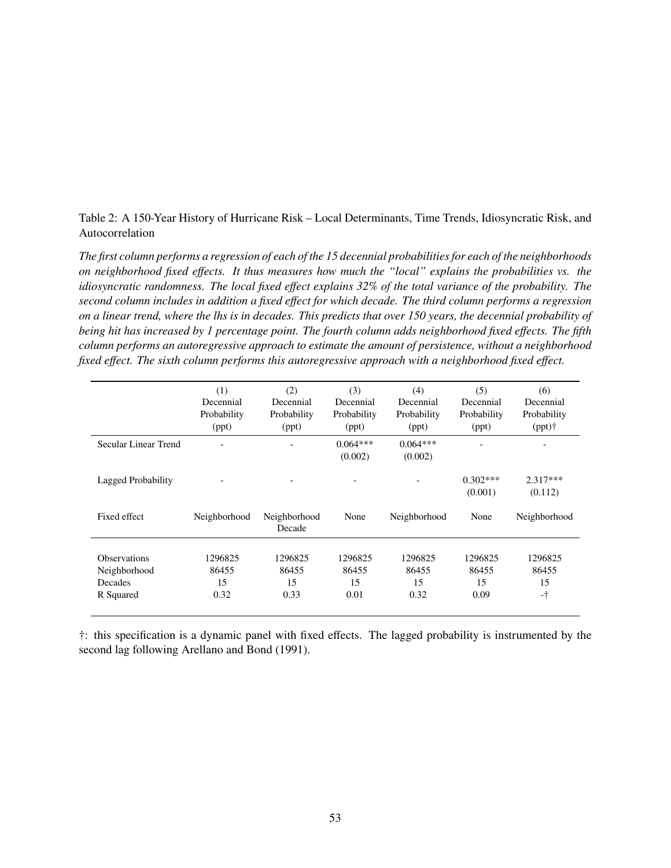# Table 2: A 150-Year History of Hurricane Risk – Local Determinants, Time Trends, Idiosyncratic Risk, and Autocorrelation

*The first column performs a regression of each of the 15 decennial probabilities for each of the neighborhoods on neighborhood fixed effects. It thus measures how much the "local" explains the probabilities vs. the idiosyncratic randomness. The local fixed effect explains 32% of the total variance of the probability. The second column includes in addition a fixed effect for which decade. The third column performs a regression on a linear trend, where the lhs is in decades. This predicts that over 150 years, the decennial probability of being hit has increased by 1 percentage point. The fourth column adds neighborhood fixed effects. The fifth column performs an autoregressive approach to estimate the amount of persistence, without a neighborhood fixed effect. The sixth column performs this autoregressive approach with a neighborhood fixed effect.*

|                      | (1)<br>Decennial<br>Probability<br>(ppt) | (2)<br>Decennial<br>Probability<br>(ppt) | (3)<br>Decennial<br>Probability<br>(ppt) | (4)<br>Decennial<br>Probability<br>(ppt) | (5)<br>Decennial<br>Probability<br>(ppt) | (6)<br>Decennial<br>Probability<br>$(ppt)$ † |
|----------------------|------------------------------------------|------------------------------------------|------------------------------------------|------------------------------------------|------------------------------------------|----------------------------------------------|
| Secular Linear Trend |                                          |                                          | $0.064***$<br>(0.002)                    | $0.064***$<br>(0.002)                    |                                          |                                              |
| Lagged Probability   |                                          |                                          | $\overline{\phantom{a}}$                 |                                          | $0.302***$<br>(0.001)                    | $2.317***$<br>(0.112)                        |
| Fixed effect         | Neighborhood                             | Neighborhood<br>Decade                   | None                                     | Neighborhood                             | None                                     | Neighborhood                                 |
| <b>Observations</b>  | 1296825                                  | 1296825                                  | 1296825                                  | 1296825                                  | 1296825                                  | 1296825                                      |
| Neighborhood         | 86455                                    | 86455                                    | 86455                                    | 86455                                    | 86455                                    | 86455                                        |
| Decades              | 15                                       | 15                                       | 15                                       | 15                                       | 15                                       | 15                                           |
| R Squared            | 0.32                                     | 0.33                                     | 0.01                                     | 0.32                                     | 0.09                                     | $-$ †                                        |

†: this specification is a dynamic panel with fixed effects. The lagged probability is instrumented by the second lag following Arellano and Bond (1991).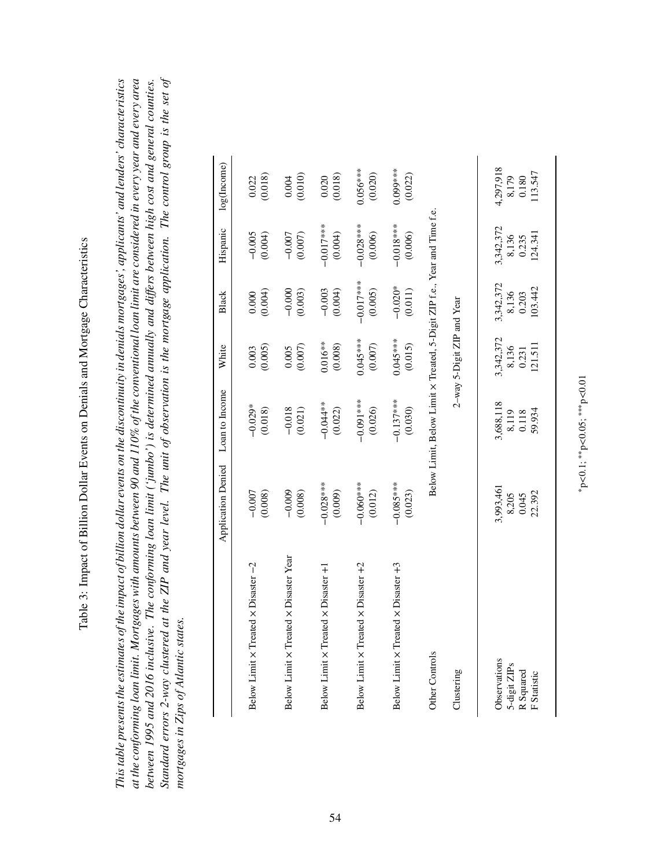Table 3: Impact of Billion Dollar Events on Denials and Mortgage Characteristics Table 3: Impact of Billion Dollar Events on Denials and Mortgage Characteristics

Standard errors 2-way clustered at the ZIP and year level. The unit of observation is the mortgage application. The control group is the set of This table presents the estimates of the impact of billion dollar events on the discontinuity in denials mortgages', applicants' and lenders' characteristics at the conforming loan limit. Mortgages with amounts between 90 and 110% of the conventional loan limit are considered in every year and every area between 1995 and 2016 inclusive. The conforming loan limit ('jumbo') is determined annually and differs between high cost and general counties. Standard errors 2-way clustered at the ZIP and year level. The unit of observation is the mortgage application. The control group is the set of This table presents the estimates of the impact of billion dollar events on the discontinuity in denials mortgages', applicants' and lenders' characteristics at the conforming loan limit. Mortgages with amounts between 90 and 110% of the conventional loan limit are considered in every year and every area between 1995 and 2016 inclusive. The conforming loan limit ('jumbo') is determined annually and differs between high cost and general counties. mortgages in Zips of Atlantic states. *mortgages in Zips of Atlantic states.*

|                                       | Application Denied | Loan to Income                                                           | White                      | Black       | Hispanic    | $log($ Income $)$ |
|---------------------------------------|--------------------|--------------------------------------------------------------------------|----------------------------|-------------|-------------|-------------------|
| Below Limit x Treated x Disaster -2   | $-0.007$           | $-0.029*$                                                                | (0.005)                    | (0.004)     | $-0.005$    | (0.018)           |
|                                       | (0.008)            | (0.018)                                                                  | 0.003                      | 0.000       | (0.004)     | 0.022             |
| Below Limit x Treated x Disaster Year | $-0.009$           | $-0.018$                                                                 | (0.007)                    | $-0.000$    | $-0.007$    | (0.010)           |
|                                       | (0.008)            | (0.021)                                                                  | 0.005                      | (0.003)     | (0.007)     | 0.004             |
| Below Limit x Treated x Disaster +1   | $-0.028***$        | $-0.044**$                                                               | $0.016**$                  | $-0.003$    | $-0.017***$ | (0.018)           |
|                                       | (0.009)            | (0.022)                                                                  | (0.008)                    | (0.004)     | (0.004)     | 0.020             |
| Below Limit x Treated x Disaster +2   | $-0.060**$         | $-0.091$ ***                                                             | $0.045***$                 | $-0.017***$ | $-0.028***$ | $0.056***$        |
|                                       | (0.012)            | (0.026)                                                                  | (0.007)                    | (0.005)     | (0.006)     | (0.020)           |
| Below Limit x Treated x Disaster +3   | $-0.085***$        | $-0.137***$                                                              | $0.045***$                 | $-0.020*$   | $-0.018***$ | $0.09$ ***        |
|                                       | (0.023)            | (0.030)                                                                  | (0.015)                    | (0.011)     | (0.006)     | (0.022)           |
| Other Controls                        |                    | Below Limit, Below Limit x Treated, 5-Digit ZIP f.e., Year and Time f.e. |                            |             |             |                   |
| Clustering                            |                    |                                                                          | 2-way 5-Digit ZIP and Year |             |             |                   |
| Observations                          | 3,993,461          | 3,688,118                                                                | 3,342,372                  | 3,342,372   | 3,342,372   | 4,297,918         |
| 5-digit ZIPs                          | 22.392             | 59.934                                                                   | 121.511                    | 103.442     | 124.341     | 113.547           |
| R Squared                             | 8,205              | 8,119                                                                    | 8,136                      | 8,136       | 8,136       | 0.180             |
| F Statistic                           | 0.045              | 0.118                                                                    | 0.231                      | 0.203       | 0.235       | 8,179             |

\*p<0.1; \*\*p<0.05; \*\*\* p<0.01 ∗p*<*0.1; ∗∗p*<*0.05; ∗∗∗p*<*0.01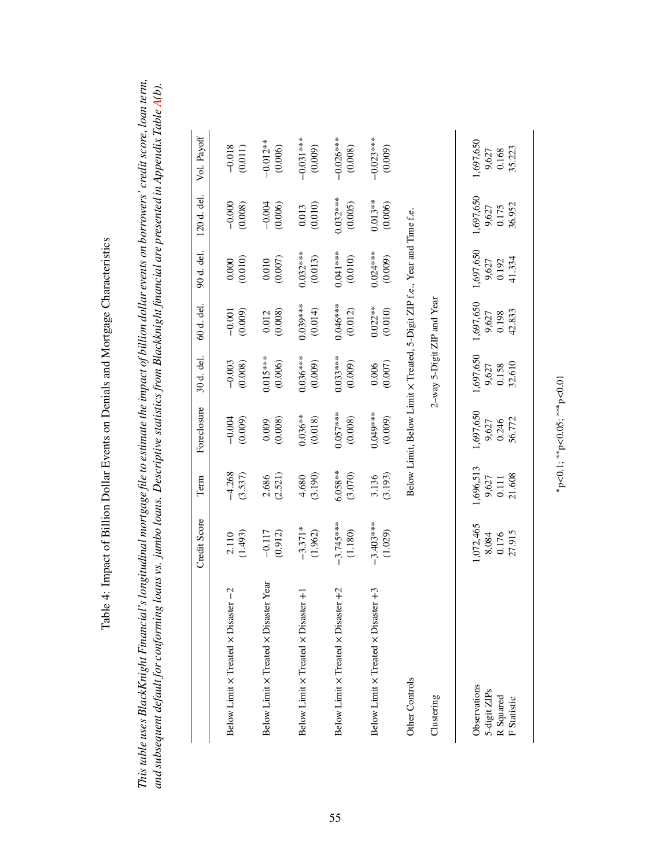Table 4: Impact of Billion Dollar Events on Denials and Mortgage Characteristics Table 4: Impact of Billion Dollar Events on Denials and Mortgage Characteristics This table uses BlackKnight Financial's longitudinal mortgage file to estimate the impact of billion dollar events on borrowers' credit score, loan term, and subsequent default for conforming loans vs. jumbo loans. Descriptive statistics from Blackknight financial are presented in Appendix Table A(b). This table uses BlackKnight Financial's longiudinal mortgage file to estimate the impact of billion dollar events on borrowers' credit score, loan term, and subsequent default for conforming loans vs. jumbo loans. Descriptive statistics from Blackknight financial are presented in Appendix Table

|                                       | Credit Score      | Term                | Foreclosure                                                              | 30 d. del.                 | 60 d. del.          | 90 d. del.     | 120 d. del.         | Vol. Payoff         |
|---------------------------------------|-------------------|---------------------|--------------------------------------------------------------------------|----------------------------|---------------------|----------------|---------------------|---------------------|
| Below Limit x Treated x Disaster-2    | (1.493)<br>2.110  | $-4.268$<br>(3.537) | (0.009)<br>$-0.004$                                                      | $-0.003$<br>(0.008)        | (0.009)<br>$-0.001$ | (0.000)        | $-0.000$<br>(0.008) | $-0.018$<br>(0.011) |
| Below Limit x Treated x Disaster Year | $-0.117$          | (2.521)             | (0.008)                                                                  | $0.015***$                 | (0.008)             | (0.007)        | $-0.004$            | $-0.012**$          |
|                                       | (0.912)           | 2.686               | 0.009                                                                    | (0.006)                    | 0.012               | $0.010\,$      | (0.006)             | (0.006)             |
| Below Limit x Treated x Disaster +1   | $-3.371*$         | (3.190)             | $0.036**$                                                                | $0.036***$                 | $0.039***$          | $0.032***$     | (0.010)             | $-0.031$ ***        |
|                                       | (1.962)           | 4.680               | (0.018)                                                                  | (0.009)                    | (0.014)             | (0.013)        | 0.013               | (0.009)             |
| Below Limit x Treated x Disaster +2   | $-3.745***$       | $6.058**$           | $0.057***$                                                               | $0.033***$                 | $0.046***$          | $0.041***$     | $0.032***$          | $-0.026***$         |
|                                       | (1.180)           | (3.070)             | (0.008)                                                                  | (0.009)                    | (0.012)             | (0.010)        | (0.005)             | (0.008)             |
| Below Limit x Treated x Disaster +3   | $-3.403***$       | (3.193)             | $0.049***$                                                               | (0.007)                    | $0.022**$           | $0.024***$     | $0.013**$           | $-0.023**$          |
|                                       | (1.029)           | 3.136               | (0.009)                                                                  | 0.006                      | (0.010)             | (0.009)        | (0.006)             | (0.009)             |
| Other Controls                        |                   |                     | Below Limit, Below Limit x Treated, 5-Digit ZIP f.e., Year and Time f.e. |                            |                     |                |                     |                     |
| Clustering                            |                   |                     |                                                                          | 2-way 5-Digit ZIP and Year |                     |                |                     |                     |
| Observations<br>5-digit ZIPs          | .072,465<br>8,084 | ,696,513            | .,697,650                                                                | ,697,650                   | .,697,650           | 1,697,650      | .,697,650           | .,697,650           |
| R Squared                             | 27.915            | 21.608              | 56.772                                                                   | 32.610                     | 42.833              | 41.334         | 36.952              | 35.223              |
| F Statistic                           | 0.176             | 9,627<br>0.111      | 9,627<br>0.246                                                           | 9,627<br>0.158             | 9,627<br>0.198      | 9,627<br>0.192 | 9,627<br>0.175      | 9,627<br>0.168      |

 $*_{p<0.1;} *_{p<0.05;} *_{p<0.01}$ ∗p*<*0.1; ∗∗p*<*0.05; ∗∗∗p*<*0.01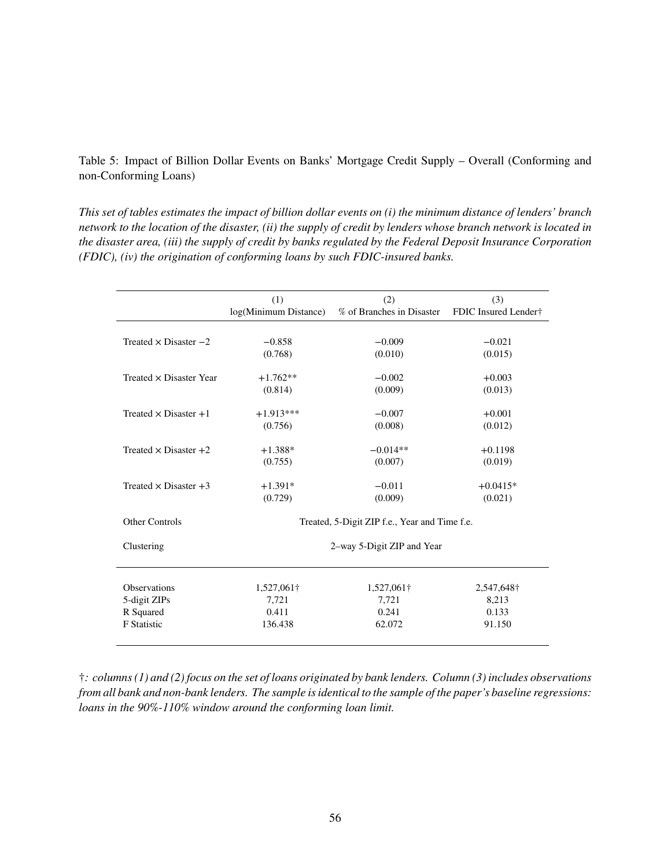Table 5: Impact of Billion Dollar Events on Banks' Mortgage Credit Supply – Overall (Conforming and non-Conforming Loans)

*This set of tables estimates the impact of billion dollar events on (i) the minimum distance of lenders' branch network to the location of the disaster, (ii) the supply of credit by lenders whose branch network is located in the disaster area, (iii) the supply of credit by banks regulated by the Federal Deposit Insurance Corporation (FDIC), (iv) the origination of conforming loans by such FDIC-insured banks.*

|                                | (1)                   | (2)                                           | (3)                  |
|--------------------------------|-----------------------|-----------------------------------------------|----------------------|
|                                | log(Minimum Distance) | % of Branches in Disaster                     | FDIC Insured Lender† |
|                                |                       |                                               |                      |
| Treated $\times$ Disaster $-2$ | $-0.858$              | $-0.009$                                      | $-0.021$             |
|                                | (0.768)               | (0.010)                                       | (0.015)              |
| Treated × Disaster Year        | $+1.762**$            | $-0.002$                                      | $+0.003$             |
|                                | (0.814)               | (0.009)                                       | (0.013)              |
| Treated $\times$ Disaster $+1$ | $+1.913***$           | $-0.007$                                      | $+0.001$             |
|                                | (0.756)               | (0.008)                                       | (0.012)              |
| Treated $\times$ Disaster $+2$ | $+1.388*$             | $-0.014**$                                    | $+0.1198$            |
|                                | (0.755)               | (0.007)                                       | (0.019)              |
|                                |                       |                                               |                      |
| Treated $\times$ Disaster $+3$ | $+1.391*$             | $-0.011$                                      | $+0.0415*$           |
|                                | (0.729)               | (0.009)                                       | (0.021)              |
| <b>Other Controls</b>          |                       | Treated, 5-Digit ZIP f.e., Year and Time f.e. |                      |
| Clustering                     |                       | 2-way 5-Digit ZIP and Year                    |                      |
|                                |                       |                                               |                      |
| Observations                   | 1,527,061†            | 1,527,061†                                    | 2,547,648†           |
| 5-digit ZIPs                   | 7,721                 | 7,721                                         | 8,213                |
| R Squared                      | 0.411                 | 0.241                                         | 0.133                |
| F Statistic                    | 136.438               | 62.072                                        | 91.150               |
|                                |                       |                                               |                      |

†*: columns (1) and (2) focus on the set of loans originated by bank lenders. Column (3) includes observations from all bank and non-bank lenders. The sample is identical to the sample of the paper's baseline regressions: loans in the 90%-110% window around the conforming loan limit.*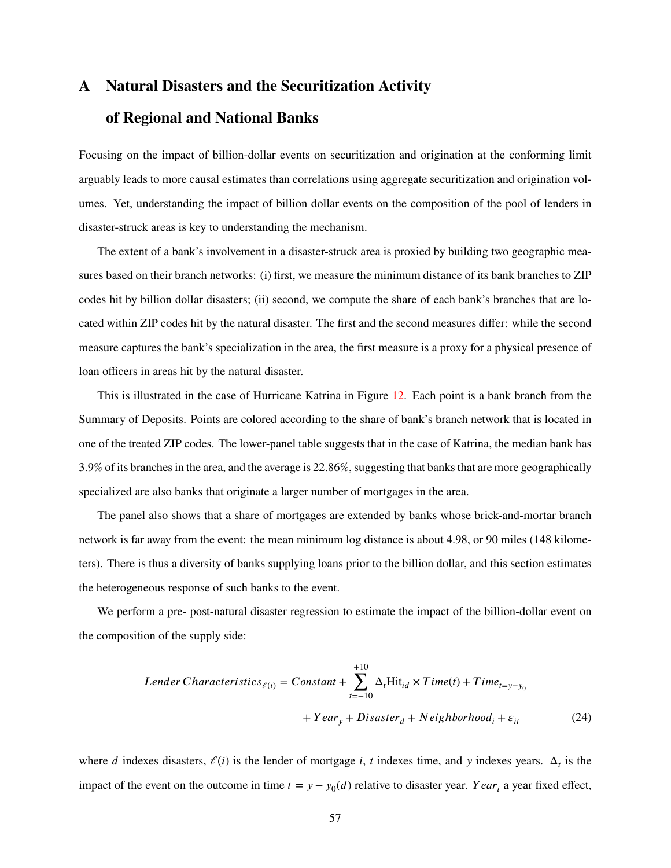# **A Natural Disasters and the Securitization Activity of Regional and National Banks**

Focusing on the impact of billion-dollar events on securitization and origination at the conforming limit arguably leads to more causal estimates than correlations using aggregate securitization and origination volumes. Yet, understanding the impact of billion dollar events on the composition of the pool of lenders in disaster-struck areas is key to understanding the mechanism.

The extent of a bank's involvement in a disaster-struck area is proxied by building two geographic measures based on their branch networks: (i) first, we measure the minimum distance of its bank branches to ZIP codes hit by billion dollar disasters; (ii) second, we compute the share of each bank's branches that are located within ZIP codes hit by the natural disaster. The first and the second measures differ: while the second measure captures the bank's specialization in the area, the first measure is a proxy for a physical presence of loan officers in areas hit by the natural disaster.

This is illustrated in the case of Hurricane Katrina in Figure 12. Each point is a bank branch from the Summary of Deposits. Points are colored according to the share of bank's branch network that is located in one of the treated ZIP codes. The lower-panel table suggests that in the case of Katrina, the median bank has 3.9% of its branches in the area, and the average is 22.86%, suggesting that banks that are more geographically specialized are also banks that originate a larger number of mortgages in the area.

The panel also shows that a share of mortgages are extended by banks whose brick-and-mortar branch network is far away from the event: the mean minimum log distance is about 4.98, or 90 miles (148 kilometers). There is thus a diversity of banks supplying loans prior to the billion dollar, and this section estimates the heterogeneous response of such banks to the event.

We perform a pre- post-natural disaster regression to estimate the impact of the billion-dollar event on the composition of the supply side:

$$
Lender Characteristics_{\ell(i)} = Constant + \sum_{t=-10}^{+10} \Delta_t Hit_{id} \times Time(t) + Time_{t=y-y_0}
$$

$$
+ Year_y + Disaster_d + Neighbourhood_i + \varepsilon_{it}
$$
(24)

where *d* indexes disasters,  $\ell(i)$  is the lender of mortgage *i*, *t* indexes time, and *y* indexes years.  $\Delta_t$  is the impact of the event on the outcome in time  $t = y - y_0(d)$  relative to disaster year. *Year*<sub>t</sub> a year fixed effect,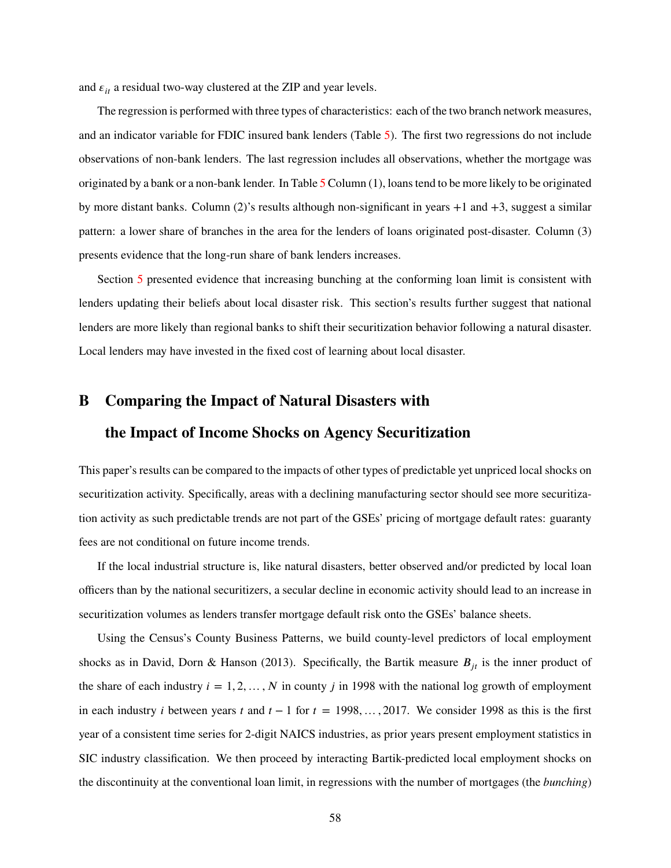and  $\varepsilon_{it}$  a residual two-way clustered at the ZIP and year levels.

The regression is performed with three types of characteristics: each of the two branch network measures, and an indicator variable for FDIC insured bank lenders (Table 5). The first two regressions do not include observations of non-bank lenders. The last regression includes all observations, whether the mortgage was originated by a bank or a non-bank lender. In Table 5 Column (1), loans tend to be more likely to be originated by more distant banks. Column  $(2)$ 's results although non-significant in years  $+1$  and  $+3$ , suggest a similar pattern: a lower share of branches in the area for the lenders of loans originated post-disaster. Column (3) presents evidence that the long-run share of bank lenders increases.

Section 5 presented evidence that increasing bunching at the conforming loan limit is consistent with lenders updating their beliefs about local disaster risk. This section's results further suggest that national lenders are more likely than regional banks to shift their securitization behavior following a natural disaster. Local lenders may have invested in the fixed cost of learning about local disaster.

# **B Comparing the Impact of Natural Disasters with the Impact of Income Shocks on Agency Securitization**

This paper's results can be compared to the impacts of other types of predictable yet unpriced local shocks on securitization activity. Specifically, areas with a declining manufacturing sector should see more securitization activity as such predictable trends are not part of the GSEs' pricing of mortgage default rates: guaranty fees are not conditional on future income trends.

If the local industrial structure is, like natural disasters, better observed and/or predicted by local loan officers than by the national securitizers, a secular decline in economic activity should lead to an increase in securitization volumes as lenders transfer mortgage default risk onto the GSEs' balance sheets.

Using the Census's County Business Patterns, we build county-level predictors of local employment shocks as in David, Dorn & Hanson (2013). Specifically, the Bartik measure  $B_{it}$  is the inner product of the share of each industry  $i = 1, 2, ..., N$  in county  $j$  in 1998 with the national log growth of employment in each industry *i* between years *t* and  $t - 1$  for  $t = 1998, \ldots, 2017$ . We consider 1998 as this is the first year of a consistent time series for 2-digit NAICS industries, as prior years present employment statistics in SIC industry classification. We then proceed by interacting Bartik-predicted local employment shocks on the discontinuity at the conventional loan limit, in regressions with the number of mortgages (the *bunching*)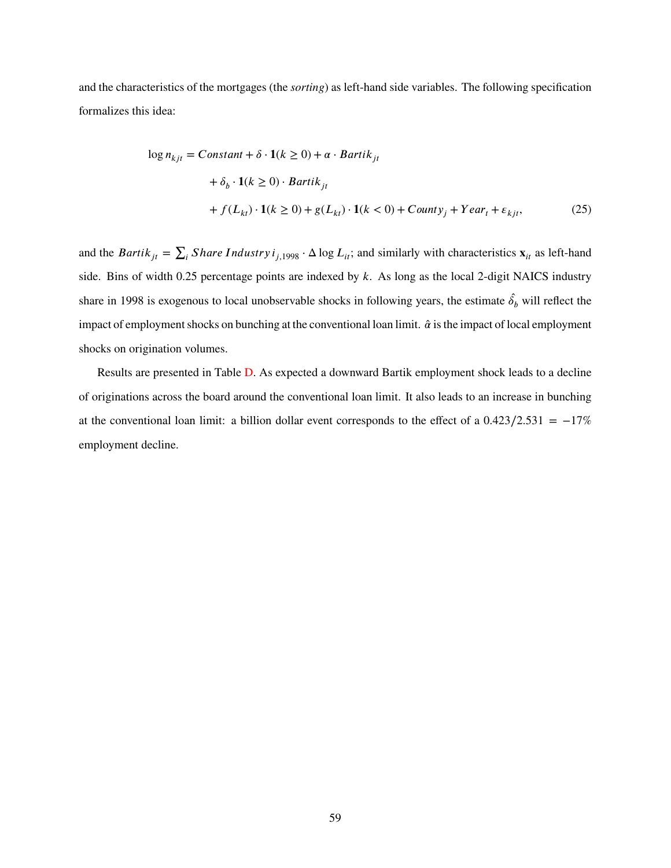and the characteristics of the mortgages (the *sorting*) as left-hand side variables. The following specification formalizes this idea:

$$
\log n_{kjt} = Constant + \delta \cdot \mathbf{1}(k \ge 0) + \alpha \cdot Bartik_{jt}
$$
  
+  $\delta_b \cdot \mathbf{1}(k \ge 0) \cdot Bartik_{jt}$   
+  $f(L_{kt}) \cdot \mathbf{1}(k \ge 0) + g(L_{kt}) \cdot \mathbf{1}(k < 0) + County_j + Year_t + \varepsilon_{kjt}$ , (25)

and the *Bartik<sub>jt</sub>* =  $\sum_i$ *Share Industry*  $i_{j,1998} \cdot \Delta \log L_{it}$ ; and similarly with characteristics  $\mathbf{x}_{it}$  as left-hand side. Bins of width 0.25 percentage points are indexed by *k*. As long as the local 2-digit NAICS industry share in 1998 is exogenous to local unobservable shocks in following years, the estimate  $\hat{\delta}_b$  will reflect the impact of employment shocks on bunching at the conventional loan limit.  $\hat{\alpha}$  is the impact of local employment shocks on origination volumes.

Results are presented in Table D. As expected a downward Bartik employment shock leads to a decline of originations across the board around the conventional loan limit. It also leads to an increase in bunching at the conventional loan limit: a billion dollar event corresponds to the effect of a 0*.*423∕2*.*531 = −17% employment decline.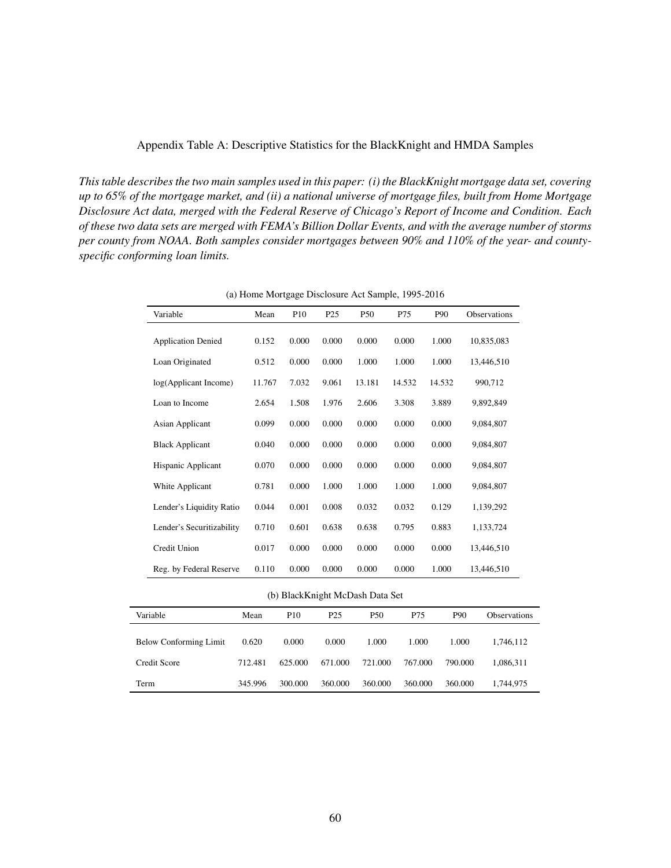# Appendix Table A: Descriptive Statistics for the BlackKnight and HMDA Samples

*This table describes the two main samples used in this paper: (i) the BlackKnight mortgage data set, covering up to 65% of the mortgage market, and (ii) a national universe of mortgage files, built from Home Mortgage Disclosure Act data, merged with the Federal Reserve of Chicago's Report of Income and Condition. Each of these two data sets are merged with FEMA's Billion Dollar Events, and with the average number of storms per county from NOAA. Both samples consider mortgages between 90% and 110% of the year- and countyspecific conforming loan limits.*

| Variable                      | Mean    | P10     | P <sub>25</sub> | P <sub>50</sub>                 | P75     | P90    | Observations         |
|-------------------------------|---------|---------|-----------------|---------------------------------|---------|--------|----------------------|
| <b>Application Denied</b>     | 0.152   | 0.000   | 0.000           | 0.000                           | 0.000   | 1.000  | 10,835,083           |
| Loan Originated               | 0.512   | 0.000   | 0.000           | 1.000                           | 1.000   | 1.000  | 13,446,510           |
| log(Applicant Income)         | 11.767  | 7.032   | 9.061           | 13.181                          | 14.532  | 14.532 | 990,712              |
| Loan to Income                | 2.654   | 1.508   | 1.976           | 2.606                           | 3.308   | 3.889  | 9,892,849            |
| <b>Asian Applicant</b>        | 0.099   | 0.000   | 0.000           | 0.000                           | 0.000   | 0.000  | 9,084,807            |
| <b>Black Applicant</b>        | 0.040   | 0.000   | 0.000           | 0.000                           | 0.000   | 0.000  | 9,084,807            |
| Hispanic Applicant            | 0.070   | 0.000   | 0.000           | 0.000                           | 0.000   | 0.000  | 9,084,807            |
| White Applicant               | 0.781   | 0.000   | 1.000           | 1.000                           | 1.000   | 1.000  | 9,084,807            |
| Lender's Liquidity Ratio      | 0.044   | 0.001   | 0.008           | 0.032                           | 0.032   | 0.129  | 1,139,292            |
| Lender's Securitizability     | 0.710   | 0.601   | 0.638           | 0.638                           | 0.795   | 0.883  | 1,133,724            |
| Credit Union                  | 0.017   | 0.000   | 0.000           | 0.000                           | 0.000   | 0.000  | 13,446,510           |
| Reg. by Federal Reserve       | 0.110   | 0.000   | 0.000           | 0.000                           | 0.000   | 1.000  | 13,446,510           |
|                               |         |         |                 | (b) BlackKnight McDash Data Set |         |        |                      |
| Variable                      | Mean    | P10     | P <sub>25</sub> | P50                             | P75     |        | P90<br>Observations  |
| <b>Below Conforming Limit</b> | 0.620   | 0.000   | 0.000           | 1.000                           | 1.000   |        | 1.000<br>1,746,112   |
| Credit Score                  | 712.481 | 625.000 | 671.000         | 721.000                         | 767.000 |        | 1,086,311<br>790.000 |

(a) Home Mortgage Disclosure Act Sample, 1995-2016

Term 345.996 300.000 360.000 360.000 360.000 360.000 1,744,975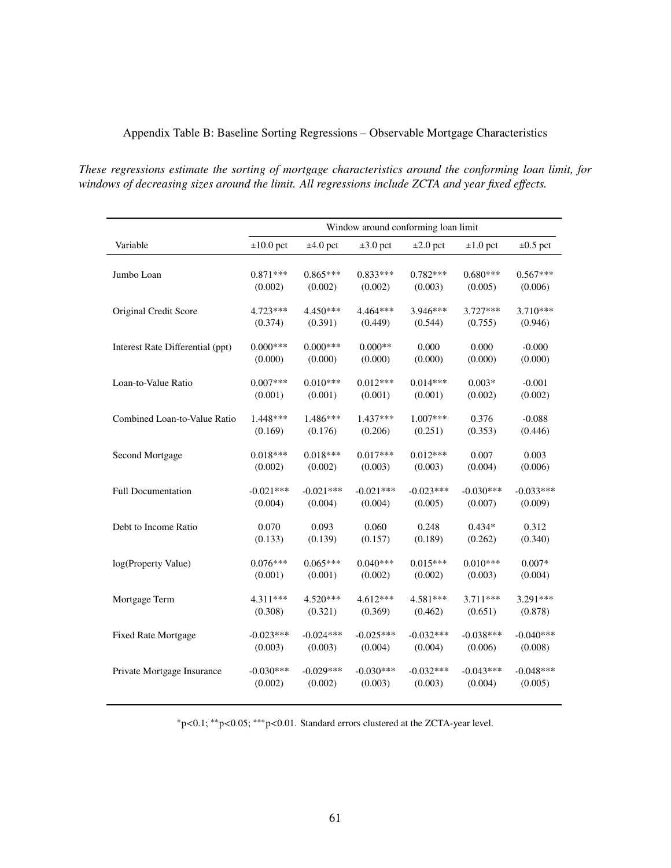Appendix Table B: Baseline Sorting Regressions – Observable Mortgage Characteristics

*These regressions estimate the sorting of mortgage characteristics around the conforming loan limit, for windows of decreasing sizes around the limit. All regressions include ZCTA and year fixed effects.*

|                                  |                |             |               | Window around conforming loan limit |               |               |
|----------------------------------|----------------|-------------|---------------|-------------------------------------|---------------|---------------|
| Variable                         | $\pm 10.0$ pct | $±4.0$ pct  | $\pm 3.0$ pct | $\pm 2.0$ pct                       | $\pm 1.0$ pct | $\pm 0.5$ pct |
| Jumbo Loan                       | $0.871***$     | $0.865***$  | $0.833***$    | $0.782***$                          | $0.680***$    | $0.567***$    |
|                                  | (0.002)        | (0.002)     | (0.002)       | (0.003)                             | (0.005)       | (0.006)       |
| Original Credit Score            | 4.723***       | $4.450***$  | 4.464***      | 3.946***                            | $3.727***$    | 3.710***      |
|                                  | (0.374)        | (0.391)     | (0.449)       | (0.544)                             | (0.755)       | (0.946)       |
| Interest Rate Differential (ppt) | $0.000***$     | $0.000***$  | $0.000**$     | 0.000                               | 0.000         | $-0.000$      |
|                                  | (0.000)        | (0.000)     | (0.000)       | (0.000)                             | (0.000)       | (0.000)       |
| Loan-to-Value Ratio              | $0.007***$     | $0.010***$  | $0.012***$    | $0.014***$                          | $0.003*$      | $-0.001$      |
|                                  | (0.001)        | (0.001)     | (0.001)       | (0.001)                             | (0.002)       | (0.002)       |
| Combined Loan-to-Value Ratio     | $1.448***$     | $1.486***$  | $1.437***$    | $1.007***$                          | 0.376         | $-0.088$      |
|                                  | (0.169)        | (0.176)     | (0.206)       | (0.251)                             | (0.353)       | (0.446)       |
| Second Mortgage                  | $0.018***$     | $0.018***$  | $0.017***$    | $0.012***$                          | 0.007         | 0.003         |
|                                  | (0.002)        | (0.002)     | (0.003)       | (0.003)                             | (0.004)       | (0.006)       |
| <b>Full Documentation</b>        | $-0.021***$    | $-0.021***$ | $-0.021***$   | $-0.023***$                         | $-0.030***$   | $-0.033***$   |
|                                  | (0.004)        | (0.004)     | (0.004)       | (0.005)                             | (0.007)       | (0.009)       |
| Debt to Income Ratio             | 0.070          | 0.093       | 0.060         | 0.248                               | $0.434*$      | 0.312         |
|                                  | (0.133)        | (0.139)     | (0.157)       | (0.189)                             | (0.262)       | (0.340)       |
| log(Property Value)              | $0.076***$     | $0.065***$  | $0.040***$    | $0.015***$                          | $0.010***$    | $0.007*$      |
|                                  | (0.001)        | (0.001)     | (0.002)       | (0.002)                             | (0.003)       | (0.004)       |
| Mortgage Term                    | $4.311***$     | $4.520***$  | 4.612***      | 4.581***                            | $3.711***$    | 3.291***      |
|                                  | (0.308)        | (0.321)     | (0.369)       | (0.462)                             | (0.651)       | (0.878)       |
| <b>Fixed Rate Mortgage</b>       | $-0.023***$    | $-0.024***$ | $-0.025***$   | $-0.032***$                         | $-0.038***$   | $-0.040***$   |
|                                  | (0.003)        | (0.003)     | (0.004)       | (0.004)                             | (0.006)       | (0.008)       |
| Private Mortgage Insurance       | $-0.030***$    | $-0.029***$ | $-0.030***$   | $-0.032***$                         | $-0.043***$   | $-0.048***$   |
|                                  | (0.002)        | (0.002)     | (0.003)       | (0.003)                             | (0.004)       | (0.005)       |

<sup>∗</sup>p*<*0.1; ∗∗p*<*0.05; ∗∗∗p*<*0.01. Standard errors clustered at the ZCTA-year level.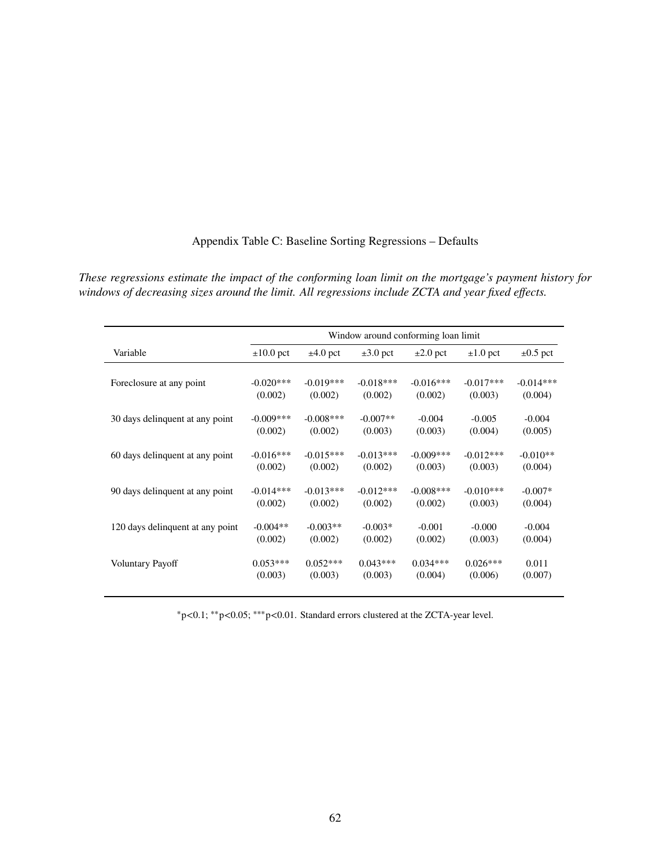# Appendix Table C: Baseline Sorting Regressions – Defaults

*These regressions estimate the impact of the conforming loan limit on the mortgage's payment history for windows of decreasing sizes around the limit. All regressions include ZCTA and year fixed effects.*

|                                  |                |               |               | Window around conforming loan limit |               |               |
|----------------------------------|----------------|---------------|---------------|-------------------------------------|---------------|---------------|
| Variable                         | $\pm 10.0$ pct | $\pm 4.0$ pct | $\pm 3.0$ pct | $\pm 2.0$ pct                       | $\pm 1.0$ pct | $\pm 0.5$ pct |
| Foreclosure at any point         | $-0.020***$    | $-0.019***$   | $-0.018***$   | $-0.016***$                         | $-0.017***$   | $-0.014***$   |
|                                  | (0.002)        | (0.002)       | (0.002)       | (0.002)                             | (0.003)       | (0.004)       |
| 30 days delinquent at any point  | $-0.009$ ***   | $-0.008$ ***  | $-0.007**$    | $-0.004$                            | $-0.005$      | $-0.004$      |
|                                  | (0.002)        | (0.002)       | (0.003)       | (0.003)                             | (0.004)       | (0.005)       |
| 60 days delinquent at any point  | $-0.016***$    | $-0.015***$   | $-0.013***$   | $-0.009***$                         | $-0.012***$   | $-0.010**$    |
|                                  | (0.002)        | (0.002)       | (0.002)       | (0.003)                             | (0.003)       | (0.004)       |
| 90 days delinquent at any point  | $-0.014***$    | $-0.013***$   | $-0.012***$   | $-0.008$ ***                        | $-0.010***$   | $-0.007*$     |
|                                  | (0.002)        | (0.002)       | (0.002)       | (0.002)                             | (0.003)       | (0.004)       |
| 120 days delinquent at any point | $-0.004**$     | $-0.003**$    | $-0.003*$     | $-0.001$                            | $-0.000$      | $-0.004$      |
|                                  | (0.002)        | (0.002)       | (0.002)       | (0.002)                             | (0.003)       | (0.004)       |
| <b>Voluntary Payoff</b>          | $0.053***$     | $0.052***$    | $0.043***$    | $0.034***$                          | $0.026***$    | 0.011         |
|                                  | (0.003)        | (0.003)       | (0.003)       | (0.004)                             | (0.006)       | (0.007)       |

<sup>∗</sup>p*<*0.1; ∗∗p*<*0.05; ∗∗∗p*<*0.01. Standard errors clustered at the ZCTA-year level.